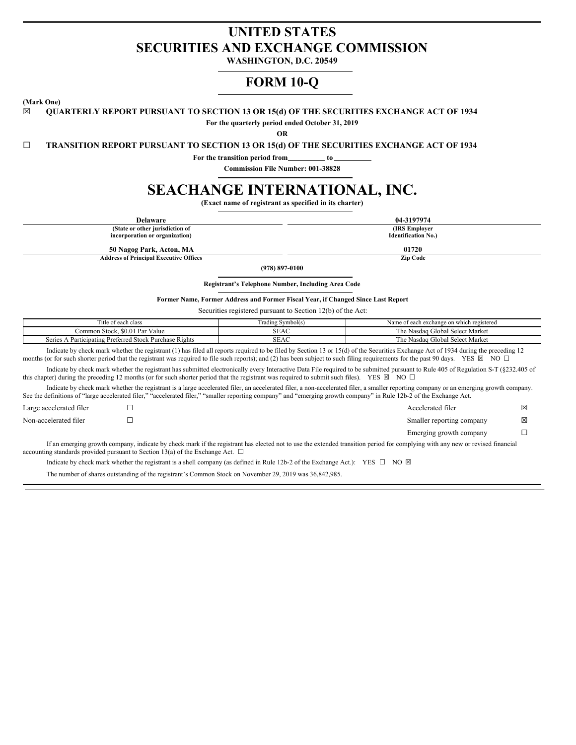# **UNITED STATES SECURITIES AND EXCHANGE COMMISSION**

**WASHINGTON, D.C. 20549**

# **FORM 10-Q**

**(Mark One)**

☒ **QUARTERLY REPORT PURSUANT TO SECTION 13 OR 15(d) OF THE SECURITIES EXCHANGE ACT OF 1934**

**For the quarterly period ended October 31, 2019**

**OR**

☐ **TRANSITION REPORT PURSUANT TO SECTION 13 OR 15(d) OF THE SECURITIES EXCHANGE ACT OF 1934**

**For the transition period from to**

**Commission File Number: 001-38828**

# **SEACHANGE INTERNATIONAL, INC.**

**(Exact name of registrant as specified in its charter)**

| <b>Delaware</b>                               | 04-3197974                 |
|-----------------------------------------------|----------------------------|
| (State or other jurisdiction of               | (IRS Employer)             |
| incorporation or organization)                | <b>Identification No.)</b> |
| 50 Nagog Park, Acton, MA                      | 01720                      |
| <b>Address of Principal Executive Offices</b> | <b>Zip Code</b>            |
| (978) 897-0100                                |                            |

**Registrant's Telephone Number, Including Area Code**

**Former Name, Former Address and Former Fiscal Year, if Changed Since Last Report**

Securities registered pursuant to Section 12(b) of the Act:

| e of each class                                                           | frading Symbol(s)     | Name of each exchange on which registered |
|---------------------------------------------------------------------------|-----------------------|-------------------------------------------|
| $\rightarrow$<br>Par<br>\$0.01<br>Value<br>∴ommon Stock.                  | $\sim$ $\sim$<br>י בש | Global Select Market<br>I he<br>Nasdaq    |
| $\sim$ $\cdot$<br>Participating Preferred Stock Purchase Rights<br>series | $\sim$ $\sim$<br>oen  | Global Select Market<br>1 he<br>Nasdad    |

Indicate by check mark whether the registrant (1) has filed all reports required to be filed by Section 13 or 15(d) of the Securities Exchange Act of 1934 during the preceding 12 months (or for such shorter period that the registrant was required to file such reports); and (2) has been subject to such filing requirements for the past 90 days. YES  $\boxtimes$  NO  $\Box$ 

Indicate by check mark whether the registrant has submitted electronically every Interactive Data File required to be submitted pursuant to Rule 405 of Regulation S-T (§232.405 of this chapter) during the preceding 12 months (or for such shorter period that the registrant was required to submit such files). YES  $\boxtimes$  NO  $\Box$ 

Indicate by check mark whether the registrant is a large accelerated filer, an accelerated filer, a non-accelerated filer, a smaller reporting company or an emerging growth company. See the definitions of "large accelerated filer," "accelerated filer," "smaller reporting company" and "emerging growth company" in Rule 12b-2 of the Exchange Act.

| Large accelerated filer |                                                                                                                                                                               | Accelerated filer         | ×           |
|-------------------------|-------------------------------------------------------------------------------------------------------------------------------------------------------------------------------|---------------------------|-------------|
| Non-accelerated filer   |                                                                                                                                                                               | Smaller reporting company | $\boxtimes$ |
|                         |                                                                                                                                                                               | Emerging growth company   |             |
|                         | If an emerging growth company, indicate by check mark if the registrant has elected not to use the extended transition period for complying with any new or revised financial |                           |             |
|                         | accounting standards provided pursuant to Section 13(a) of the Exchange Act. $\Box$                                                                                           |                           |             |

Indicate by check mark whether the registrant is a shell company (as defined in Rule 12b-2 of the Exchange Act.): YES  $\Box$  NO  $\boxtimes$ 

The number of shares outstanding of the registrant's Common Stock on November 29, 2019 was 36,842,985.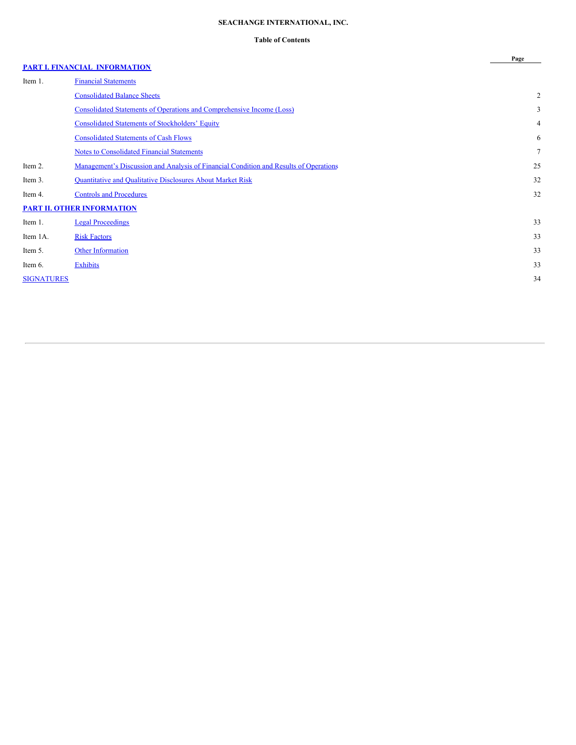# **SEACHANGE INTERNATIONAL, INC.**

## **Table of Contents**

**Page**

# **PART I. FINANCIAL [INFORMATION](#page-2-0)**

| Item 1.           | <b>Financial Statements</b>                                                           |                |
|-------------------|---------------------------------------------------------------------------------------|----------------|
|                   | <b>Consolidated Balance Sheets</b>                                                    | $\overline{2}$ |
|                   | <b>Consolidated Statements of Operations and Comprehensive Income (Loss)</b>          | 3              |
|                   | <b>Consolidated Statements of Stockholders' Equity</b>                                | 4              |
|                   | <b>Consolidated Statements of Cash Flows</b>                                          | 6              |
|                   | <b>Notes to Consolidated Financial Statements</b>                                     | 7              |
| Item 2.           | Management's Discussion and Analysis of Financial Condition and Results of Operations | 25             |
| Item 3.           | <b>Quantitative and Qualitative Disclosures About Market Risk</b>                     | 32             |
| Item 4.           | <b>Controls and Procedures</b>                                                        | 32             |
|                   | <b>PART II. OTHER INFORMATION</b>                                                     |                |
| Item 1.           | <b>Legal Proceedings</b>                                                              | 33             |
| Item 1A.          | <b>Risk Factors</b>                                                                   | 33             |
| Item 5.           | Other Information                                                                     | 33             |
| Item 6.           | <b>Exhibits</b>                                                                       | 33             |
| <b>SIGNATURES</b> |                                                                                       | 34             |
|                   |                                                                                       |                |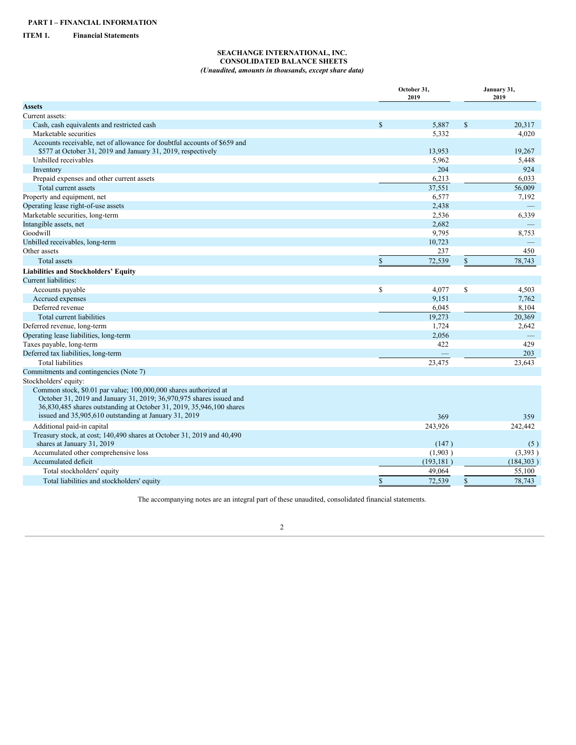## <span id="page-2-1"></span><span id="page-2-0"></span>**ITEM 1. Financial Statements**

## <span id="page-2-2"></span>**SEACHANGE INTERNATIONAL, INC. CONSOLIDATED BALANCE SHEETS** *(Unaudited, amounts in thousands, except share data)*

|                                                                                                                                                                                                                 |              | October 31,<br>2019 |              | January 31,<br>2019 |
|-----------------------------------------------------------------------------------------------------------------------------------------------------------------------------------------------------------------|--------------|---------------------|--------------|---------------------|
| <b>Assets</b>                                                                                                                                                                                                   |              |                     |              |                     |
| Current assets:                                                                                                                                                                                                 |              |                     |              |                     |
| Cash, cash equivalents and restricted cash                                                                                                                                                                      | $\mathbb{S}$ | 5,887               | \$           | 20,317              |
| Marketable securities                                                                                                                                                                                           |              | 5,332               |              | 4,020               |
| Accounts receivable, net of allowance for doubtful accounts of \$659 and                                                                                                                                        |              |                     |              |                     |
| \$577 at October 31, 2019 and January 31, 2019, respectively                                                                                                                                                    |              | 13,953              |              | 19,267              |
| Unbilled receivables                                                                                                                                                                                            |              | 5,962               |              | 5,448               |
| Inventory                                                                                                                                                                                                       |              | 204                 |              | 924                 |
| Prepaid expenses and other current assets                                                                                                                                                                       |              | 6,213               |              | 6,033               |
| Total current assets                                                                                                                                                                                            |              | 37,551              |              | 56,009              |
| Property and equipment, net                                                                                                                                                                                     |              | 6,577               |              | 7,192               |
| Operating lease right-of-use assets                                                                                                                                                                             |              | 2,438               |              |                     |
| Marketable securities, long-term                                                                                                                                                                                |              | 2,536               |              | 6,339               |
| Intangible assets, net                                                                                                                                                                                          |              | 2,682               |              |                     |
| Goodwill                                                                                                                                                                                                        |              | 9,795               |              | 8,753               |
| Unbilled receivables, long-term                                                                                                                                                                                 |              | 10,723              |              |                     |
| Other assets                                                                                                                                                                                                    |              | 237                 |              | 450                 |
| Total assets                                                                                                                                                                                                    | \$           | 72,539              | \$           | 78,743              |
| <b>Liabilities and Stockholders' Equity</b>                                                                                                                                                                     |              |                     |              |                     |
| Current liabilities:                                                                                                                                                                                            |              |                     |              |                     |
| Accounts payable                                                                                                                                                                                                | \$           | 4,077               | $\mathbb{S}$ | 4,503               |
| Accrued expenses                                                                                                                                                                                                |              | 9,151               |              | 7,762               |
| Deferred revenue                                                                                                                                                                                                |              | 6,045               |              | 8,104               |
| Total current liabilities                                                                                                                                                                                       |              | 19,273              |              | 20,369              |
| Deferred revenue, long-term                                                                                                                                                                                     |              | 1,724               |              | 2,642               |
| Operating lease liabilities, long-term                                                                                                                                                                          |              | 2,056               |              |                     |
| Taxes payable, long-term                                                                                                                                                                                        |              | 422                 |              | 429                 |
| Deferred tax liabilities, long-term                                                                                                                                                                             |              |                     |              | 203                 |
| <b>Total liabilities</b>                                                                                                                                                                                        |              | 23,475              |              | 23,643              |
| Commitments and contingencies (Note 7)                                                                                                                                                                          |              |                     |              |                     |
| Stockholders' equity:                                                                                                                                                                                           |              |                     |              |                     |
| Common stock, \$0.01 par value; 100,000,000 shares authorized at<br>October 31, 2019 and January 31, 2019; 36,970,975 shares issued and<br>36,830,485 shares outstanding at October 31, 2019, 35,946,100 shares |              |                     |              |                     |
| issued and 35,905,610 outstanding at January 31, 2019                                                                                                                                                           |              | 369                 |              | 359                 |
| Additional paid-in capital                                                                                                                                                                                      |              | 243,926             |              | 242,442             |
| Treasury stock, at cost; 140,490 shares at October 31, 2019 and 40,490<br>shares at January 31, 2019                                                                                                            |              | (147)               |              | (5)                 |
| Accumulated other comprehensive loss                                                                                                                                                                            |              | (1,903)             |              | (3,393)             |
| Accumulated deficit                                                                                                                                                                                             |              | (193, 181)          |              | (184, 303)          |
| Total stockholders' equity                                                                                                                                                                                      |              | 49,064              |              | 55,100              |
| Total liabilities and stockholders' equity                                                                                                                                                                      | \$           | 72,539              | \$           | 78,743              |

The accompanying notes are an integral part of these unaudited, consolidated financial statements.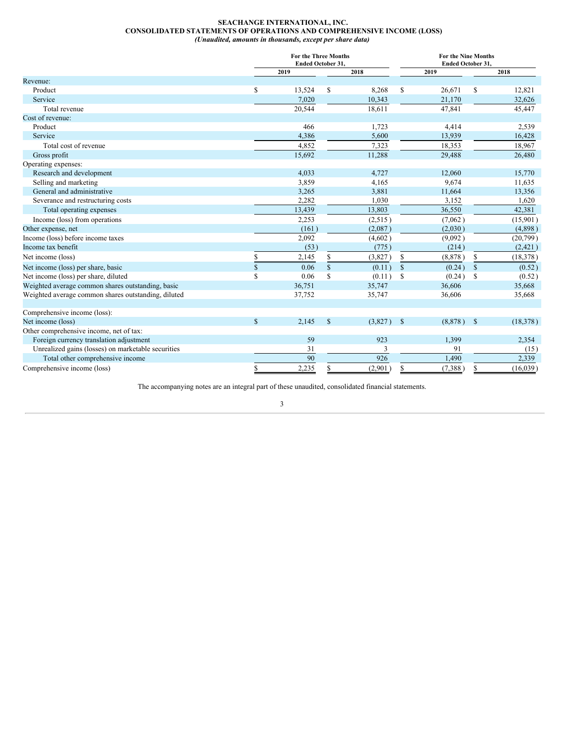## <span id="page-3-0"></span>**SEACHANGE INTERNATIONAL, INC. CONSOLIDATED STATEMENTS OF OPERATIONS AND COMPREHENSIVE INCOME (LOSS)** *(Unaudited, amounts in thousands, except per share data)*

|                                                     |               | <b>For the Three Months</b><br><b>Ended October 31.</b> |               |         | For the Nine Months<br><b>Ended October 31.</b> |          |               |           |
|-----------------------------------------------------|---------------|---------------------------------------------------------|---------------|---------|-------------------------------------------------|----------|---------------|-----------|
|                                                     |               | 2019                                                    |               | 2018    |                                                 | 2019     |               | 2018      |
| Revenue:                                            |               |                                                         |               |         |                                                 |          |               |           |
| Product                                             | <sup>\$</sup> | 13,524                                                  | S             | 8,268   | S                                               | 26,671   | \$            | 12,821    |
| Service                                             |               | 7,020                                                   |               | 10,343  |                                                 | 21,170   |               | 32,626    |
| Total revenue                                       |               | 20,544                                                  |               | 18,611  |                                                 | 47,841   |               | 45,447    |
| Cost of revenue:                                    |               |                                                         |               |         |                                                 |          |               |           |
| Product                                             |               | 466                                                     |               | 1,723   |                                                 | 4,414    |               | 2,539     |
| Service                                             |               | 4,386                                                   |               | 5,600   |                                                 | 13,939   |               | 16,428    |
| Total cost of revenue                               |               | 4,852                                                   |               | 7,323   |                                                 | 18,353   |               | 18,967    |
| Gross profit                                        |               | 15,692                                                  |               | 11,288  |                                                 | 29,488   |               | 26,480    |
| Operating expenses:                                 |               |                                                         |               |         |                                                 |          |               |           |
| Research and development                            |               | 4,033                                                   |               | 4,727   |                                                 | 12,060   |               | 15,770    |
| Selling and marketing                               |               | 3,859                                                   |               | 4,165   |                                                 | 9.674    |               | 11,635    |
| General and administrative                          |               | 3,265                                                   |               | 3,881   |                                                 | 11,664   |               | 13,356    |
| Severance and restructuring costs                   |               | 2,282                                                   |               | 1,030   |                                                 | 3,152    |               | 1,620     |
| Total operating expenses                            |               | 13,439                                                  |               | 13,803  |                                                 | 36,550   |               | 42,381    |
| Income (loss) from operations                       |               | 2,253                                                   |               | (2,515) |                                                 | (7,062)  |               | (15,901)  |
| Other expense, net                                  |               | (161)                                                   |               | (2,087) |                                                 | (2,030)  |               | (4,898)   |
| Income (loss) before income taxes                   |               | 2,092                                                   |               | (4,602) |                                                 | (9,092)  |               | (20,799)  |
| Income tax benefit                                  |               | (53)                                                    |               | (775)   |                                                 | (214)    |               | (2,421)   |
| Net income (loss)                                   |               | 2,145                                                   | S             | (3,827) | S                                               | (8, 878) | S.            | (18,378)  |
| Net income (loss) per share, basic                  | \$            | 0.06                                                    | $\mathbb{S}$  | (0.11)  | $\mathbb{S}$                                    | (0.24)   | $\mathbb{S}$  | (0.52)    |
| Net income (loss) per share, diluted                | S             | 0.06                                                    | \$            | (0.11)  | S                                               | (0.24)   | S             | (0.52)    |
| Weighted average common shares outstanding, basic   |               | 36,751                                                  |               | 35,747  |                                                 | 36,606   |               | 35,668    |
| Weighted average common shares outstanding, diluted |               | 37,752                                                  |               | 35,747  |                                                 | 36,606   |               | 35,668    |
|                                                     |               |                                                         |               |         |                                                 |          |               |           |
| Comprehensive income (loss):                        |               |                                                         |               |         |                                                 |          |               |           |
| Net income (loss)                                   | $\mathcal{S}$ | 2,145                                                   | <sup>\$</sup> | (3,827) | <sup>\$</sup>                                   | (8,878)  | <sup>\$</sup> | (18, 378) |
| Other comprehensive income, net of tax:             |               |                                                         |               |         |                                                 |          |               |           |
| Foreign currency translation adjustment             |               | 59                                                      |               | 923     |                                                 | 1,399    |               | 2,354     |
| Unrealized gains (losses) on marketable securities  |               | 31                                                      |               | 3       |                                                 | 91       |               | (15)      |
| Total other comprehensive income                    |               | 90                                                      |               | 926     |                                                 | 1,490    |               | 2,339     |
| Comprehensive income (loss)                         | S             | 2,235                                                   | S             | (2,901) | S                                               | (7,388)  | S             | (16,039)  |

The accompanying notes are an integral part of these unaudited, consolidated financial statements.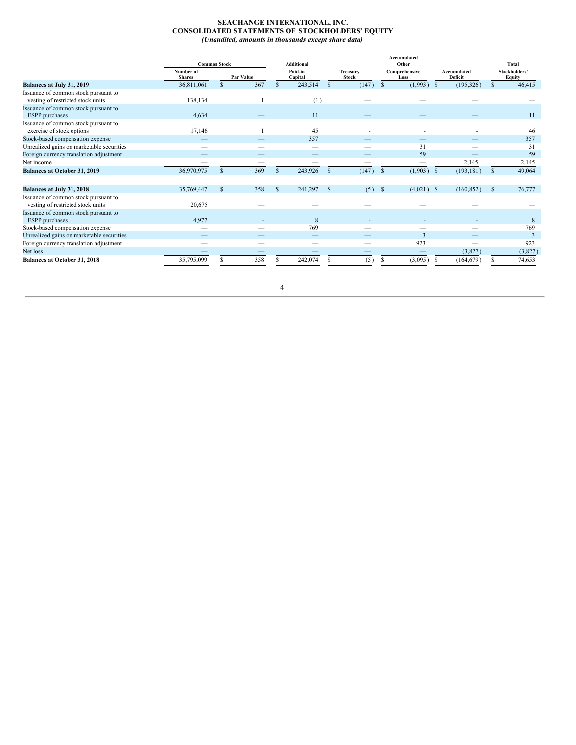## <span id="page-4-0"></span>**SEACHANGE INTERNATIONAL, INC. CONSOLIDATED STATEMENTS OF STOCKHOLDERS' EQUITY** *(Unaudited, amounts in thousands except share data)*

|                                                                           | <b>Common Stock</b> |           |               | <b>Additional</b> |   |                 |               | Accumulated<br>Other    |             |               | Total         |
|---------------------------------------------------------------------------|---------------------|-----------|---------------|-------------------|---|-----------------|---------------|-------------------------|-------------|---------------|---------------|
|                                                                           | Number of           |           |               | Paid-in           |   | <b>Treasury</b> |               | Comprehensive           | Accumulated |               | Stockholders' |
|                                                                           | <b>Shares</b>       | Par Value |               | Capital           |   | <b>Stock</b>    |               | Loss                    | Deficit     |               | <b>Equity</b> |
| Balances at July 31, 2019                                                 | 36,811,061          | 367       | <sup>\$</sup> | 243,514           | S | (147)           | <sup>\$</sup> | $(1,993)$ \$            | (195, 326)  | S             | 46,415        |
| Issuance of common stock pursuant to<br>vesting of restricted stock units | 138,134             |           |               | (1)               |   |                 |               |                         |             |               |               |
| Issuance of common stock pursuant to<br><b>ESPP</b> purchases             | 4,634               |           |               | 11                |   |                 |               |                         |             |               | 11            |
| Issuance of common stock pursuant to<br>exercise of stock options         | 17,146              |           |               | 45                |   |                 |               |                         |             |               | 46            |
| Stock-based compensation expense                                          |                     |           |               | 357               |   |                 |               |                         |             |               | 357           |
| Unrealized gains on marketable securities                                 |                     |           |               |                   |   |                 |               | 31                      |             |               | 31            |
| Foreign currency translation adjustment                                   |                     |           |               |                   |   |                 |               | 59                      |             |               | 59            |
| Net income                                                                |                     |           |               |                   |   |                 |               |                         | 2,145       |               | 2,145         |
| <b>Balances at October 31, 2019</b>                                       | 36,970,975          | 369       |               | 243,926           |   | (147)           |               | (1,903)                 | (193, 181)  |               | 49,064        |
| Balances at July 31, 2018                                                 | 35,769,447          | 358       | $\mathcal{S}$ | 241,297           | S | $(5)$ \$        |               | $(4,021)$ \$            | (160, 852)  | <sup>\$</sup> | 76,777        |
| Issuance of common stock pursuant to<br>vesting of restricted stock units | 20,675              |           |               |                   |   |                 |               |                         |             |               |               |
| Issuance of common stock pursuant to<br><b>ESPP</b> purchases             | 4,977               |           |               | 8                 |   |                 |               |                         |             |               | $\mathbf{8}$  |
| Stock-based compensation expense                                          |                     |           |               | 769               |   |                 |               |                         |             |               | 769           |
| Unrealized gains on marketable securities                                 |                     |           |               |                   |   |                 |               | $\overline{\mathbf{3}}$ |             |               | 3             |
| Foreign currency translation adjustment                                   |                     |           |               |                   |   |                 |               | 923                     |             |               | 923           |
| Net loss                                                                  |                     |           |               |                   |   |                 |               |                         | (3,827)     |               | (3,827)       |
| <b>Balances at October 31, 2018</b>                                       | 35,795,099          | 358       |               | 242,074           | S | (5)             |               | (3,095)                 | (164, 679)  |               | 74,653        |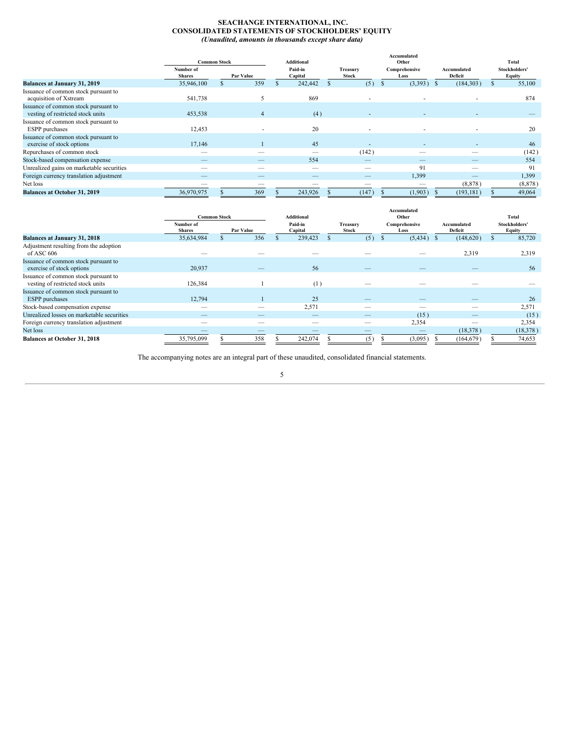## **SEACHANGE INTERNATIONAL, INC. CONSOLIDATED STATEMENTS OF STOCKHOLDERS' EQUITY** *(Unaudited, amounts in thousands except share data)*

|                                                                           |                            | <b>Common Stock</b> |                | <b>Additional</b> |                    |  |                          | Accumulated<br>Other |                       |  |                        | <b>Total</b> |                         |
|---------------------------------------------------------------------------|----------------------------|---------------------|----------------|-------------------|--------------------|--|--------------------------|----------------------|-----------------------|--|------------------------|--------------|-------------------------|
|                                                                           | Number of<br><b>Shares</b> |                     | Par Value      |                   | Paid-in<br>Capital |  | Treasury<br><b>Stock</b> |                      | Comprehensive<br>Loss |  | Accumulated<br>Deficit |              | Stockholders'<br>Equity |
| <b>Balances at January 31, 2019</b>                                       | 35,946,100                 |                     | 359            |                   | 242,442            |  | (5)                      |                      | $(3,393)$ \$          |  | (184, 303)             |              | 55,100                  |
| Issuance of common stock pursuant to<br>acquisition of Xstream            | 541,738                    |                     | 5              |                   | 869                |  |                          |                      |                       |  |                        |              | 874                     |
| Issuance of common stock pursuant to<br>vesting of restricted stock units | 453,538                    |                     | $\overline{4}$ |                   | (4)                |  |                          |                      | ۰.                    |  | ۰                      |              |                         |
| Issuance of common stock pursuant to<br>ESPP purchases                    | 12,453                     |                     |                |                   | 20                 |  |                          |                      |                       |  | ٠                      |              | 20                      |
| Issuance of common stock pursuant to<br>exercise of stock options         | 17,146                     |                     |                |                   | 45                 |  |                          |                      |                       |  | $\sim$                 |              | 46                      |
| Repurchases of common stock                                               |                            |                     |                |                   | --                 |  | (142)                    |                      |                       |  |                        |              | (142)                   |
| Stock-based compensation expense                                          | __                         |                     |                |                   | 554                |  |                          |                      |                       |  |                        |              | 554                     |
| Unrealized gains on marketable securities                                 |                            |                     |                |                   |                    |  |                          |                      | 91                    |  |                        |              | 91                      |
| Foreign currency translation adjustment                                   |                            |                     |                |                   |                    |  |                          |                      | 1,399                 |  |                        |              | 1,399                   |
| Net loss                                                                  |                            |                     |                |                   |                    |  |                          |                      |                       |  | (8,878)                |              | (8,878)                 |
| <b>Balances at October 31, 2019</b>                                       | 36,970,975                 |                     | 369            |                   | 243,926            |  | (147)                    |                      | (1,903)               |  | (193, 181)             |              | 49,064                  |

|                                                                           | <b>Common Stock</b>        |           | <b>Additional</b>  |                          | Accumulated<br>Other  |                        | Total                   |
|---------------------------------------------------------------------------|----------------------------|-----------|--------------------|--------------------------|-----------------------|------------------------|-------------------------|
|                                                                           | Number of<br><b>Shares</b> | Par Value | Paid-in<br>Capital | Treasury<br>Stock        | Comprehensive<br>Loss | Accumulated<br>Deficit | Stockholders'<br>Equity |
| <b>Balances at January 31, 2018</b>                                       | 35,634,984                 | 356       | 239,423            | (5)                      | $(5,434)$ \$          | (148,620)              | 85,720                  |
| Adjustment resulting from the adoption<br>of ASC $606$                    |                            |           |                    |                          |                       | 2,319                  | 2,319                   |
| Issuance of common stock pursuant to<br>exercise of stock options         | 20,937                     |           | 56                 |                          |                       |                        | 56                      |
| Issuance of common stock pursuant to<br>vesting of restricted stock units | 126,384                    |           | (1)                |                          |                       |                        |                         |
| Issuance of common stock pursuant to<br><b>ESPP</b> purchases             | 12,794                     |           | 25                 |                          |                       |                        | 26                      |
| Stock-based compensation expense                                          |                            |           | 2,571              |                          |                       |                        | 2,571                   |
| Unrealized losses on marketable securities                                |                            |           | __                 |                          | (15)                  |                        | (15)                    |
| Foreign currency translation adjustment                                   | $-$                        | __        |                    | $\overline{\phantom{a}}$ | 2,354                 |                        | 2,354                   |
| Net loss                                                                  |                            |           |                    |                          |                       | (18,378)               | (18, 378)               |
| <b>Balances at October 31, 2018</b>                                       | 35,795,099                 | 358       | 242,074            | (5                       | (3,095)               | (164, 679)             | 74,653                  |

The accompanying notes are an integral part of these unaudited, consolidated financial statements.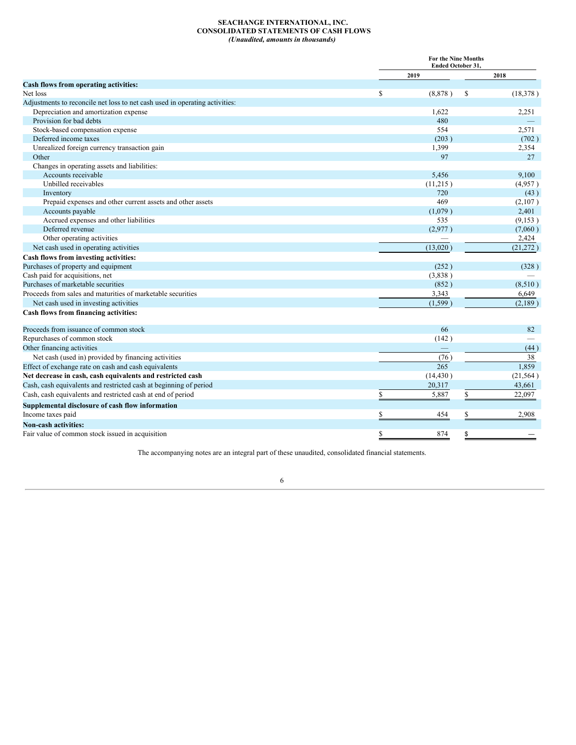## <span id="page-6-0"></span>**SEACHANGE INTERNATIONAL, INC. CONSOLIDATED STATEMENTS OF CASH FLOWS** *(Unaudited, amounts in thousands)*

|                                                                             |    | <b>For the Nine Months</b><br><b>Ended October 31.</b> |           |  |  |  |
|-----------------------------------------------------------------------------|----|--------------------------------------------------------|-----------|--|--|--|
|                                                                             |    | 2019                                                   | 2018      |  |  |  |
| Cash flows from operating activities:                                       |    |                                                        |           |  |  |  |
| Net loss                                                                    | \$ | \$<br>(8,878)                                          | (18,378)  |  |  |  |
| Adjustments to reconcile net loss to net cash used in operating activities: |    |                                                        |           |  |  |  |
| Depreciation and amortization expense                                       |    | 1,622                                                  | 2,251     |  |  |  |
| Provision for bad debts                                                     |    | 480                                                    |           |  |  |  |
| Stock-based compensation expense                                            |    | 554                                                    | 2,571     |  |  |  |
| Deferred income taxes                                                       |    | (203)                                                  | (702)     |  |  |  |
| Unrealized foreign currency transaction gain                                |    | 1,399                                                  | 2,354     |  |  |  |
| Other                                                                       |    | 97                                                     | 27        |  |  |  |
| Changes in operating assets and liabilities:                                |    |                                                        |           |  |  |  |
| Accounts receivable                                                         |    | 5,456                                                  | 9,100     |  |  |  |
| Unbilled receivables                                                        |    | (11,215)                                               | (4,957)   |  |  |  |
| Inventory                                                                   |    | 720                                                    | (43)      |  |  |  |
| Prepaid expenses and other current assets and other assets                  |    | 469                                                    | (2,107)   |  |  |  |
| Accounts payable                                                            |    | (1,079)                                                | 2,401     |  |  |  |
| Accrued expenses and other liabilities                                      |    | 535                                                    | (9, 153)  |  |  |  |
| Deferred revenue                                                            |    | (2,977)                                                | (7,060)   |  |  |  |
| Other operating activities                                                  |    |                                                        | 2,424     |  |  |  |
| Net cash used in operating activities                                       |    | (13,020)                                               | (21, 272) |  |  |  |
| Cash flows from investing activities:                                       |    |                                                        |           |  |  |  |
| Purchases of property and equipment                                         |    | (252)                                                  | (328)     |  |  |  |
| Cash paid for acquisitions, net                                             |    | (3,838)                                                |           |  |  |  |
| Purchases of marketable securities                                          |    | (852)                                                  | (8,510)   |  |  |  |
| Proceeds from sales and maturities of marketable securities                 |    | 3,343                                                  | 6,649     |  |  |  |
| Net cash used in investing activities                                       |    | (1,599)                                                | (2,189)   |  |  |  |
| Cash flows from financing activities:                                       |    |                                                        |           |  |  |  |
| Proceeds from issuance of common stock                                      |    | 66                                                     | 82        |  |  |  |
| Repurchases of common stock                                                 |    | (142)                                                  |           |  |  |  |
| Other financing activities                                                  |    | $\hspace{0.1mm}-\hspace{0.1mm}$                        | (44)      |  |  |  |
| Net cash (used in) provided by financing activities                         |    | (76)                                                   | 38        |  |  |  |
| Effect of exchange rate on cash and cash equivalents                        |    | 265                                                    | 1,859     |  |  |  |
| Net decrease in cash, cash equivalents and restricted cash                  |    | (14, 430)                                              | (21, 564) |  |  |  |
| Cash, cash equivalents and restricted cash at beginning of period           |    | 20,317                                                 | 43,661    |  |  |  |
| Cash, cash equivalents and restricted cash at end of period                 | \$ | 5,887<br>\$                                            | 22,097    |  |  |  |
| Supplemental disclosure of cash flow information                            |    |                                                        |           |  |  |  |
| Income taxes paid                                                           |    | \$<br>454                                              | 2,908     |  |  |  |
| <b>Non-cash activities:</b>                                                 |    |                                                        |           |  |  |  |
| Fair value of common stock issued in acquisition                            | S  | 874<br>\$                                              |           |  |  |  |

The accompanying notes are an integral part of these unaudited, consolidated financial statements.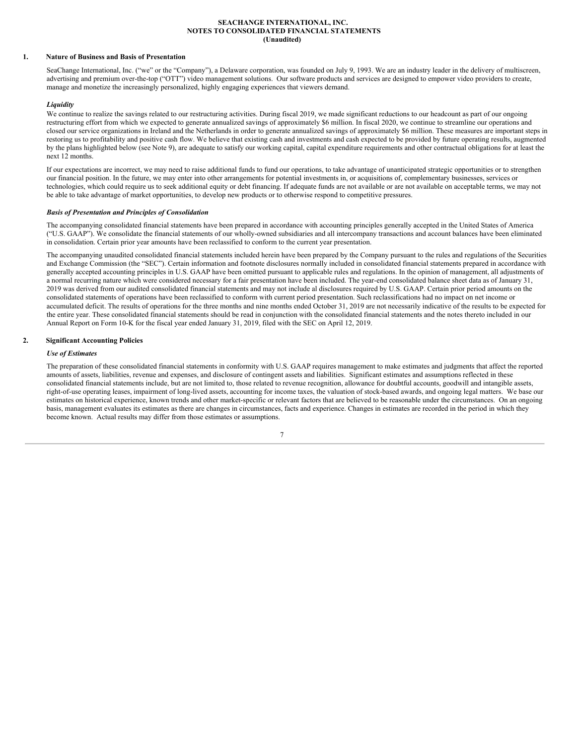### <span id="page-7-0"></span>**SEACHANGE INTERNATIONAL, INC. NOTES TO CONSOLIDATED FINANCIAL STATEMENTS (Unaudited)**

#### **1. Nature of Business and Basis of Presentation**

SeaChange International, Inc. ("we" or the "Company"), a Delaware corporation, was founded on July 9, 1993. We are an industry leader in the delivery of multiscreen, advertising and premium over-the-top ("OTT") video management solutions. Our software products and services are designed to empower video providers to create, manage and monetize the increasingly personalized, highly engaging experiences that viewers demand.

#### *Liquidity*

We continue to realize the savings related to our restructuring activities. During fiscal 2019, we made significant reductions to our headcount as part of our ongoing restructuring effort from which we expected to generate annualized savings of approximately \$6 million. In fiscal 2020, we continue to streamline our operations and closed our service organizations in Ireland and the Netherlands in order to generate annualized savings of approximately \$6 million. These measures are important steps in restoring us to profitability and positive cash flow. We believe that existing cash and investments and cash expected to be provided by future operating results, augmented by the plans highlighted below (see Note 9), are adequate to satisfy our working capital, capital expenditure requirements and other contractual obligations for at least the next 12 months.

If our expectations are incorrect, we may need to raise additional funds to fund our operations, to take advantage of unanticipated strategic opportunities or to strengthen our financial position. In the future, we may enter into other arrangements for potential investments in, or acquisitions of, complementary businesses, services or technologies, which could require us to seek additional equity or debt financing. If adequate funds are not available or are not available on acceptable terms, we may not be able to take advantage of market opportunities, to develop new products or to otherwise respond to competitive pressures.

#### *Basis of Presentation and Principles of Consolidation*

The accompanying consolidated financial statements have been prepared in accordance with accounting principles generally accepted in the United States of America ("U.S. GAAP"). We consolidate the financial statements of our wholly-owned subsidiaries and all intercompany transactions and account balances have been eliminated in consolidation. Certain prior year amounts have been reclassified to conform to the current year presentation.

The accompanying unaudited consolidated financial statements included herein have been prepared by the Company pursuant to the rules and regulations of the Securities and Exchange Commission (the "SEC"). Certain information and footnote disclosures normally included in consolidated financial statements prepared in accordance with generally accepted accounting principles in U.S. GAAP have been omitted pursuant to applicable rules and regulations. In the opinion of management, all adjustments of a normal recurring nature which were considered necessary for a fair presentation have been included. The year-end consolidated balance sheet data as of January 31, 2019 was derived from our audited consolidated financial statements and may not include al disclosures required by U.S. GAAP. Certain prior period amounts on the consolidated statements of operations have been reclassified to conform with current period presentation. Such reclassifications had no impact on net income or accumulated deficit. The results of operations for the three months and nine months ended October 31, 2019 are not necessarily indicative of the results to be expected for the entire year. These consolidated financial statements should be read in conjunction with the consolidated financial statements and the notes thereto included in our Annual Report on Form 10-K for the fiscal year ended January 31, 2019, filed with the SEC on April 12, 2019.

#### **2. Significant Accounting Policies**

#### *Use of Estimates*

The preparation of these consolidated financial statements in conformity with U.S. GAAP requires management to make estimates and judgments that affect the reported amounts of assets, liabilities, revenue and expenses, and disclosure of contingent assets and liabilities. Significant estimates and assumptions reflected in these consolidated financial statements include, but are not limited to, those related to revenue recognition, allowance for doubtful accounts, goodwill and intangible assets, right-of-use operating leases, impairment of long-lived assets, accounting for income taxes, the valuation of stock-based awards, and ongoing legal matters. We base our estimates on historical experience, known trends and other market-specific or relevant factors that are believed to be reasonable under the circumstances. On an ongoing basis, management evaluates its estimates as there are changes in circumstances, facts and experience. Changes in estimates are recorded in the period in which they become known. Actual results may differ from those estimates or assumptions.

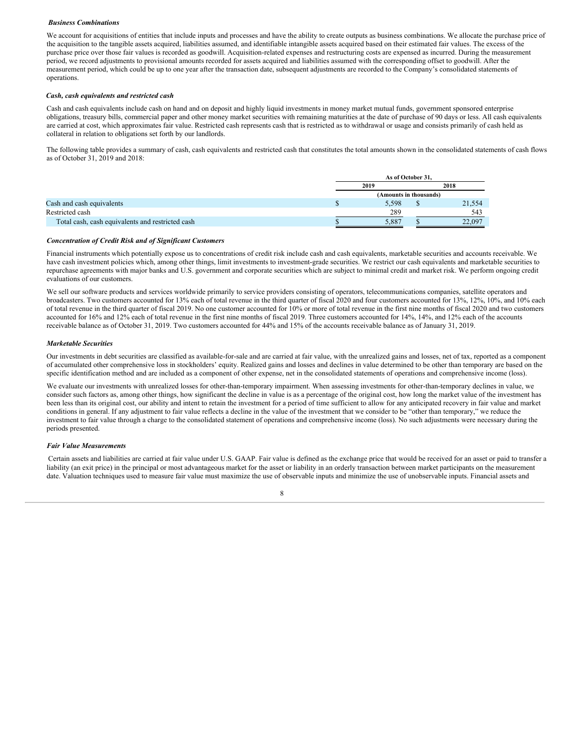#### *Business Combinations*

We account for acquisitions of entities that include inputs and processes and have the ability to create outputs as business combinations. We allocate the purchase price of the acquisition to the tangible assets acquired, liabilities assumed, and identifiable intangible assets acquired based on their estimated fair values. The excess of the purchase price over those fair values is recorded as goodwill. Acquisition-related expenses and restructuring costs are expensed as incurred. During the measurement period, we record adjustments to provisional amounts recorded for assets acquired and liabilities assumed with the corresponding offset to goodwill. After the measurement period, which could be up to one year after the transaction date, subsequent adjustments are recorded to the Company's consolidated statements of operations.

#### *Cash, cash equivalents and restricted cash*

Cash and cash equivalents include cash on hand and on deposit and highly liquid investments in money market mutual funds, government sponsored enterprise obligations, treasury bills, commercial paper and other money market securities with remaining maturities at the date of purchase of 90 days or less. All cash equivalents are carried at cost, which approximates fair value. Restricted cash represents cash that is restricted as to withdrawal or usage and consists primarily of cash held as collateral in relation to obligations set forth by our landlords.

The following table provides a summary of cash, cash equivalents and restricted cash that constitutes the total amounts shown in the consolidated statements of cash flows as of October 31, 2019 and 2018:

|                                                  | As of October 31.      |  |        |  |  |
|--------------------------------------------------|------------------------|--|--------|--|--|
|                                                  | 2019                   |  | 2018   |  |  |
|                                                  | (Amounts in thousands) |  |        |  |  |
| Cash and cash equivalents                        | 5.598                  |  | 21,554 |  |  |
| Restricted cash                                  | 289                    |  | 543    |  |  |
| Total cash, cash equivalents and restricted cash | 5.887                  |  | 22,097 |  |  |

#### *Concentration of Credit Risk and of Significant Customers*

Financial instruments which potentially expose us to concentrations of credit risk include cash and cash equivalents, marketable securities and accounts receivable. We have cash investment policies which, among other things, limit investments to investment-grade securities. We restrict our cash equivalents and marketable securities to repurchase agreements with major banks and U.S. government and corporate securities which are subject to minimal credit and market risk. We perform ongoing credit evaluations of our customers.

We sell our software products and services worldwide primarily to service providers consisting of operators, telecommunications companies, satellite operators and broadcasters. Two customers accounted for 13% each of total revenue in the third quarter of fiscal 2020 and four customers accounted for 13%, 12%, 10%, and 10% each of total revenue in the third quarter of fiscal 2019. No one customer accounted for 10% or more of total revenue in the first nine months of fiscal 2020 and two customers accounted for 16% and 12% each of total revenue in the first nine months of fiscal 2019. Three customers accounted for 14%, 14%, and 12% each of the accounts receivable balance as of October 31, 2019. Two customers accounted for 44% and 15% of the accounts receivable balance as of January 31, 2019.

### *Marketable Securities*

Our investments in debt securities are classified as available-for-sale and are carried at fair value, with the unrealized gains and losses, net of tax, reported as a component of accumulated other comprehensive loss in stockholders' equity. Realized gains and losses and declines in value determined to be other than temporary are based on the specific identification method and are included as a component of other expense, net in the consolidated statements of operations and comprehensive income (loss).

We evaluate our investments with unrealized losses for other-than-temporary impairment. When assessing investments for other-than-temporary declines in value, we consider such factors as, among other things, how significant the decline in value is as a percentage of the original cost, how long the market value of the investment has been less than its original cost, our ability and intent to retain the investment for a period of time sufficient to allow for any anticipated recovery in fair value and market conditions in general. If any adjustment to fair value reflects a decline in the value of the investment that we consider to be "other than temporary," we reduce the investment to fair value through a charge to the consolidated statement of operations and comprehensive income (loss). No such adjustments were necessary during the periods presented.

## *Fair Value Measurements*

Certain assets and liabilities are carried at fair value under U.S. GAAP. Fair value is defined as the exchange price that would be received for an asset or paid to transfer a liability (an exit price) in the principal or most advantageous market for the asset or liability in an orderly transaction between market participants on the measurement date. Valuation techniques used to measure fair value must maximize the use of observable inputs and minimize the use of unobservable inputs. Financial assets and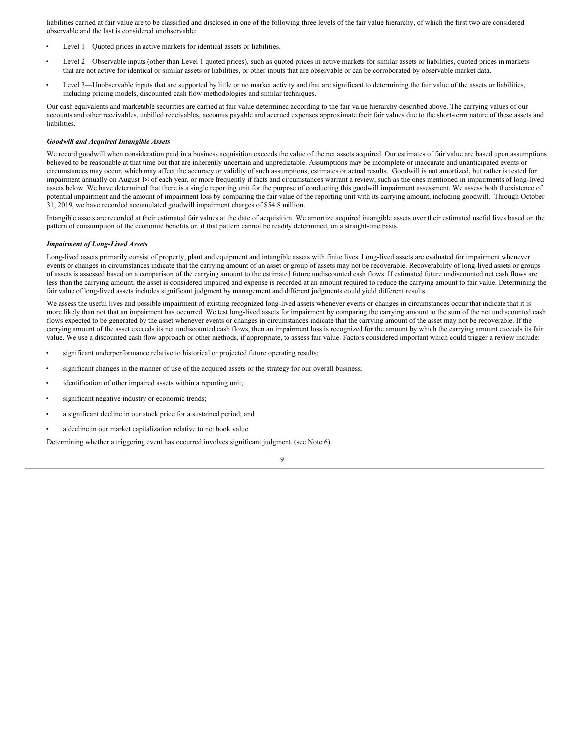liabilities carried at fair value are to be classified and disclosed in one of the following three levels of the fair value hierarchy, of which the first two are considered observable and the last is considered unobservable:

- Level 1-Quoted prices in active markets for identical assets or liabilities.
- Level 2—Observable inputs (other than Level 1 quoted prices), such as quoted prices in active markets for similar assets or liabilities, quoted prices in markets that are not active for identical or similar assets or liabilities, or other inputs that are observable or can be corroborated by observable market data.
- Level 3—Unobservable inputs that are supported by little or no market activity and that are significant to determining the fair value of the assets or liabilities, including pricing models, discounted cash flow methodologies and similar techniques.

Our cash equivalents and marketable securities are carried at fair value determined according to the fair value hierarchy described above. The carrying values of our accounts and other receivables, unbilled receivables, accounts payable and accrued expenses approximate their fair values due to the short-term nature of these assets and liabilities.

#### *Goodwill and Acquired Intangible Assets*

We record goodwill when consideration paid in a business acquisition exceeds the value of the net assets acquired. Our estimates of fair value are based upon assumptions believed to be reasonable at that time but that are inherently uncertain and unpredictable. Assumptions may be incomplete or inaccurate and unanticipated events or circumstances may occur, which may affect the accuracy or validity of such assumptions, estimates or actual results. Goodwill is not amortized, but rather is tested for impairment annually on August 1st of each year, or more frequently if facts and circumstances warrant a review, such as the ones mentioned in impairments of long-lived assets below. We have determined that there is a single reporting unit for the purpose of conducting this goodwill impairment assessment. We assess both thexistence of potential impairment and the amount of impairment loss by comparing the fair value of the reporting unit with its carrying amount, including goodwill. Through October 31, 2019, we have recorded accumulated goodwill impairment charges of \$54.8 million.

Intangible assets are recorded at their estimated fair values at the date of acquisition. We amortize acquired intangible assets over their estimated useful lives based on the pattern of consumption of the economic benefits or, if that pattern cannot be readily determined, on a straight-line basis.

## *Impairment of Long-Lived Assets*

Long-lived assets primarily consist of property, plant and equipment and intangible assets with finite lives. Long-lived assets are evaluated for impairment whenever events or changes in circumstances indicate that the carrying amount of an asset or group of assets may not be recoverable. Recoverability of long-lived assets or groups of assets is assessed based on a comparison of the carrying amount to the estimated future undiscounted cash flows. If estimated future undiscounted net cash flows are less than the carrying amount, the asset is considered impaired and expense is recorded at an amount required to reduce the carrying amount to fair value. Determining the fair value of long-lived assets includes significant judgment by management and different judgments could yield different results.

We assess the useful lives and possible impairment of existing recognized long-lived assets whenever events or changes in circumstances occur that indicate that it is more likely than not that an impairment has occurred. We test long-lived assets for impairment by comparing the carrying amount to the sum of the net undiscounted cash flows expected to be generated by the asset whenever events or changes in circumstances indicate that the carrying amount of the asset may not be recoverable. If the carrying amount of the asset exceeds its net undiscounted cash flows, then an impairment loss is recognized for the amount by which the carrying amount exceeds its fair value. We use a discounted cash flow approach or other methods, if appropriate, to assess fair value. Factors considered important which could trigger a review include:

- significant underperformance relative to historical or projected future operating results;
- significant changes in the manner of use of the acquired assets or the strategy for our overall business;
- identification of other impaired assets within a reporting unit;
- significant negative industry or economic trends;
- a significant decline in our stock price for a sustained period; and
- a decline in our market capitalization relative to net book value.

Determining whether a triggering event has occurred involves significant judgment. (see Note 6).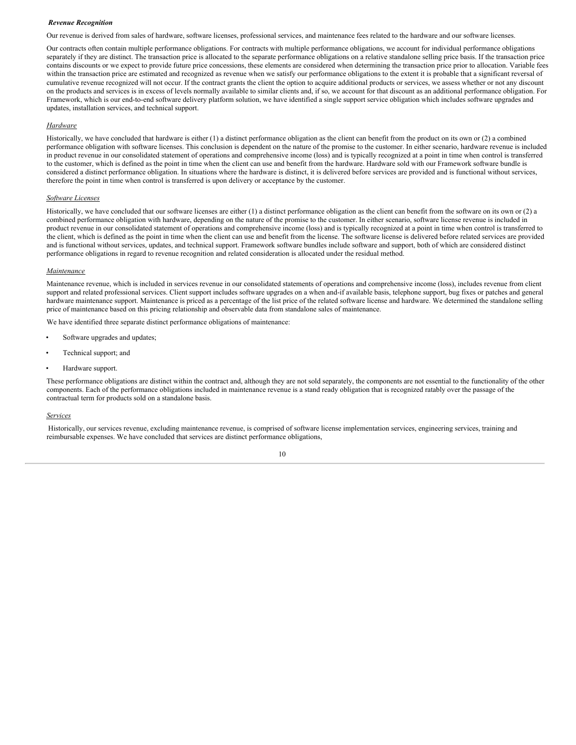#### *Revenue Recognition*

Our revenue is derived from sales of hardware, software licenses, professional services, and maintenance fees related to the hardware and our software licenses.

Our contracts often contain multiple performance obligations. For contracts with multiple performance obligations, we account for individual performance obligations separately if they are distinct. The transaction price is allocated to the separate performance obligations on a relative standalone selling price basis. If the transaction price contains discounts or we expect to provide future price concessions, these elements are considered when determining the transaction price prior to allocation. Variable fees within the transaction price are estimated and recognized as revenue when we satisfy our performance obligations to the extent it is probable that a significant reversal of cumulative revenue recognized will not occur. If the contract grants the client the option to acquire additional products or services, we assess whether or not any discount on the products and services is in excess of levels normally available to similar clients and, if so, we account for that discount as an additional performance obligation. For Framework, which is our end-to-end software delivery platform solution, we have identified a single support service obligation which includes software upgrades and updates, installation services, and technical support.

## *Hardware*

Historically, we have concluded that hardware is either (1) a distinct performance obligation as the client can benefit from the product on its own or (2) a combined performance obligation with software licenses. This conclusion is dependent on the nature of the promise to the customer. In either scenario, hardware revenue is included in product revenue in our consolidated statement of operations and comprehensive income (loss) and is typically recognized at a point in time when control is transferred to the customer, which is defined as the point in time when the client can use and benefit from the hardware. Hardware sold with our Framework software bundle is considered a distinct performance obligation. In situations where the hardware is distinct, it is delivered before services are provided and is functional without services, therefore the point in time when control is transferred is upon delivery or acceptance by the customer.

#### *Software Licenses*

Historically, we have concluded that our software licenses are either (1) a distinct performance obligation as the client can benefit from the software on its own or (2) a combined performance obligation with hardware, depending on the nature of the promise to the customer. In either scenario, software license revenue is included in product revenue in our consolidated statement of operations and comprehensive income (loss) and is typically recognized at a point in time when control is transferred to the client, which is defined as the point in time when the client can use and benefit from the license. The software license is delivered before related services are provided and is functional without services, updates, and technical support. Framework software bundles include software and support, both of which are considered distinct performance obligations in regard to revenue recognition and related consideration is allocated under the residual method.

#### *Maintenance*

Maintenance revenue, which is included in services revenue in our consolidated statements of operations and comprehensive income (loss), includes revenue from client support and related professional services. Client support includes software upgrades on a when and-if available basis, telephone support, bug fixes or patches and general hardware maintenance support. Maintenance is priced as a percentage of the list price of the related software license and hardware. We determined the standalone selling price of maintenance based on this pricing relationship and observable data from standalone sales of maintenance.

We have identified three separate distinct performance obligations of maintenance:

- Software upgrades and updates;
- Technical support; and
- Hardware support.

These performance obligations are distinct within the contract and, although they are not sold separately, the components are not essential to the functionality of the other components. Each of the performance obligations included in maintenance revenue is a stand ready obligation that is recognized ratably over the passage of the contractual term for products sold on a standalone basis.

#### *Services*

Historically, our services revenue, excluding maintenance revenue, is comprised of software license implementation services, engineering services, training and reimbursable expenses. We have concluded that services are distinct performance obligations,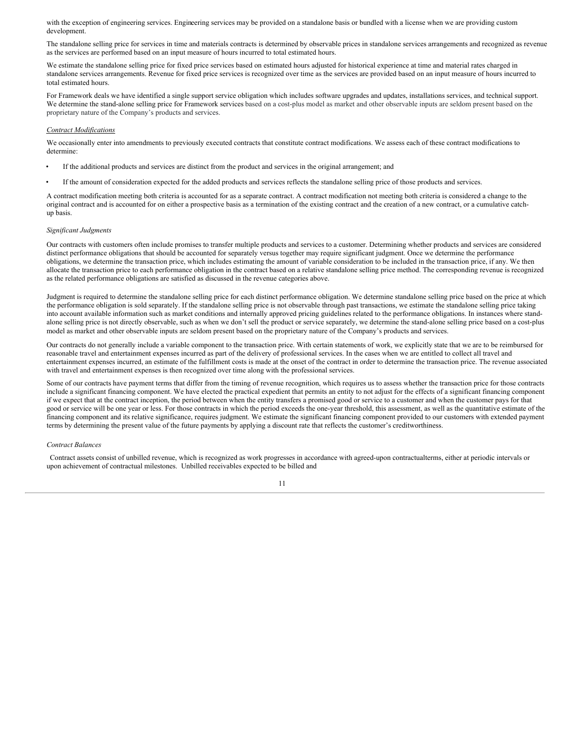with the exception of engineering services. Engineering services may be provided on a standalone basis or bundled with a license when we are providing custom development.

The standalone selling price for services in time and materials contracts is determined by observable prices in standalone services arrangements and recognized as revenue as the services are performed based on an input measure of hours incurred to total estimated hours.

We estimate the standalone selling price for fixed price services based on estimated hours adjusted for historical experience at time and material rates charged in standalone services arrangements. Revenue for fixed price services is recognized over time as the services are provided based on an input measure of hours incurred to total estimated hours.

For Framework deals we have identified a single support service obligation which includes software upgrades and updates, installations services, and technical support. We determine the stand-alone selling price for Framework services based on a cost-plus model as market and other observable inputs are seldom present based on the proprietary nature of the Company's products and services.

#### *Contract Modifications*

We occasionally enter into amendments to previously executed contracts that constitute contract modifications. We assess each of these contract modifications to determine:

- If the additional products and services are distinct from the product and services in the original arrangement; and
- If the amount of consideration expected for the added products and services reflects the standalone selling price of those products and services.

A contract modification meeting both criteria is accounted for as a separate contract. A contract modification not meeting both criteria is considered a change to the original contract and is accounted for on either a prospective basis as a termination of the existing contract and the creation of a new contract, or a cumulative catchup basis.

#### *Significant Judgments*

Our contracts with customers often include promises to transfer multiple products and services to a customer. Determining whether products and services are considered distinct performance obligations that should be accounted for separately versus together may require significant judgment. Once we determine the performance obligations, we determine the transaction price, which includes estimating the amount of variable consideration to be included in the transaction price, if any. We then allocate the transaction price to each performance obligation in the contract based on a relative standalone selling price method. The corresponding revenue is recognized as the related performance obligations are satisfied as discussed in the revenue categories above.

Judgment is required to determine the standalone selling price for each distinct performance obligation. We determine standalone selling price based on the price at which the performance obligation is sold separately. If the standalone selling price is not observable through past transactions, we estimate the standalone selling price taking into account available information such as market conditions and internally approved pricing guidelines related to the performance obligations. In instances where standalone selling price is not directly observable, such as when we don't sell the product or service separately, we determine the stand-alone selling price based on a cost-plus model as market and other observable inputs are seldom present based on the proprietary nature of the Company's products and services.

Our contracts do not generally include a variable component to the transaction price. With certain statements of work, we explicitly state that we are to be reimbursed for reasonable travel and entertainment expenses incurred as part of the delivery of professional services. In the cases when we are entitled to collect all travel and entertainment expenses incurred, an estimate of the fulfillment costs is made at the onset of the contract in order to determine the transaction price. The revenue associated with travel and entertainment expenses is then recognized over time along with the professional services.

Some of our contracts have payment terms that differ from the timing of revenue recognition, which requires us to assess whether the transaction price for those contracts include a significant financing component. We have elected the practical expedient that permits an entity to not adjust for the effects of a significant financing component if we expect that at the contract inception, the period between when the entity transfers a promised good or service to a customer and when the customer pays for that good or service will be one year or less. For those contracts in which the period exceeds the one-year threshold, this assessment, as well as the quantitative estimate of the financing component and its relative significance, requires judgment. We estimate the significant financing component provided to our customers with extended payment terms by determining the present value of the future payments by applying a discount rate that reflects the customer's creditworthiness.

#### *Contract Balances*

Contract assets consist of unbilled revenue, which is recognized as work progresses in accordance with agreed-upon contractualterms, either at periodic intervals or upon achievement of contractual milestones. Unbilled receivables expected to be billed and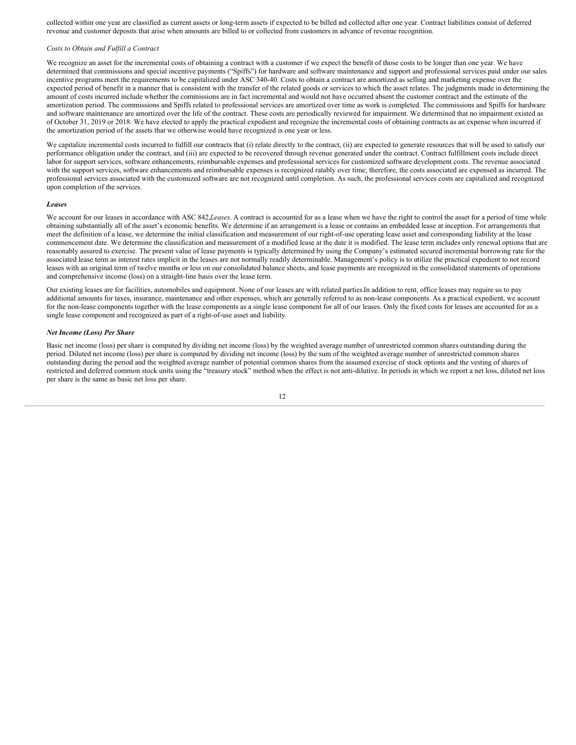collected within one year are classified as current assets or long-term assets if expected to be billed and collected after one year. Contract liabilities consist of deferred revenue and customer deposits that arise when amounts are billed to or collected from customers in advance of revenue recognition.

#### *Costs to Obtain and Fulfill a Contract*

We recognize an asset for the incremental costs of obtaining a contract with a customer if we expect the benefit of those costs to be longer than one year. We have determined that commissions and special incentive payments ("Spiffs") for hardware and software maintenance and support and professional services paid under our sales incentive programs meet the requirements to be capitalized under ASC 340-40. Costs to obtain a contract are amortized as selling and marketing expense over the expected period of benefit in a manner that is consistent with the transfer of the related goods or services to which the asset relates. The judgments made in determining the amount of costs incurred include whether the commissions are in fact incremental and would not have occurred absent the customer contract and the estimate of the amortization period. The commissions and Spiffs related to professional services are amortized over time as work is completed. The commissions and Spiffs for hardware and software maintenance are amortized over the life of the contract. These costs are periodically reviewed for impairment. We determined that no impairment existed as of October 31, 2019 or 2018. We have elected to apply the practical expedient and recognize the incremental costs of obtaining contracts as an expense when incurred if the amortization period of the assets that we otherwise would have recognized is one year or less.

We capitalize incremental costs incurred to fulfill our contracts that (i) relate directly to the contract, (ii) are expected to generate resources that will be used to satisfy our performance obligation under the contract, and (iii) are expected to be recovered through revenue generated under the contract. Contract fulfillment costs include direct labor for support services, software enhancements, reimbursable expenses and professional services for customized software development costs. The revenue associated with the support services, software enhancements and reimbursable expenses is recognized ratably over time; therefore, the costs associated are expensed as incurred. The professional services associated with the customized software are not recognized until completion. As such, the professional services costs are capitalized and recognized upon completion of the services.

#### *Leases*

We account for our leases in accordance with ASC 842,*Leases*. A contract is accounted for as a lease when we have the right to control the asset for a period of time while obtaining substantially all of the asset's economic benefits. We determine if an arrangement is a lease or contains an embedded lease at inception. For arrangements that meet the definition of a lease, we determine the initial classification and measurement of our right-of-use operating lease asset and corresponding liability at the lease commencement date. We determine the classification and measurement of a modified lease at the date it is modified. The lease term includes only renewal options that are reasonably assured to exercise. The present value of lease payments is typically determined by using the Company's estimated secured incremental borrowing rate for the associated lease term as interest rates implicit in the leases are not normally readily determinable. Management's policy is to utilize the practical expedient to not record leases with an original term of twelve months or less on our consolidated balance sheets, and lease payments are recognized in the consolidated statements of operations and comprehensive income (loss) on a straight-line basis over the lease term.

Our existing leases are for facilities, automobiles and equipment. None of our leases are with related parties.In addition to rent, office leases may require us to pay additional amounts for taxes, insurance, maintenance and other expenses, which are generally referred to as non-lease components. As a practical expedient, we account for the non-lease components together with the lease components as a single lease component for all of our leases. Only the fixed costs for leases are accounted for as a single lease component and recognized as part of a right-of-use asset and liability.

#### *Net Income (Loss) Per Share*

Basic net income (loss) per share is computed by dividing net income (loss) by the weighted average number of unrestricted common shares outstanding during the period. Diluted net income (loss) per share is computed by dividing net income (loss) by the sum of the weighted average number of unrestricted common shares outstanding during the period and the weighted average number of potential common shares from the assumed exercise of stock options and the vesting of shares of restricted and deferred common stock units using the "treasury stock" method when the effect is not anti-dilutive. In periods in which we report a net loss, diluted net loss per share is the same as basic net loss per share.

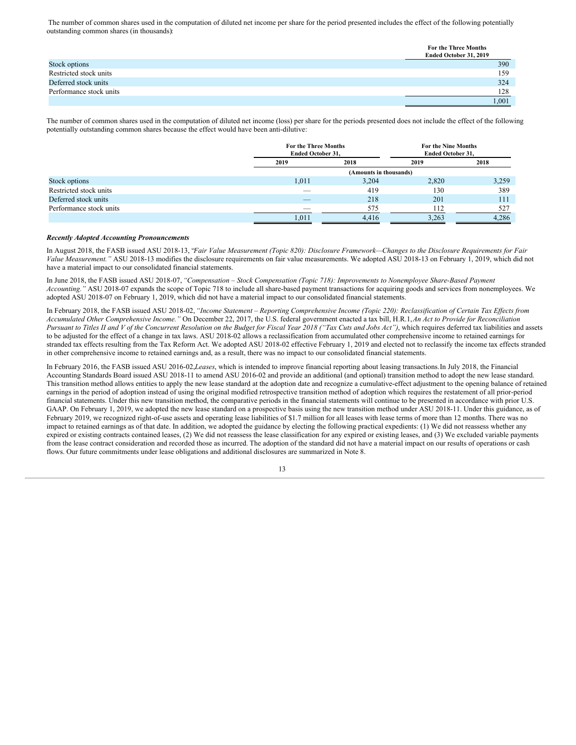The number of common shares used in the computation of diluted net income per share for the period presented includes the effect of the following potentially outstanding common shares (in thousands):

|                         | <b>For the Three Months</b><br>Ended October 31, 2019 |
|-------------------------|-------------------------------------------------------|
| Stock options           | 390                                                   |
| Restricted stock units  | 159                                                   |
| Deferred stock units    | 324                                                   |
| Performance stock units | 128                                                   |
|                         | 1.001                                                 |

The number of common shares used in the computation of diluted net income (loss) per share for the periods presented does not include the effect of the following potentially outstanding common shares because the effect would have been anti-dilutive:

|                         | <b>For the Three Months</b><br><b>Ended October 31.</b> |                        | For the Nine Months<br>Ended October 31, |       |  |  |  |  |
|-------------------------|---------------------------------------------------------|------------------------|------------------------------------------|-------|--|--|--|--|
|                         | 2019                                                    | 2018                   |                                          | 2018  |  |  |  |  |
|                         |                                                         | (Amounts in thousands) |                                          |       |  |  |  |  |
| Stock options           | 1,011                                                   | 3,204                  | 2,820                                    | 3,259 |  |  |  |  |
| Restricted stock units  |                                                         | 419                    | 130                                      | 389   |  |  |  |  |
| Deferred stock units    |                                                         | 218                    | 201                                      | 111   |  |  |  |  |
| Performance stock units |                                                         | 575                    | 112                                      | 527   |  |  |  |  |
|                         | 1,011                                                   | 4,416                  | 3,263                                    | 4,286 |  |  |  |  |

#### *Recently Adopted Accounting Pronouncements*

In August 2018, the FASB issued ASU 2018-13, "Fair Value Measurement (Topic 820): Disclosure Framework-Changes to the Disclosure Requirements for Fair *Value Measurement."* ASU 2018-13 modifies the disclosure requirements on fair value measurements. We adopted ASU 2018-13 on February 1, 2019, which did not have a material impact to our consolidated financial statements.

In June 2018, the FASB issued ASU 2018-07, *"Compensation – Stock Compensation (Topic 718): Improvements to Nonemployee Share-Based Payment Accounting."* ASU 2018-07 expands the scope of Topic 718 to include all share-based payment transactions for acquiring goods and services from nonemployees. We adopted ASU 2018-07 on February 1, 2019, which did not have a material impact to our consolidated financial statements.

In February 2018, the FASB issued ASU 2018-02, "Income Statement - Reporting Comprehensive Income (Topic 220): Reclassification of Certain Tax Effects from *Accumulated Other Comprehensive Income."* On December 22, 2017, the U.S. federal government enacted a tax bill, H.R.1,*An Act to Provide for Reconciliation* Pursuant to Titles II and V of the Concurrent Resolution on the Budget for Fiscal Year 2018 ("Tax Cuts and Jobs Act"), which requires deferred tax liabilities and assets to be adjusted for the effect of a change in tax laws. ASU 2018-02 allows a reclassification from accumulated other comprehensive income to retained earnings for stranded tax effects resulting from the Tax Reform Act. We adopted ASU 2018-02 effective February 1, 2019 and elected not to reclassify the income tax effects stranded in other comprehensive income to retained earnings and, as a result, there was no impact to our consolidated financial statements.

In February 2016, the FASB issued ASU 2016-02,*Leases*, which is intended to improve financial reporting about leasing transactions.In July 2018, the Financial Accounting Standards Board issued ASU 2018-11 to amend ASU 2016-02 and provide an additional (and optional) transition method to adopt the new lease standard. This transition method allows entities to apply the new lease standard at the adoption date and recognize a cumulative-effect adjustment to the opening balance of retained earnings in the period of adoption instead of using the original modified retrospective transition method of adoption which requires the restatement of all prior-period financial statements. Under this new transition method, the comparative periods in the financial statements will continue to be presented in accordance with prior U.S. GAAP. On February 1, 2019, we adopted the new lease standard on a prospective basis using the new transition method under ASU 2018-11. Under this guidance, as of February 2019, we recognized right-of-use assets and operating lease liabilities of \$1.7 million for all leases with lease terms of more than 12 months. There was no impact to retained earnings as of that date. In addition, we adopted the guidance by electing the following practical expedients: (1) We did not reassess whether any expired or existing contracts contained leases, (2) We did not reassess the lease classification for any expired or existing leases, and (3) We excluded variable payments from the lease contract consideration and recorded those as incurred. The adoption of the standard did not have a material impact on our results of operations or cash flows. Our future commitments under lease obligations and additional disclosures are summarized in Note 8.

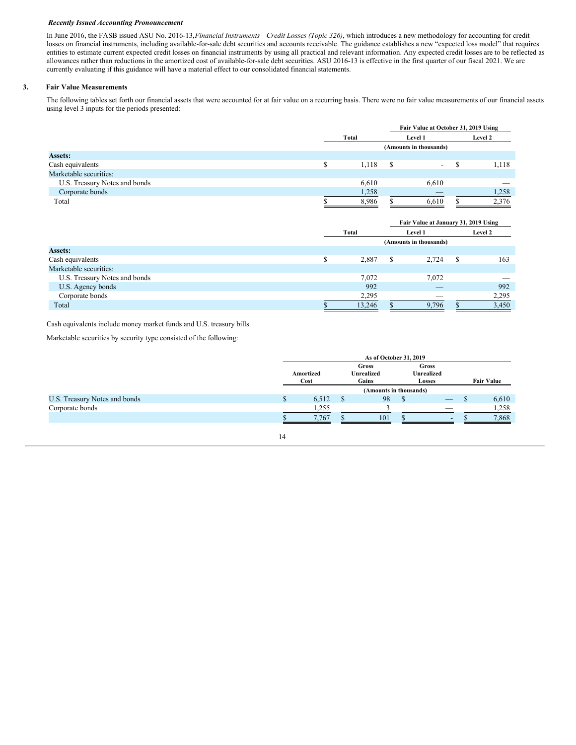#### *Recently Issued Accounting Pronouncement*

In June 2016, the FASB issued ASU No. 2016-13,*Financial Instruments—Credit Losses (Topic 326)*, which introduces a new methodology for accounting for credit losses on financial instruments, including available-for-sale debt securities and accounts receivable. The guidance establishes a new "expected loss model" that requires entities to estimate current expected credit losses on financial instruments by using all practical and relevant information. Any expected credit losses are to be reflected as allowances rather than reductions in the amortized cost of available-for-sale debt securities. ASU 2016-13 is effective in the first quarter of our fiscal 2021. We are currently evaluating if this guidance will have a material effect to our consolidated financial statements.

## **3. Fair Value Measurements**

The following tables set forth our financial assets that were accounted for at fair value on a recurring basis. There were no fair value measurements of our financial assets using level 3 inputs for the periods presented:

|                               |  |       |  |                          | Fair Value at October 31, 2019 Using |         |  |  |
|-------------------------------|--|-------|--|--------------------------|--------------------------------------|---------|--|--|
|                               |  | Total |  | Level 1                  |                                      | Level 2 |  |  |
|                               |  |       |  | (Amounts in thousands)   |                                      |         |  |  |
| <b>Assets:</b>                |  |       |  |                          |                                      |         |  |  |
| Cash equivalents              |  | 1,118 |  | $\overline{\phantom{a}}$ | - \$                                 | 1,118   |  |  |
| Marketable securities:        |  |       |  |                          |                                      |         |  |  |
| U.S. Treasury Notes and bonds |  | 6,610 |  | 6,610                    |                                      |         |  |  |
| Corporate bonds               |  | 1,258 |  | $\overline{\phantom{a}}$ |                                      | 1,258   |  |  |
| Total                         |  | 8,986 |  | 6,610                    |                                      | 2,376   |  |  |

|    |                        |   | Fair Value at January 31, 2019 Using |    |                |  |  |  |
|----|------------------------|---|--------------------------------------|----|----------------|--|--|--|
|    | Total                  |   | Level 1                              |    | <b>Level 2</b> |  |  |  |
|    | (Amounts in thousands) |   |                                      |    |                |  |  |  |
|    |                        |   |                                      |    |                |  |  |  |
| S  | 2,887                  | S | 2.724                                | -S | 163            |  |  |  |
|    |                        |   |                                      |    |                |  |  |  |
|    | 7,072                  |   | 7,072                                |    |                |  |  |  |
|    | 992                    |   | $\overline{\phantom{a}}$             |    | 992            |  |  |  |
|    | 2,295                  |   | -                                    |    | 2,295          |  |  |  |
| ۰D | 13,246                 |   | 9.796                                |    | 3.450          |  |  |  |

Cash equivalents include money market funds and U.S. treasury bills.

Marketable securities by security type consisted of the following:

|                               | As of October 31, 2019 |       |   |                        |              |                            |                   |                     |  |  |
|-------------------------------|------------------------|-------|---|------------------------|--------------|----------------------------|-------------------|---------------------|--|--|
|                               | Amortized              |       |   |                        |              | <b>Gross</b><br>Unrealized |                   | Gross<br>Unrealized |  |  |
|                               |                        | Cost  |   | Gains                  |              | Losses                     | <b>Fair Value</b> |                     |  |  |
|                               |                        |       |   | (Amounts in thousands) |              |                            |                   |                     |  |  |
| U.S. Treasury Notes and bonds | P                      | 6,512 | S | 98                     | <sup>S</sup> | _                          |                   | 6,610               |  |  |
| Corporate bonds               |                        | 1,255 |   |                        |              | $\overline{\phantom{a}}$   |                   | 1,258               |  |  |
|                               |                        | 7.767 |   | 101                    |              | $\sim$                     |                   | 7,868               |  |  |
|                               |                        |       |   |                        |              |                            |                   |                     |  |  |
|                               | 14                     |       |   |                        |              |                            |                   |                     |  |  |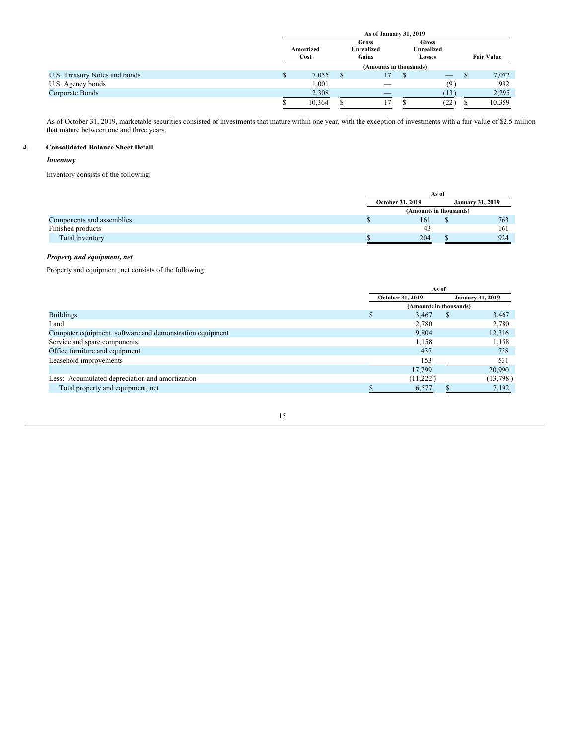|                               | As of January 31, 2019 |        |                                     |                          |  |                                             |  |                   |
|-------------------------------|------------------------|--------|-------------------------------------|--------------------------|--|---------------------------------------------|--|-------------------|
|                               | Amortized<br>Cost      |        | Gross<br><b>Unrealized</b><br>Gains |                          |  | Gross<br><b>Unrealized</b><br><b>Losses</b> |  | <b>Fair Value</b> |
|                               |                        |        |                                     | (Amounts in thousands)   |  |                                             |  |                   |
| U.S. Treasury Notes and bonds |                        | 7,055  |                                     |                          |  | $\hspace{0.1mm}-\hspace{0.1mm}$             |  | 7,072             |
| U.S. Agency bonds             |                        | 1,001  |                                     | $\overline{\phantom{a}}$ |  | (9)                                         |  | 992               |
| Corporate Bonds               |                        | 2,308  |                                     | $\overline{\phantom{a}}$ |  | (13)                                        |  | 2,295             |
|                               |                        | 10,364 |                                     |                          |  | (22                                         |  | 10,359            |

As of October 31, 2019, marketable securities consisted of investments that mature within one year, with the exception of investments with a fair value of \$2.5 million that mature between one and three years.

## **4. Consolidated Balance Sheet Detail**

## *Inventory*

Inventory consists of the following:

| As of                  |                         |     |  |
|------------------------|-------------------------|-----|--|
| October 31, 2019       | <b>January 31, 2019</b> |     |  |
| (Amounts in thousands) |                         |     |  |
| 161                    |                         | 763 |  |
| $4^{\circ}$            |                         | 161 |  |
| 204                    |                         | 924 |  |
|                        |                         |     |  |

# *Property and equipment, net*

Property and equipment, net consists of the following:

|                                                          | As of |                        |    |                         |  |
|----------------------------------------------------------|-------|------------------------|----|-------------------------|--|
|                                                          |       | October 31, 2019       |    | <b>January 31, 2019</b> |  |
|                                                          |       | (Amounts in thousands) |    |                         |  |
| <b>Buildings</b>                                         |       | 3,467                  | \$ | 3,467                   |  |
| Land                                                     |       | 2,780                  |    | 2,780                   |  |
| Computer equipment, software and demonstration equipment |       | 9,804                  |    | 12,316                  |  |
| Service and spare components                             |       | 1,158                  |    | 1,158                   |  |
| Office furniture and equipment                           |       | 437                    |    | 738                     |  |
| Leasehold improvements                                   |       | 153                    |    | 531                     |  |
|                                                          |       | 17.799                 |    | 20,990                  |  |
| Less: Accumulated depreciation and amortization          |       | (11,222)               |    | (13,798)                |  |
| Total property and equipment, net                        |       | 6,577                  |    | 7,192                   |  |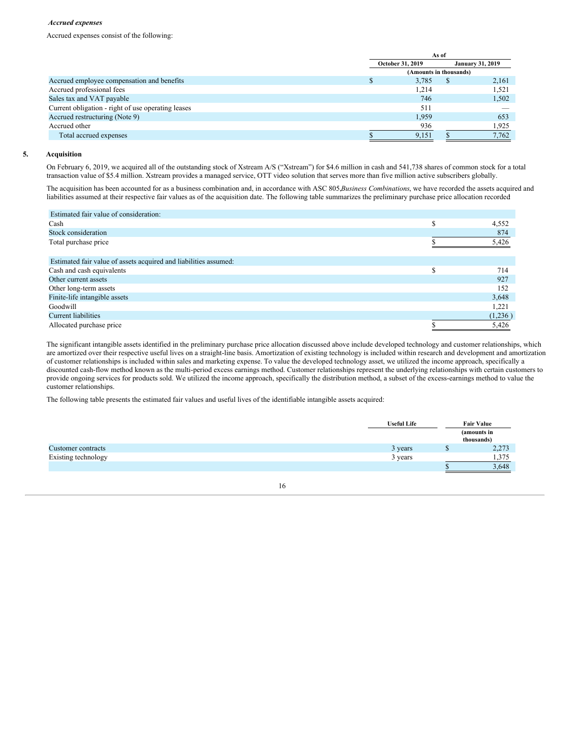#### *Accrued expenses*

Accrued expenses consist of the following:

|                                                    | As of                  |       |               |                         |  |  |  |  |
|----------------------------------------------------|------------------------|-------|---------------|-------------------------|--|--|--|--|
|                                                    | October 31, 2019       |       |               | <b>January 31, 2019</b> |  |  |  |  |
|                                                    | (Amounts in thousands) |       |               |                         |  |  |  |  |
| Accrued employee compensation and benefits         |                        | 3,785 | <sup>\$</sup> | 2,161                   |  |  |  |  |
| Accrued professional fees                          |                        | 1,214 |               | 1,521                   |  |  |  |  |
| Sales tax and VAT payable                          |                        | 746   |               | 1,502                   |  |  |  |  |
| Current obligation - right of use operating leases |                        | 511   |               |                         |  |  |  |  |
| Accrued restructuring (Note 9)                     |                        | 1,959 |               | 653                     |  |  |  |  |
| Accrued other                                      |                        | 936   |               | 1,925                   |  |  |  |  |
| Total accrued expenses                             |                        | 9.151 |               | 7.762                   |  |  |  |  |

## **5. Acquisition**

On February 6, 2019, we acquired all of the outstanding stock of Xstream A/S ("Xstream") for \$4.6 million in cash and 541,738 shares of common stock for a total transaction value of \$5.4 million. Xstream provides a managed service, OTT video solution that serves more than five million active subscribers globally.

The acquisition has been accounted for as a business combination and, in accordance with ASC 805,*Business Combinations*, we have recorded the assets acquired and liabilities assumed at their respective fair values as of the acquisition date. The following table summarizes the preliminary purchase price allocation recorded

| Estimated fair value of consideration:                           |         |
|------------------------------------------------------------------|---------|
| Cash                                                             | 4,552   |
| Stock consideration                                              | 874     |
| Total purchase price                                             | 5,426   |
|                                                                  |         |
| Estimated fair value of assets acquired and liabilities assumed: |         |
| Cash and cash equivalents                                        | 714     |
| Other current assets                                             | 927     |
| Other long-term assets                                           | 152     |
| Finite-life intangible assets                                    | 3,648   |
| Goodwill                                                         | 1,221   |
| <b>Current liabilities</b>                                       | (1,236) |
| Allocated purchase price                                         | 5,426   |

The significant intangible assets identified in the preliminary purchase price allocation discussed above include developed technology and customer relationships, which are amortized over their respective useful lives on a straight-line basis. Amortization of existing technology is included within research and development and amortization of customer relationships is included within sales and marketing expense. To value the developed technology asset, we utilized the income approach, specifically a discounted cash-flow method known as the multi-period excess earnings method. Customer relationships represent the underlying relationships with certain customers to provide ongoing services for products sold. We utilized the income approach, specifically the distribution method, a subset of the excess-earnings method to value the customer relationships.

The following table presents the estimated fair values and useful lives of the identifiable intangible assets acquired:

|                     | <b>Useful Life</b> |                           | <b>Fair Value</b> |  |
|---------------------|--------------------|---------------------------|-------------------|--|
|                     |                    | (amounts in<br>thousands) |                   |  |
| Customer contracts  | 3 years            |                           | 2,273             |  |
| Existing technology | 3 years            |                           | 1.375             |  |
|                     |                    |                           | 3,648             |  |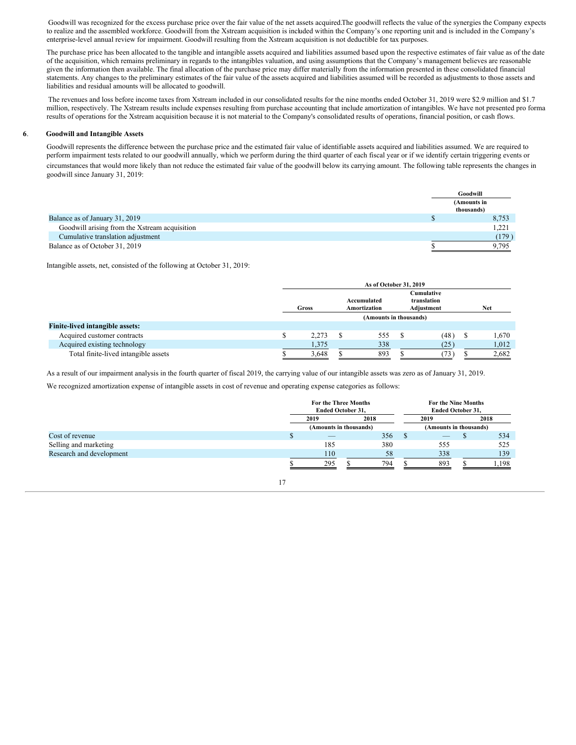Goodwill was recognized for the excess purchase price over the fair value of the net assets acquired.The goodwill reflects the value of the synergies the Company expects to realize and the assembled workforce. Goodwill from the Xstream acquisition is included within the Company's one reporting unit and is included in the Company's enterprise-level annual review for impairment. Goodwill resulting from the Xstream acquisition is not deductible for tax purposes.

The purchase price has been allocated to the tangible and intangible assets acquired and liabilities assumed based upon the respective estimates of fair value as of the date of the acquisition, which remains preliminary in regards to the intangibles valuation, and using assumptions that the Company's management believes are reasonable given the information then available. The final allocation of the purchase price may differ materially from the information presented in these consolidated financial statements. Any changes to the preliminary estimates of the fair value of the assets acquired and liabilities assumed will be recorded as adjustments to those assets and liabilities and residual amounts will be allocated to goodwill.

The revenues and loss before income taxes from Xstream included in our consolidated results for the nine months ended October 31, 2019 were \$2.9 million and \$1.7 million, respectively. The Xstream results include expenses resulting from purchase accounting that include amortization of intangibles. We have not presented pro forma results of operations for the Xstream acquisition because it is not material to the Company's consolidated results of operations, financial position, or cash flows.

## **6**. **Goodwill and Intangible Assets**

Goodwill represents the difference between the purchase price and the estimated fair value of identifiable assets acquired and liabilities assumed. We are required to perform impairment tests related to our goodwill annually, which we perform during the third quarter of each fiscal year or if we identify certain triggering events or circumstances that would more likely than not reduce the estimated fair value of the goodwill below its carrying amount. The following table represents the changes in goodwill since January 31, 2019:

|                                               | Goodwill                  |
|-----------------------------------------------|---------------------------|
|                                               | (Amounts in<br>thousands) |
| Balance as of January 31, 2019                | 8,753                     |
| Goodwill arising from the Xstream acquisition | 1,221                     |
| Cumulative translation adjustment             | (179)                     |
| Balance as of October 31, 2019                | 9.795                     |

Intangible assets, net, consisted of the following at October 31, 2019:

|                                        | As of October 31, 2019                      |  |     |  |                                         |  |            |  |
|----------------------------------------|---------------------------------------------|--|-----|--|-----------------------------------------|--|------------|--|
|                                        | Accumulated<br>Amortization<br><b>Gross</b> |  |     |  | Cumulative<br>translation<br>Adjustment |  | <b>Net</b> |  |
|                                        | (Amounts in thousands)                      |  |     |  |                                         |  |            |  |
| <b>Finite-lived intangible assets:</b> |                                             |  |     |  |                                         |  |            |  |
| Acquired customer contracts            | 2.273                                       |  | 555 |  | (48)                                    |  | 1,670      |  |
| Acquired existing technology           | 1,375                                       |  | 338 |  | (25)                                    |  | 1,012      |  |
| Total finite-lived intangible assets   | 3.648                                       |  | 893 |  | 73                                      |  | 2,682      |  |

As a result of our impairment analysis in the fourth quarter of fiscal 2019, the carrying value of our intangible assets was zero as of January 31, 2019.

We recognized amortization expense of intangible assets in cost of revenue and operating expense categories as follows:

|                          |      | <b>For the Three Months</b><br><b>Ended October 31.</b> |      |     |   | For the Nine Months<br><b>Ended October 31.</b> |  |       |
|--------------------------|------|---------------------------------------------------------|------|-----|---|-------------------------------------------------|--|-------|
|                          | 2019 |                                                         | 2018 |     |   | 2019                                            |  | 2018  |
|                          |      | (Amounts in thousands)                                  |      |     |   | (Amounts in thousands)                          |  |       |
| Cost of revenue          |      |                                                         |      | 356 | ъ | $\overline{\phantom{a}}$                        |  | 534   |
| Selling and marketing    |      | 185                                                     |      | 380 |   | 555                                             |  | 525   |
| Research and development |      | 110                                                     |      | 58  |   | 338                                             |  | 139   |
|                          |      | 295                                                     |      | 794 |   | 893                                             |  | 1.198 |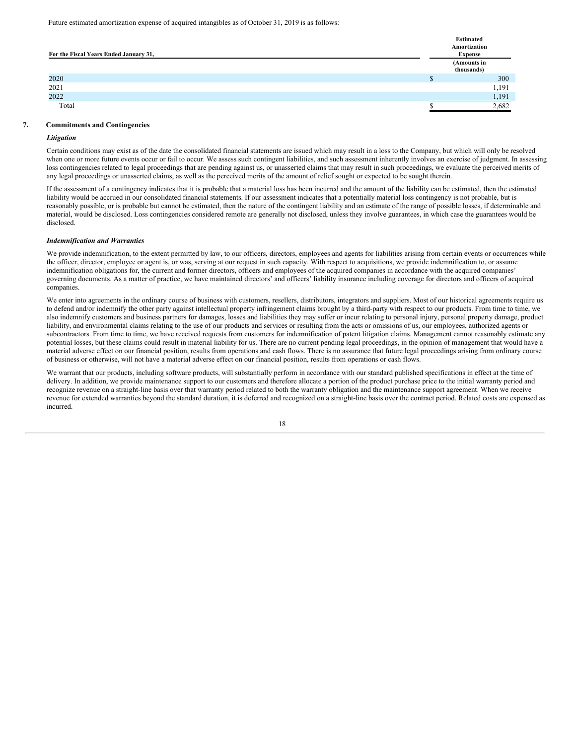Future estimated amortization expense of acquired intangibles as of October 31, 2019 is as follows:

| For the Fiscal Years Ended January 31, |    | <b>Estimated</b><br>Amortization<br><b>Expense</b> |
|----------------------------------------|----|----------------------------------------------------|
|                                        |    | (Amounts in<br>thousands)                          |
| 2020                                   | ٠D | 300                                                |
| 2021                                   |    | 1,191                                              |
| 2022                                   |    | 1,191                                              |
| Total                                  |    | 2,682                                              |

## **7. Commitments and Contingencies**

#### *Litigation*

Certain conditions may exist as of the date the consolidated financial statements are issued which may result in a loss to the Company, but which will only be resolved when one or more future events occur or fail to occur. We assess such contingent liabilities, and such assessment inherently involves an exercise of judgment. In assessing loss contingencies related to legal proceedings that are pending against us, or unasserted claims that may result in such proceedings, we evaluate the perceived merits of any legal proceedings or unasserted claims, as well as the perceived merits of the amount of relief sought or expected to be sought therein.

If the assessment of a contingency indicates that it is probable that a material loss has been incurred and the amount of the liability can be estimated, then the estimated liability would be accrued in our consolidated financial statements. If our assessment indicates that a potentially material loss contingency is not probable, but is reasonably possible, or is probable but cannot be estimated, then the nature of the contingent liability and an estimate of the range of possible losses, if determinable and material, would be disclosed. Loss contingencies considered remote are generally not disclosed, unless they involve guarantees, in which case the guarantees would be disclosed.

#### *Indemnification and Warranties*

We provide indemnification, to the extent permitted by law, to our officers, directors, employees and agents for liabilities arising from certain events or occurrences while the officer, director, employee or agent is, or was, serving at our request in such capacity. With respect to acquisitions, we provide indemnification to, or assume indemnification obligations for, the current and former directors, officers and employees of the acquired companies in accordance with the acquired companies' governing documents. As a matter of practice, we have maintained directors' and officers' liability insurance including coverage for directors and officers of acquired companies.

We enter into agreements in the ordinary course of business with customers, resellers, distributors, integrators and suppliers. Most of our historical agreements require us to defend and/or indemnify the other party against intellectual property infringement claims brought by a third-party with respect to our products. From time to time, we also indemnify customers and business partners for damages, losses and liabilities they may suffer or incur relating to personal injury, personal property damage, product liability, and environmental claims relating to the use of our products and services or resulting from the acts or omissions of us, our employees, authorized agents or subcontractors. From time to time, we have received requests from customers for indemnification of patent litigation claims. Management cannot reasonably estimate any potential losses, but these claims could result in material liability for us. There are no current pending legal proceedings, in the opinion of management that would have a material adverse effect on our financial position, results from operations and cash flows. There is no assurance that future legal proceedings arising from ordinary course of business or otherwise, will not have a material adverse effect on our financial position, results from operations or cash flows.

We warrant that our products, including software products, will substantially perform in accordance with our standard published specifications in effect at the time of delivery. In addition, we provide maintenance support to our customers and therefore allocate a portion of the product purchase price to the initial warranty period and recognize revenue on a straight-line basis over that warranty period related to both the warranty obligation and the maintenance support agreement. When we receive revenue for extended warranties beyond the standard duration, it is deferred and recognized on a straight-line basis over the contract period. Related costs are expensed as incurred.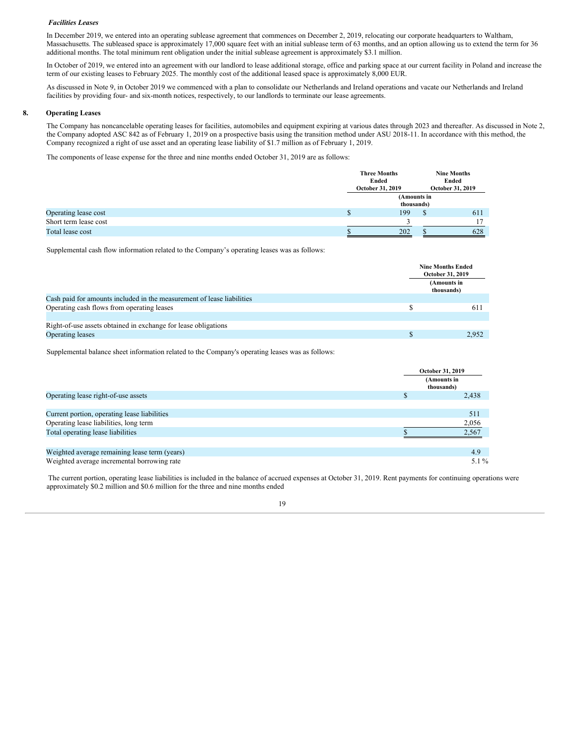### *Facilities Leases*

In December 2019, we entered into an operating sublease agreement that commences on December 2, 2019, relocating our corporate headquarters to Waltham, Massachusetts. The subleased space is approximately 17,000 square feet with an initial sublease term of 63 months, and an option allowing us to extend the term for 36 additional months. The total minimum rent obligation under the initial sublease agreement is approximately \$3.1 million.

In October of 2019, we entered into an agreement with our landlord to lease additional storage, office and parking space at our current facility in Poland and increase the term of our existing leases to February 2025. The monthly cost of the additional leased space is approximately 8,000 EUR.

As discussed in Note 9, in October 2019 we commenced with a plan to consolidate our Netherlands and Ireland operations and vacate our Netherlands and Ireland facilities by providing four- and six-month notices, respectively, to our landlords to terminate our lease agreements.

## **8. Operating Leases**

The Company has noncancelable operating leases for facilities, automobiles and equipment expiring at various dates through 2023 and thereafter. As discussed in Note 2, the Company adopted ASC 842 as of February 1, 2019 on a prospective basis using the transition method under ASU 2018-11. In accordance with this method, the Company recognized a right of use asset and an operating lease liability of \$1.7 million as of February 1, 2019.

The components of lease expense for the three and nine months ended October 31, 2019 are as follows:

|                       | <b>Three Months</b><br>Ended<br>October 31, 2019 |   | <b>Nine Months</b><br>Ended<br>October 31, 2019 |
|-----------------------|--------------------------------------------------|---|-------------------------------------------------|
|                       | (Amounts in<br>thousands)                        |   |                                                 |
| Operating lease cost  | 199                                              | Ф | 611                                             |
| Short term lease cost |                                                  |   | 17                                              |
| Total lease cost      | 202                                              |   | 628                                             |

Supplemental cash flow information related to the Company's operating leases was as follows:

|                                                                        | <b>Nine Months Ended</b><br>October 31, 2019 |
|------------------------------------------------------------------------|----------------------------------------------|
|                                                                        | (Amounts in<br>thousands)                    |
| Cash paid for amounts included in the measurement of lease liabilities |                                              |
| Operating cash flows from operating leases                             | -61                                          |
|                                                                        |                                              |
| Right-of-use assets obtained in exchange for lease obligations         |                                              |
| <b>Operating leases</b>                                                | 2.952                                        |

Supplemental balance sheet information related to the Company's operating leases was as follows:

|                                               | <b>October 31, 2019</b>   |
|-----------------------------------------------|---------------------------|
|                                               | (Amounts in<br>thousands) |
| Operating lease right-of-use assets           | 2,438                     |
|                                               |                           |
| Current portion, operating lease liabilities  | 511                       |
| Operating lease liabilities, long term        | 2,056                     |
| Total operating lease liabilities             | 2,567                     |
|                                               |                           |
| Weighted average remaining lease term (years) | 4.9                       |
| Weighted average incremental borrowing rate   | 5.1%                      |

The current portion, operating lease liabilities is included in the balance of accrued expenses at October 31, 2019. Rent payments for continuing operations were approximately \$0.2 million and \$0.6 million for the three and nine months ended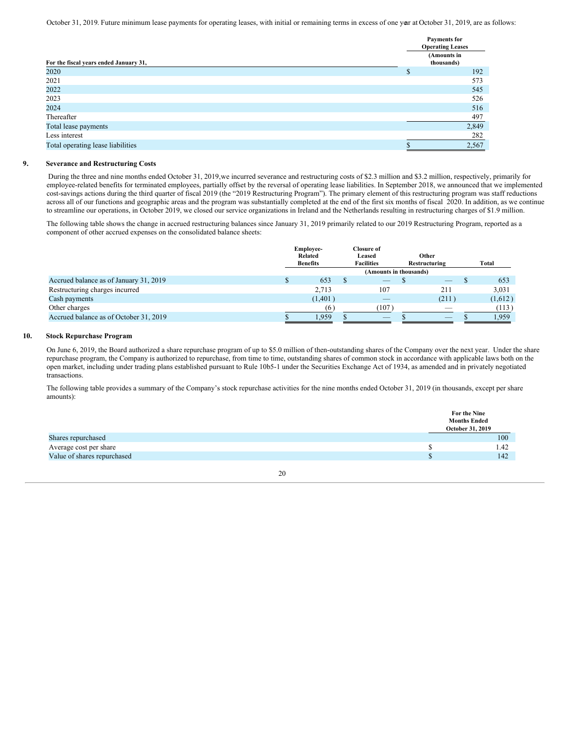October 31, 2019. Future minimum lease payments for operating leases, with initial or remaining terms in excess of one year at October 31, 2019, are as follows:

|                                        | <b>Payments for</b><br><b>Operating Leases</b> |
|----------------------------------------|------------------------------------------------|
| For the fiscal years ended January 31, | (Amounts in<br>thousands)                      |
| 2020                                   | 192                                            |
| 2021                                   | 573                                            |
| 2022                                   | 545                                            |
| 2023                                   | 526                                            |
| 2024                                   | 516                                            |
| Thereafter                             | 497                                            |
| Total lease payments                   | 2,849                                          |
| Less interest                          | 282                                            |
| Total operating lease liabilities      | 2,567                                          |

## **9. Severance and Restructuring Costs**

During the three and nine months ended October 31, 2019,we incurred severance and restructuring costs of \$2.3 million and \$3.2 million, respectively, primarily for employee-related benefits for terminated employees, partially offset by the reversal of operating lease liabilities. In September 2018, we announced that we implemented cost-savings actions during the third quarter of fiscal 2019 (the "2019 Restructuring Program"). The primary element of this restructuring program was staff reductions across all of our functions and geographic areas and the program was substantially completed at the end of the first six months of fiscal 2020. In addition, as we continue to streamline our operations, in October 2019, we closed our service organizations in Ireland and the Netherlands resulting in restructuring charges of \$1.9 million.

The following table shows the change in accrued restructuring balances since January 31, 2019 primarily related to our 2019 Restructuring Program, reported as a component of other accrued expenses on the consolidated balance sheets:

|                                        |   | <b>Employee-</b><br><b>Related</b><br><b>Benefits</b> | <b>Closure of</b><br>Leased<br><b>Facilities</b> | Other<br>Restructuring |       | <b>Total</b> |
|----------------------------------------|---|-------------------------------------------------------|--------------------------------------------------|------------------------|-------|--------------|
|                                        |   |                                                       | (Amounts in thousands)                           |                        |       |              |
| Accrued balance as of January 31, 2019 | ъ | 653                                                   |                                                  |                        | $-$   | 653          |
| Restructuring charges incurred         |   | 2.713                                                 | 107                                              |                        | 211   | 3,031        |
| Cash payments                          |   | (1, 401)                                              |                                                  |                        | (211) | (1,612)      |
| Other charges                          |   | (6)                                                   | (107)                                            |                        | __    | (113)        |
| Accrued balance as of October 31, 2019 |   | 1.959                                                 | $-$                                              |                        | _     | 1.959        |

## **10. Stock Repurchase Program**

On June 6, 2019, the Board authorized a share repurchase program of up to \$5.0 million of then-outstanding shares of the Company over the next year. Under the share repurchase program, the Company is authorized to repurchase, from time to time, outstanding shares of common stock in accordance with applicable laws both on the open market, including under trading plans established pursuant to Rule 10b5-1 under the Securities Exchange Act of 1934, as amended and in privately negotiated transactions.

The following table provides a summary of the Company's stock repurchase activities for the nine months ended October 31, 2019 (in thousands, except per share amounts):

|                             | For the Nine            |
|-----------------------------|-------------------------|
|                             | <b>Months Ended</b>     |
|                             | <b>October 31, 2019</b> |
| Shares repurchased          | 100                     |
| Average cost per share      | 1.42                    |
| Value of shares repurchased | 142                     |
|                             |                         |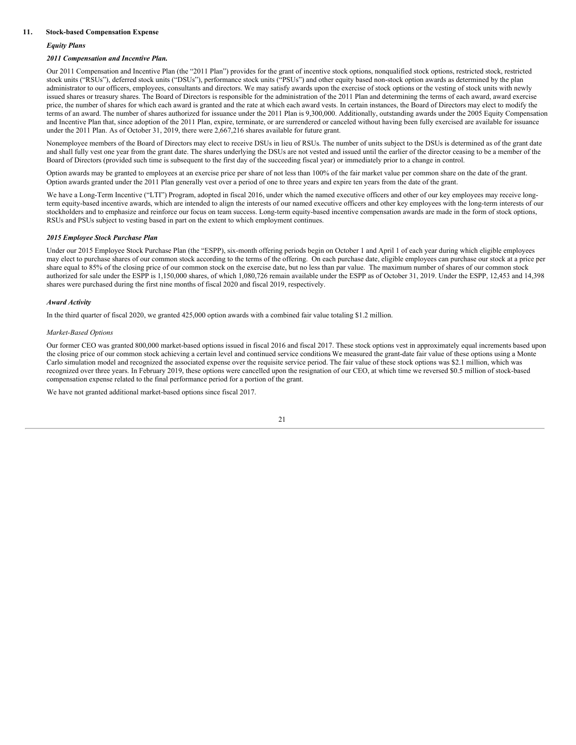## **11. Stock-based Compensation Expense**

## *Equity Plans*

## *2011 Compensation and Incentive Plan.*

Our 2011 Compensation and Incentive Plan (the "2011 Plan") provides for the grant of incentive stock options, nonqualified stock options, restricted stock, restricted stock units ("RSUs"), deferred stock units ("DSUs"), performance stock units ("PSUs") and other equity based non-stock option awards as determined by the plan administrator to our officers, employees, consultants and directors. We may satisfy awards upon the exercise of stock options or the vesting of stock units with newly issued shares or treasury shares. The Board of Directors is responsible for the administration of the 2011 Plan and determining the terms of each award, award exercise price, the number of shares for which each award is granted and the rate at which each award vests. In certain instances, the Board of Directors may elect to modify the terms of an award. The number of shares authorized for issuance under the 2011 Plan is 9,300,000. Additionally, outstanding awards under the 2005 Equity Compensation and Incentive Plan that, since adoption of the 2011 Plan, expire, terminate, or are surrendered or canceled without having been fully exercised are available for issuance under the 2011 Plan. As of October 31, 2019, there were 2,667,216 shares available for future grant.

Nonemployee members of the Board of Directors may elect to receive DSUs in lieu of RSUs. The number of units subject to the DSUs is determined as of the grant date and shall fully vest one year from the grant date. The shares underlying the DSUs are not vested and issued until the earlier of the director ceasing to be a member of the Board of Directors (provided such time is subsequent to the first day of the succeeding fiscal year) or immediately prior to a change in control.

Option awards may be granted to employees at an exercise price per share of not less than 100% of the fair market value per common share on the date of the grant. Option awards granted under the 2011 Plan generally vest over a period of one to three years and expire ten years from the date of the grant.

We have a Long-Term Incentive ("LTI") Program, adopted in fiscal 2016, under which the named executive officers and other of our key employees may receive longterm equity-based incentive awards, which are intended to align the interests of our named executive officers and other key employees with the long-term interests of our stockholders and to emphasize and reinforce our focus on team success. Long-term equity-based incentive compensation awards are made in the form of stock options, RSUs and PSUs subject to vesting based in part on the extent to which employment continues.

## *2015 Employee Stock Purchase Plan*

Under our 2015 Employee Stock Purchase Plan (the "ESPP), six-month offering periods begin on October 1 and April 1 of each year during which eligible employees may elect to purchase shares of our common stock according to the terms of the offering. On each purchase date, eligible employees can purchase our stock at a price per share equal to 85% of the closing price of our common stock on the exercise date, but no less than par value. The maximum number of shares of our common stock authorized for sale under the ESPP is 1,150,000 shares, of which 1,080,726 remain available under the ESPP as of October 31, 2019. Under the ESPP, 12,453 and 14,398 shares were purchased during the first nine months of fiscal 2020 and fiscal 2019, respectively.

#### *Award Activity*

In the third quarter of fiscal 2020, we granted 425,000 option awards with a combined fair value totaling \$1.2 million.

#### *Market-Based Options*

Our former CEO was granted 800,000 market-based options issued in fiscal 2016 and fiscal 2017. These stock options vest in approximately equal increments based upon the closing price of our common stock achieving a certain level and continued service conditions We measured the grant-date fair value of these options using a Monte Carlo simulation model and recognized the associated expense over the requisite service period. The fair value of these stock options was \$2.1 million, which was recognized over three years. In February 2019, these options were cancelled upon the resignation of our CEO, at which time we reversed \$0.5 million of stock-based compensation expense related to the final performance period for a portion of the grant.

We have not granted additional market-based options since fiscal 2017.

21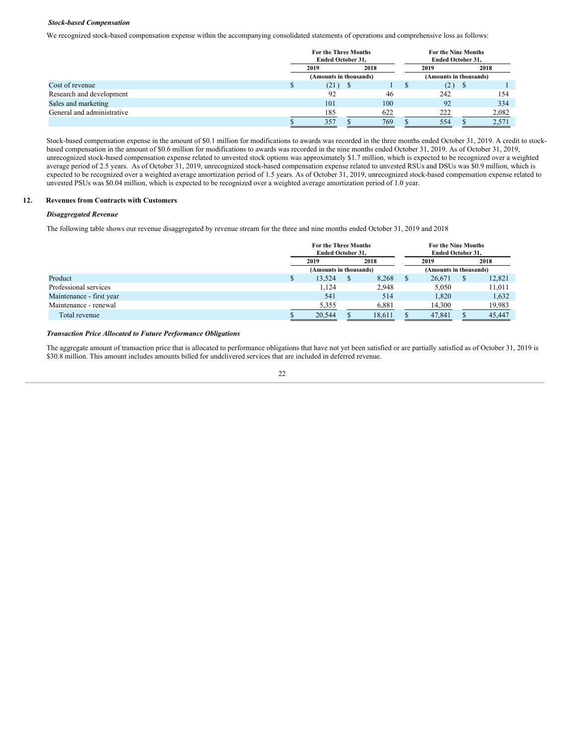#### *Stock-based Compensation*

We recognized stock-based compensation expense within the accompanying consolidated statements of operations and comprehensive loss as follows:

|                            | <b>For the Three Months</b><br><b>Ended October 31.</b> |     |      |      | For the Nine Months<br><b>Ended October 31.</b> |      |       |  |
|----------------------------|---------------------------------------------------------|-----|------|------|-------------------------------------------------|------|-------|--|
|                            | 2019                                                    |     | 2018 | 2019 |                                                 | 2018 |       |  |
|                            | (Amounts in thousands)                                  |     |      |      | (Amounts in thousands)                          |      |       |  |
| Cost of revenue            | (21)                                                    | . ა |      |      | (2)                                             | - 25 |       |  |
| Research and development   | 92                                                      |     | 46   |      | 242                                             |      | 154   |  |
| Sales and marketing        | 101                                                     |     | 100  |      | 92                                              |      | 334   |  |
| General and administrative | 185                                                     |     | 622  |      | 222                                             |      | 2,082 |  |
|                            | 357                                                     |     | 769  |      | 554                                             |      | 2,571 |  |

Stock-based compensation expense in the amount of \$0.1 million for modifications to awards was recorded in the three months ended October 31, 2019. A credit to stockbased compensation in the amount of \$0.6 million for modifications to awards was recorded in the nine months ended October 31, 2019. As of October 31, 2019, unrecognized stock-based compensation expense related to unvested stock options was approximately \$1.7 million, which is expected to be recognized over a weighted average period of 2.5 years. As of October 31, 2019, unrecognized stock-based compensation expense related to unvested RSUs and DSUs was \$0.9 million, which is expected to be recognized over a weighted average amortization period of 1.5 years. As of October 31, 2019, unrecognized stock-based compensation expense related to unvested PSUs was \$0.04 million, which is expected to be recognized over a weighted average amortization period of 1.0 year.

## **12. Revenues from Contracts with Customers**

#### *Disaggregated Revenue*

The following table shows our revenue disaggregated by revenue stream for the three and nine months ended October 31, 2019 and 2018

|                          | <b>For the Three Months</b><br><b>Ended October 31.</b> |   |        |      |                        | <b>For the Nine Months</b><br><b>Ended October 31.</b> |        |
|--------------------------|---------------------------------------------------------|---|--------|------|------------------------|--------------------------------------------------------|--------|
|                          | 2019                                                    |   | 2018   | 2019 |                        |                                                        | 2018   |
|                          | (Amounts in thousands)                                  |   |        |      | (Amounts in thousands) |                                                        |        |
| Product                  | 13.524                                                  | S | 8.268  | S    | 26,671                 | Φ                                                      | 12,821 |
| Professional services    | 1,124                                                   |   | 2,948  |      | 5.050                  |                                                        | 11,011 |
| Maintenance - first year | 541                                                     |   | 514    |      | 1.820                  |                                                        | 1,632  |
| Maintenance - renewal    | 5,355                                                   |   | 6,881  |      | 14,300                 |                                                        | 19,983 |
| Total revenue            | 20,544                                                  |   | 18,611 |      | 47,841                 |                                                        | 45,447 |

#### *Transaction Price Allocated to Future Performance Obligations*

The aggregate amount of transaction price that is allocated to performance obligations that have not yet been satisfied or are partially satisfied as of October 31, 2019 is \$30.8 million. This amount includes amounts billed for undelivered services that are included in deferred revenue.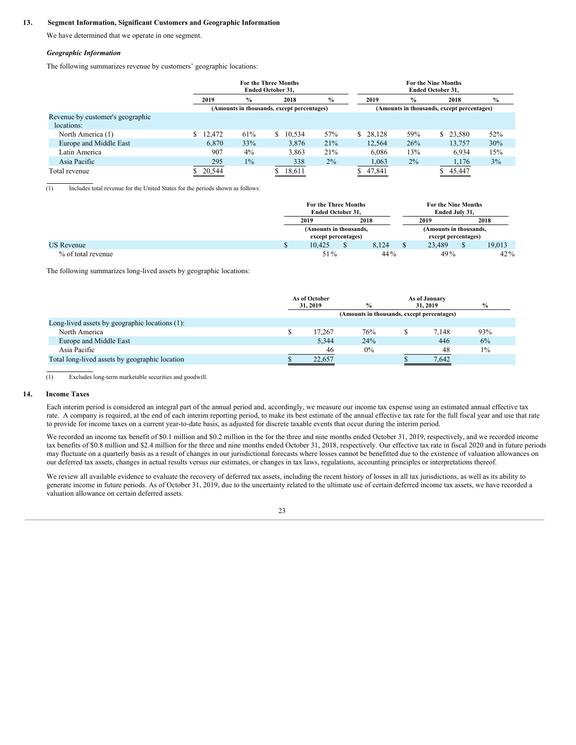## **13. Segment Information, Significant Customers and Geographic Information**

We have determined that we operate in one segment.

## *Geographic Information*

The following summarizes revenue by customers' geographic locations:

|                                                |              | <b>For the Three Months</b><br><b>Ended October 31.</b> |                                            |               |          | <b>For the Nine Months</b><br><b>Ended October 31.</b> |                                            |      |  |  |  |  |
|------------------------------------------------|--------------|---------------------------------------------------------|--------------------------------------------|---------------|----------|--------------------------------------------------------|--------------------------------------------|------|--|--|--|--|
|                                                | 2019         | $\frac{0}{0}$                                           | 2018                                       | $\frac{0}{0}$ | 2019     | $\frac{0}{0}$                                          | 2018                                       | $\%$ |  |  |  |  |
|                                                |              |                                                         | (Amounts in thousands, except percentages) |               |          |                                                        | (Amounts in thousands, except percentages) |      |  |  |  |  |
| Revenue by customer's geographic<br>locations: |              |                                                         |                                            |               |          |                                                        |                                            |      |  |  |  |  |
| North America (1)                              | 12.472<br>S. | 61%                                                     | \$ 10.534                                  | 57%           | \$28.128 | 59%                                                    | \$23,580                                   | 52%  |  |  |  |  |
| Europe and Middle East                         | 6.870        | 33%                                                     | 3.876                                      | 21%           | 12.564   | 26%                                                    | 13.757                                     | 30%  |  |  |  |  |
| Latin America                                  | 907          | $4\%$                                                   | 3.863                                      | 21%           | 6.086    | 13%                                                    | 6.934                                      | 15%  |  |  |  |  |
| Asia Pacific                                   | 295          | $1\%$                                                   | 338                                        | $2\%$         | 1,063    | $2\%$                                                  | 1,176                                      | 3%   |  |  |  |  |
| Total revenue                                  | 20,544       |                                                         | 18,611                                     |               | 47,841   |                                                        | 45,447                                     |      |  |  |  |  |

(1) Includes total revenue for the United States for the periods shown as follows:

|                    | For the Three Months<br><b>Ended October 31.</b> |      |       |  | For the Nine Months<br>Ended July 31.        |      |        |
|--------------------|--------------------------------------------------|------|-------|--|----------------------------------------------|------|--------|
|                    | 2019                                             | 2018 |       |  | 2019                                         | 2018 |        |
|                    | (Amounts in thousands,<br>except percentages)    |      |       |  | Amounts in thousands,<br>except percentages) |      |        |
| <b>US Revenue</b>  | 10.425                                           |      | 8.124 |  | 23.489                                       |      | 19,013 |
| % of total revenue | $51\%$                                           |      | 44%   |  | 49%                                          |      | $42\%$ |

The following summarizes long-lived assets by geographic locations:

|                                                   | As of October<br>31, 2019 |        | $\frac{0}{0}$                              | As of January<br>31, 2019 | $\frac{6}{6}$ |
|---------------------------------------------------|---------------------------|--------|--------------------------------------------|---------------------------|---------------|
|                                                   |                           |        | (Amounts in thousands, except percentages) |                           |               |
| Long-lived assets by geographic locations $(1)$ : |                           |        |                                            |                           |               |
| North America                                     |                           | 17.267 | 76%                                        | 7.148                     | 93%           |
| Europe and Middle East                            |                           | 5.344  | 24%                                        | 446                       | 6%            |
| Asia Pacific                                      |                           | 46     | $0\%$                                      | 48                        | $1\%$         |
| Total long-lived assets by geographic location    |                           | 22,657 |                                            | 7.642                     |               |

(1) Excludes long-term marketable securities and goodwill.

## **14. Income Taxes**

Each interim period is considered an integral part of the annual period and, accordingly, we measure our income tax expense using an estimated annual effective tax rate. A company is required, at the end of each interim reporting period, to make its best estimate of the annual effective tax rate for the full fiscal year and use that rate to provide for income taxes on a current year-to-date basis, as adjusted for discrete taxable events that occur during the interim period.

We recorded an income tax benefit of \$0.1 million and \$0.2 million in the for the three and nine months ended October 31, 2019, respectively, and we recorded income tax benefits of \$0.8 million and \$2.4 million for the three and nine months ended October 31, 2018, respectively. Our effective tax rate in fiscal 2020 and in future periods may fluctuate on a quarterly basis as a result of changes in our jurisdictional forecasts where losses cannot be benefitted due to the existence of valuation allowances on our deferred tax assets, changes in actual results versus our estimates, or changes in tax laws, regulations, accounting principles or interpretations thereof.

We review all available evidence to evaluate the recovery of deferred tax assets, including the recent history of losses in all tax jurisdictions, as well as its ability to generate income in future periods. As of October 31, 2019, due to the uncertainty related to the ultimate use of certain deferred income tax assets, we have recorded a valuation allowance on certain deferred assets.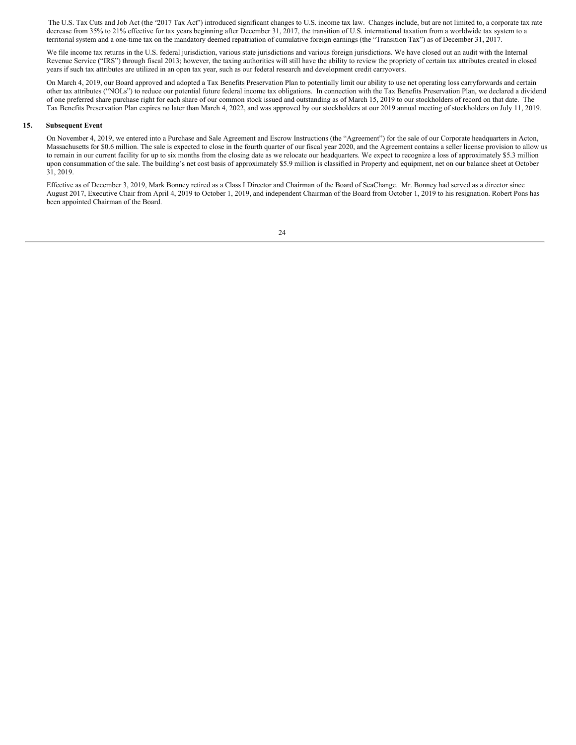The U.S. Tax Cuts and Job Act (the "2017 Tax Act") introduced significant changes to U.S. income tax law. Changes include, but are not limited to, a corporate tax rate decrease from 35% to 21% effective for tax years beginning after December 31, 2017, the transition of U.S. international taxation from a worldwide tax system to a territorial system and a one-time tax on the mandatory deemed repatriation of cumulative foreign earnings (the "Transition Tax") as of December 31, 2017.

We file income tax returns in the U.S. federal jurisdiction, various state jurisdictions and various foreign jurisdictions. We have closed out an audit with the Internal Revenue Service ("IRS") through fiscal 2013; however, the taxing authorities will still have the ability to review the propriety of certain tax attributes created in closed years if such tax attributes are utilized in an open tax year, such as our federal research and development credit carryovers.

On March 4, 2019, our Board approved and adopted a Tax Benefits Preservation Plan to potentially limit our ability to use net operating loss carryforwards and certain other tax attributes ("NOLs") to reduce our potential future federal income tax obligations. In connection with the Tax Benefits Preservation Plan, we declared a dividend of one preferred share purchase right for each share of our common stock issued and outstanding as of March 15, 2019 to our stockholders of record on that date. The Tax Benefits Preservation Plan expires no later than March 4, 2022, and was approved by our stockholders at our 2019 annual meeting of stockholders on July 11, 2019.

## **15. Subsequent Event**

On November 4, 2019, we entered into a Purchase and Sale Agreement and Escrow Instructions (the "Agreement") for the sale of our Corporate headquarters in Acton, Massachusetts for \$0.6 million. The sale is expected to close in the fourth quarter of our fiscal year 2020, and the Agreement contains a seller license provision to allow us to remain in our current facility for up to six months from the closing date as we relocate our headquarters. We expect to recognize a loss of approximately \$5.3 million upon consummation of the sale. The building's net cost basis of approximately \$5.9 million is classified in Property and equipment, net on our balance sheet at October 31, 2019.

Effective as of December 3, 2019, Mark Bonney retired as a Class I Director and Chairman of the Board of SeaChange. Mr. Bonney had served as a director since August 2017, Executive Chair from April 4, 2019 to October 1, 2019, and independent Chairman of the Board from October 1, 2019 to his resignation. Robert Pons has been appointed Chairman of the Board.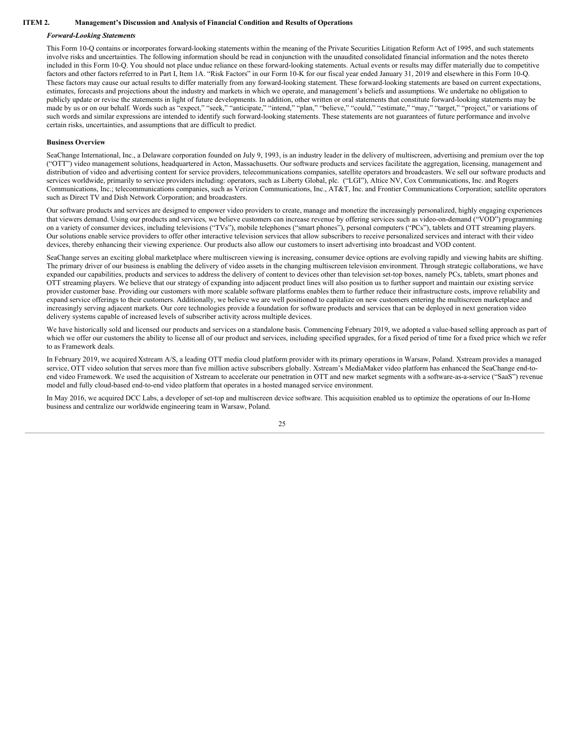#### **ITEM 2. Management's Discussion and Analysis of Financial Condition and Results of Operations**

#### <span id="page-25-0"></span>*Forward-Looking Statements*

This Form 10-Q contains or incorporates forward-looking statements within the meaning of the Private Securities Litigation Reform Act of 1995, and such statements involve risks and uncertainties. The following information should be read in conjunction with the unaudited consolidated financial information and the notes thereto included in this Form 10-Q. You should not place undue reliance on these forward-looking statements. Actual events or results may differ materially due to competitive factors and other factors referred to in Part I, Item 1A. "Risk Factors" in our Form 10-K for our fiscal year ended January 31, 2019 and elsewhere in this Form 10-Q. These factors may cause our actual results to differ materially from any forward-looking statement. These forward-looking statements are based on current expectations, estimates, forecasts and projections about the industry and markets in which we operate, and management's beliefs and assumptions. We undertake no obligation to publicly update or revise the statements in light of future developments. In addition, other written or oral statements that constitute forward-looking statements may be made by us or on our behalf. Words such as "expect," "seek," "anticipate," "intend," "plan," "believe," "could," "estimate," "may," "target," "project," or variations of such words and similar expressions are intended to identify such forward-looking statements. These statements are not guarantees of future performance and involve certain risks, uncertainties, and assumptions that are difficult to predict.

#### **Business Overview**

SeaChange International, Inc., a Delaware corporation founded on July 9, 1993, is an industry leader in the delivery of multiscreen, advertising and premium over the top ("OTT") video management solutions, headquartered in Acton, Massachusetts. Our software products and services facilitate the aggregation, licensing, management and distribution of video and advertising content for service providers, telecommunications companies, satellite operators and broadcasters. We sell our software products and services worldwide, primarily to service providers including: operators, such as Liberty Global, plc. ("LGI"), Altice NV, Cox Communications, Inc. and Rogers Communications, Inc.; telecommunications companies, such as Verizon Communications, Inc., AT&T, Inc. and Frontier Communications Corporation; satellite operators such as Direct TV and Dish Network Corporation; and broadcasters.

Our software products and services are designed to empower video providers to create, manage and monetize the increasingly personalized, highly engaging experiences that viewers demand. Using our products and services, we believe customers can increase revenue by offering services such as video-on-demand ("VOD") programming on a variety of consumer devices, including televisions ("TVs"), mobile telephones ("smart phones"), personal computers ("PCs"), tablets and OTT streaming players. Our solutions enable service providers to offer other interactive television services that allow subscribers to receive personalized services and interact with their video devices, thereby enhancing their viewing experience. Our products also allow our customers to insert advertising into broadcast and VOD content.

SeaChange serves an exciting global marketplace where multiscreen viewing is increasing, consumer device options are evolving rapidly and viewing habits are shifting. The primary driver of our business is enabling the delivery of video assets in the changing multiscreen television environment. Through strategic collaborations, we have expanded our capabilities, products and services to address the delivery of content to devices other than television set-top boxes, namely PCs, tablets, smart phones and OTT streaming players. We believe that our strategy of expanding into adjacent product lines will also position us to further support and maintain our existing service provider customer base. Providing our customers with more scalable software platforms enables them to further reduce their infrastructure costs, improve reliability and expand service offerings to their customers. Additionally, we believe we are well positioned to capitalize on new customers entering the multiscreen marketplace and increasingly serving adjacent markets. Our core technologies provide a foundation for software products and services that can be deployed in next generation video delivery systems capable of increased levels of subscriber activity across multiple devices.

We have historically sold and licensed our products and services on a standalone basis. Commencing February 2019, we adopted a value-based selling approach as part of which we offer our customers the ability to license all of our product and services, including specified upgrades, for a fixed period of time for a fixed price which we refer to as Framework deals.

In February 2019, we acquired Xstream A/S, a leading OTT media cloud platform provider with its primary operations in Warsaw, Poland. Xstream provides a managed service, OTT video solution that serves more than five million active subscribers globally. Xstream's MediaMaker video platform has enhanced the SeaChange end-toend video Framework. We used the acquisition of Xstream to accelerate our penetration in OTT and new market segments with a software-as-a-service ("SaaS") revenue model and fully cloud-based end-to-end video platform that operates in a hosted managed service environment.

In May 2016, we acquired DCC Labs, a developer of set-top and multiscreen device software. This acquisition enabled us to optimize the operations of our In-Home business and centralize our worldwide engineering team in Warsaw, Poland.

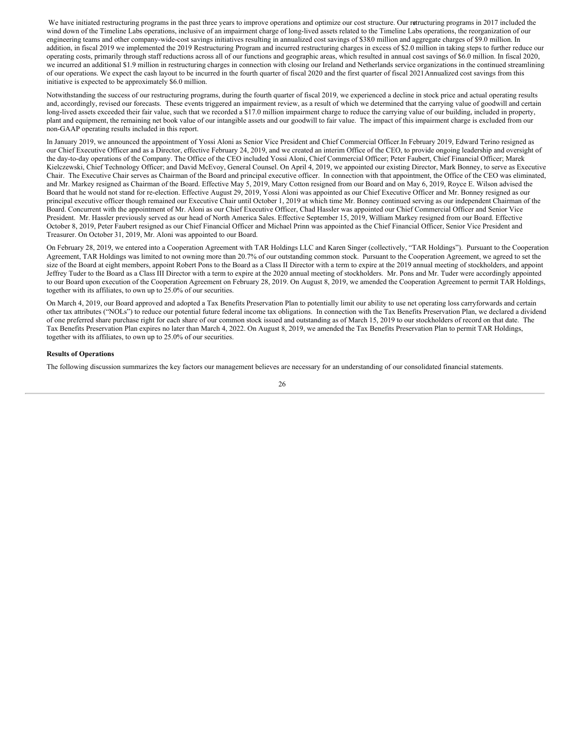We have initiated restructuring programs in the past three years to improve operations and optimize our cost structure. Our retructuring programs in 2017 included the wind down of the Timeline Labs operations, inclusive of an impairment charge of long-lived assets related to the Timeline Labs operations, the reorganization of our engineering teams and other company-wide-cost savings initiatives resulting in annualized cost savings of \$38.0 million and aggregate charges of \$9.0 million. In addition, in fiscal 2019 we implemented the 2019 Restructuring Program and incurred restructuring charges in excess of \$2.0 million in taking steps to further reduce our operating costs, primarily through staff reductions across all of our functions and geographic areas, which resulted in annual cost savings of \$6.0 million. In fiscal 2020, we incurred an additional \$1.9 million in restructuring charges in connection with closing our Ireland and Netherlands service organizations in the continued streamlining of our operations. We expect the cash layout to be incurred in the fourth quarter of fiscal 2020 and the first quarter of fiscal 2021.Annualized cost savings from this initiative is expected to be approximately \$6.0 million.

Notwithstanding the success of our restructuring programs, during the fourth quarter of fiscal 2019, we experienced a decline in stock price and actual operating results and, accordingly, revised our forecasts. These events triggered an impairment review, as a result of which we determined that the carrying value of goodwill and certain long-lived assets exceeded their fair value, such that we recorded a \$17.0 million impairment charge to reduce the carrying value of our building, included in property, plant and equipment, the remaining net book value of our intangible assets and our goodwill to fair value. The impact of this impairment charge is excluded from our non-GAAP operating results included in this report.

In January 2019, we announced the appointment of Yossi Aloni as Senior Vice President and Chief Commercial Officer.In February 2019, Edward Terino resigned as our Chief Executive Officer and as a Director, effective February 24, 2019, and we created an interim Office of the CEO, to provide ongoing leadership and oversight of the day-to-day operations of the Company. The Office of the CEO included Yossi Aloni, Chief Commercial Officer; Peter Faubert, Chief Financial Officer; Marek Kielczewski, Chief Technology Officer; and David McEvoy, General Counsel. On April 4, 2019, we appointed our existing Director, Mark Bonney, to serve as Executive Chair. The Executive Chair serves as Chairman of the Board and principal executive officer. In connection with that appointment, the Office of the CEO was eliminated, and Mr. Markey resigned as Chairman of the Board. Effective May 5, 2019, Mary Cotton resigned from our Board and on May 6, 2019, Royce E. Wilson advised the Board that he would not stand for re-election. Effective August 29, 2019, Yossi Aloni was appointed as our Chief Executive Officer and Mr. Bonney resigned as our principal executive officer though remained our Executive Chair until October 1, 2019 at which time Mr. Bonney continued serving as our independent Chairman of the Board. Concurrent with the appointment of Mr. Aloni as our Chief Executive Officer, Chad Hassler was appointed our Chief Commercial Officer and Senior Vice President. Mr. Hassler previously served as our head of North America Sales. Effective September 15, 2019, William Markey resigned from our Board. Effective October 8, 2019, Peter Faubert resigned as our Chief Financial Officer and Michael Prinn was appointed as the Chief Financial Officer, Senior Vice President and Treasurer. On October 31, 2019, Mr. Aloni was appointed to our Board.

On February 28, 2019, we entered into a Cooperation Agreement with TAR Holdings LLC and Karen Singer (collectively, "TAR Holdings"). Pursuant to the Cooperation Agreement, TAR Holdings was limited to not owning more than 20.7% of our outstanding common stock. Pursuant to the Cooperation Agreement, we agreed to set the size of the Board at eight members, appoint Robert Pons to the Board as a Class II Director with a term to expire at the 2019 annual meeting of stockholders, and appoint Jeffrey Tuder to the Board as a Class III Director with a term to expire at the 2020 annual meeting of stockholders. Mr. Pons and Mr. Tuder were accordingly appointed to our Board upon execution of the Cooperation Agreement on February 28, 2019. On August 8, 2019, we amended the Cooperation Agreement to permit TAR Holdings, together with its affiliates, to own up to 25.0% of our securities.

On March 4, 2019, our Board approved and adopted a Tax Benefits Preservation Plan to potentially limit our ability to use net operating loss carryforwards and certain other tax attributes ("NOLs") to reduce our potential future federal income tax obligations. In connection with the Tax Benefits Preservation Plan, we declared a dividend of one preferred share purchase right for each share of our common stock issued and outstanding as of March 15, 2019 to our stockholders of record on that date. The Tax Benefits Preservation Plan expires no later than March 4, 2022. On August 8, 2019, we amended the Tax Benefits Preservation Plan to permit TAR Holdings, together with its affiliates, to own up to 25.0% of our securities.

## **Results of Operations**

The following discussion summarizes the key factors our management believes are necessary for an understanding of our consolidated financial statements.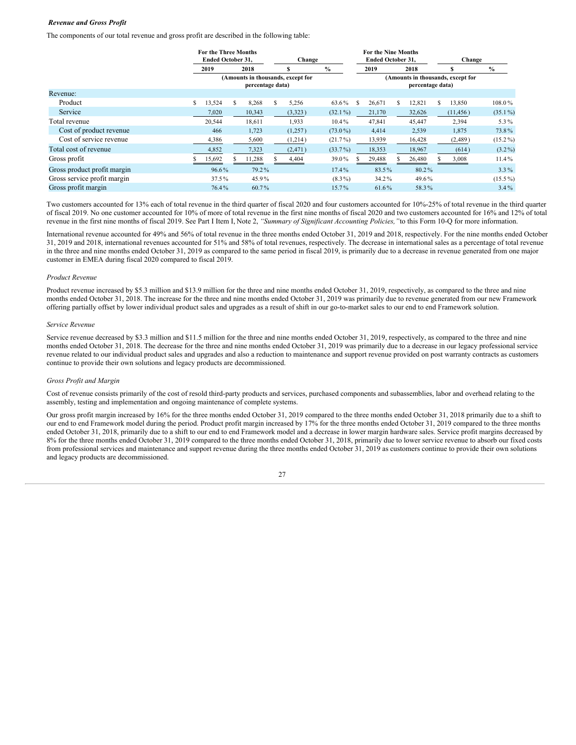#### *Revenue and Gross Profit*

The components of our total revenue and gross profit are described in the following table:

| <b>For the Three Months</b><br><b>Ended October 31.</b> |        |      |                         |      |                         |                                                       |        |                                                                                                                   |                         |        | Change                                                                                    |           |                                                       |
|---------------------------------------------------------|--------|------|-------------------------|------|-------------------------|-------------------------------------------------------|--------|-------------------------------------------------------------------------------------------------------------------|-------------------------|--------|-------------------------------------------------------------------------------------------|-----------|-------------------------------------------------------|
|                                                         |        |      |                         |      | S                       | $\%$                                                  |        | 2019                                                                                                              |                         |        |                                                                                           |           | $\frac{0}{0}$                                         |
|                                                         |        |      |                         |      |                         |                                                       |        |                                                                                                                   |                         |        |                                                                                           |           |                                                       |
|                                                         |        |      |                         |      |                         |                                                       |        |                                                                                                                   |                         |        |                                                                                           |           |                                                       |
| s                                                       | 13,524 | S.   | 8,268                   | S    | 5,256                   |                                                       | £.     | 26,671                                                                                                            | S.                      | 12,821 | S                                                                                         | 13,850    | 108.0%                                                |
|                                                         | 7,020  |      | 10,343                  |      | (3,323)                 |                                                       |        | 21,170                                                                                                            |                         | 32,626 |                                                                                           | (11, 456) | $(35.1\%)$                                            |
|                                                         | 20,544 |      | 18,611                  |      | 1,933                   |                                                       |        | 47,841                                                                                                            |                         | 45,447 |                                                                                           | 2,394     | 5.3%                                                  |
|                                                         | 466    |      | 1,723                   |      | (1,257)                 |                                                       |        | 4,414                                                                                                             |                         | 2,539  |                                                                                           | 1,875     | 73.8%                                                 |
|                                                         | 4,386  |      | 5,600                   |      | (1,214)                 |                                                       |        | 13,939                                                                                                            |                         | 16,428 |                                                                                           | (2,489)   | $(15.2\%)$                                            |
|                                                         | 4,852  |      | 7,323                   |      | (2,471)                 |                                                       |        | 18,353                                                                                                            |                         | 18,967 |                                                                                           | (614)     | $(3.2\%)$                                             |
|                                                         | 15,692 |      | 11,288                  |      | 4,404                   |                                                       |        | 29,488                                                                                                            |                         | 26,480 |                                                                                           | 3,008     | $11.4\%$                                              |
|                                                         |        |      |                         |      |                         |                                                       |        |                                                                                                                   |                         |        |                                                                                           |           | $3.3\%$                                               |
|                                                         |        |      |                         |      |                         |                                                       |        |                                                                                                                   |                         |        |                                                                                           |           | $(15.5\%)$                                            |
|                                                         |        |      |                         |      |                         |                                                       |        |                                                                                                                   |                         |        |                                                                                           |           | $3.4\%$                                               |
|                                                         |        | 2019 | 96.6%<br>37.5%<br>76.4% | 2018 | 79.2%<br>45.9%<br>60.7% | (Amounts in thousands, except for<br>percentage data) | Change | 63.6%<br>$(32.1\%)$<br>$10.4\%$<br>$(73.0\%)$<br>$(21.7\%)$<br>$(33.7\%)$<br>39.0%<br>17.4%<br>$(8.3\%)$<br>15.7% | 83.5%<br>34.2%<br>61.6% |        | <b>For the Nine Months</b><br><b>Ended October 31.</b><br>2018<br>80.2%<br>49.6%<br>58.3% |           | (Amounts in thousands, except for<br>percentage data) |

Two customers accounted for 13% each of total revenue in the third quarter of fiscal 2020 and four customers accounted for 10%-25% of total revenue in the third quarter of fiscal 2019. No one customer accounted for 10% of more of total revenue in the first nine months of fiscal 2020 and two customers accounted for 16% and 12% of total revenue in the first nine months of fiscal 2019. See Part I Item I, Note 2, *"Summary of Significant Accounting Policies,"*to this Form 10-Q for more information.

International revenue accounted for 49% and 56% of total revenue in the three months ended October 31, 2019 and 2018, respectively. For the nine months ended October 31, 2019 and 2018, international revenues accounted for 51% and 58% of total revenues, respectively. The decrease in international sales as a percentage of total revenue in the three and nine months ended October 31, 2019 as compared to the same period in fiscal 2019, is primarily due to a decrease in revenue generated from one major customer in EMEA during fiscal 2020 compared to fiscal 2019.

#### *Product Revenue*

Product revenue increased by \$5.3 million and \$13.9 million for the three and nine months ended October 31, 2019, respectively, as compared to the three and nine months ended October 31, 2018. The increase for the three and nine months ended October 31, 2019 was primarily due to revenue generated from our new Framework offering partially offset by lower individual product sales and upgrades as a result of shift in our go-to-market sales to our end to end Framework solution.

### *Service Revenue*

Service revenue decreased by \$3.3 million and \$11.5 million for the three and nine months ended October 31, 2019, respectively, as compared to the three and nine months ended October 31, 2018. The decrease for the three and nine months ended October 31, 2019 was primarily due to a decrease in our legacy professional service revenue related to our individual product sales and upgrades and also a reduction to maintenance and support revenue provided on post warranty contracts as customers continue to provide their own solutions and legacy products are decommissioned.

#### *Gross Profit and Margin*

Cost of revenue consists primarily of the cost of resold third-party products and services, purchased components and subassemblies, labor and overhead relating to the assembly, testing and implementation and ongoing maintenance of complete systems.

Our gross profit margin increased by 16% for the three months ended October 31, 2019 compared to the three months ended October 31, 2018 primarily due to a shift to our end to end Framework model during the period. Product profit margin increased by 17% for the three months ended October 31, 2019 compared to the three months ended October 31, 2018, primarily due to a shift to our end to end Framework model and a decrease in lower margin hardware sales. Service profit margins decreased by 8% for the three months ended October 31, 2019 compared to the three months ended October 31, 2018, primarily due to lower service revenue to absorb our fixed costs from professional services and maintenance and support revenue during the three months ended October 31, 2019 as customers continue to provide their own solutions and legacy products are decommissioned.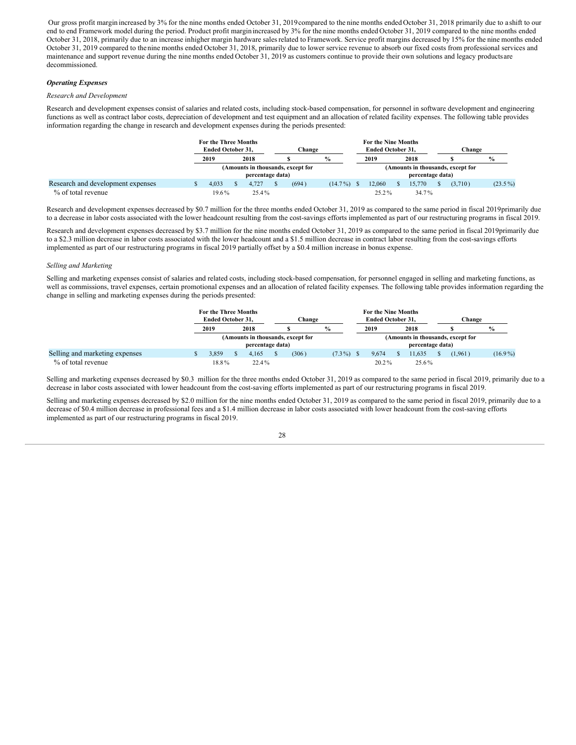Our gross profit margin increased by 3% for the nine months ended October 31, 2019compared to the nine months ended October 31, 2018 primarily due to a shift to our end to end Framework model during the period. Product profit marginincreased by 3% for the nine months ended October 31, 2019 compared to the nine months ended October 31, 2018, primarily due to an increase inhigher margin hardware salesrelated to Framework. Service profit margins decreased by 15% for the nine months ended October 31, 2019 compared to thenine months ended October 31, 2018, primarily due to lower service revenue to absorb our fixed costs from professional services and maintenance and support revenue during the nine months ended October 31, 2019 as customers continue to provide their own solutions and legacy products are decommissioned.

## *Operating Expenses*

#### *Research and Development*

Research and development expenses consist of salaries and related costs, including stock-based compensation, for personnel in software development and engineering functions as well as contract labor costs, depreciation of development and test equipment and an allocation of related facility expenses. The following table provides information regarding the change in research and development expenses during the periods presented:

|                                   | <b>For the Three Months</b><br><b>Ended October 31.</b> |  |                  | Change                            |             | For the Nine Months<br><b>Ended October 31.</b> | Change           |  |                                   |               |
|-----------------------------------|---------------------------------------------------------|--|------------------|-----------------------------------|-------------|-------------------------------------------------|------------------|--|-----------------------------------|---------------|
|                                   | 2019                                                    |  | 2018             |                                   | $^{0}/_{0}$ | 2019                                            | 2018             |  |                                   | $\frac{0}{0}$ |
|                                   |                                                         |  | percentage data) | (Amounts in thousands, except for |             |                                                 | percentage data) |  | (Amounts in thousands, except for |               |
| Research and development expenses | 4.033                                                   |  | 4.727            | (694)                             | $(14.7\%)$  | 12.060                                          | 15.770           |  | (3.710)                           | $(23.5\%)$    |
| % of total revenue                | 19.6%                                                   |  | 25.4%            |                                   |             | $25.2\%$                                        | 34.7%            |  |                                   |               |

Research and development expenses decreased by \$0.7 million for the three months ended October 31, 2019 as compared to the same period in fiscal 2019 primarily due to a decrease in labor costs associated with the lower headcount resulting from the cost-savings efforts implemented as part of our restructuring programs in fiscal 2019.

Research and development expenses decreased by \$3.7 million for the nine months ended October 31, 2019 as compared to the same period in fiscal 2019 primarily due to a \$2.3 million decrease in labor costs associated with the lower headcount and a \$1.5 million decrease in contract labor resulting from the cost-savings efforts implemented as part of our restructuring programs in fiscal 2019 partially offset by a \$0.4 million increase in bonus expense.

## *Selling and Marketing*

Selling and marketing expenses consist of salaries and related costs, including stock-based compensation, for personnel engaged in selling and marketing functions, as well as commissions, travel expenses, certain promotional expenses and an allocation of related facility expenses. The following table provides information regarding the change in selling and marketing expenses during the periods presented:

|                                | <b>For the Three Months</b><br><b>Ended October 31.</b> |  |                  | <b>Change</b>                     |               | For the Nine Months<br><b>Ended October 31.</b> |          |  |                  |  | Change                            |               |
|--------------------------------|---------------------------------------------------------|--|------------------|-----------------------------------|---------------|-------------------------------------------------|----------|--|------------------|--|-----------------------------------|---------------|
|                                | 2019                                                    |  | 2018             |                                   | $\frac{0}{0}$ |                                                 | 2019     |  | 2018             |  |                                   | $\frac{0}{0}$ |
|                                |                                                         |  | percentage data) | (Amounts in thousands, except for |               |                                                 |          |  | percentage data) |  | (Amounts in thousands, except for |               |
| Selling and marketing expenses | 3.859                                                   |  | 4.165            | (306)                             | $(7.3\%)$ \$  |                                                 | 9.674    |  | 11.635           |  | (1,961)                           | $(16.9\%)$    |
| % of total revenue             | 18.8%                                                   |  | $22.4\%$         |                                   |               |                                                 | $20.2\%$ |  | 25.6%            |  |                                   |               |

Selling and marketing expenses decreased by \$0.3 million for the three months ended October 31, 2019 as compared to the same period in fiscal 2019, primarily due to a decrease in labor costs associated with lower headcount from the cost-saving efforts implemented as part of our restructuring programs in fiscal 2019.

Selling and marketing expenses decreased by \$2.0 million for the nine months ended October 31, 2019 as compared to the same period in fiscal 2019, primarily due to a decrease of \$0.4 million decrease in professional fees and a \$1.4 million decrease in labor costs associated with lower headcount from the cost-saving efforts implemented as part of our restructuring programs in fiscal 2019.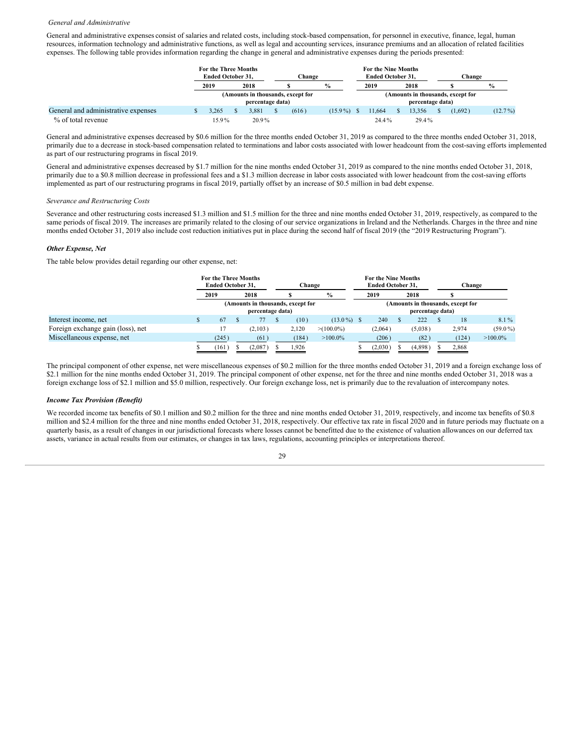#### *General and Administrative*

General and administrative expenses consist of salaries and related costs, including stock-based compensation, for personnel in executive, finance, legal, human resources, information technology and administrative functions, as well as legal and accounting services, insurance premiums and an allocation of related facilities expenses. The following table provides information regarding the change in general and administrative expenses during the periods presented:

|                                     | For the Three Months<br><b>Ended October 31.</b> |  |                  | Change                            |               | For the Nine Months<br><b>Ended October 31.</b> |        |  |                  |  |                                   | <b>Change</b> |  |
|-------------------------------------|--------------------------------------------------|--|------------------|-----------------------------------|---------------|-------------------------------------------------|--------|--|------------------|--|-----------------------------------|---------------|--|
|                                     | 2019                                             |  | 2018             |                                   | $\frac{0}{0}$ |                                                 | 2019   |  | 2018             |  |                                   | $\frac{0}{0}$ |  |
|                                     |                                                  |  | percentage data) | (Amounts in thousands, except for |               |                                                 |        |  | percentage data) |  | (Amounts in thousands, except for |               |  |
| General and administrative expenses | 3.265                                            |  | 3.881            | (616)                             | $(15.9\%)$    |                                                 | 11.664 |  | 13.356           |  | (1.692)                           | $(12.7\%)$    |  |
| % of total revenue                  | 15.9%                                            |  | 20.9%            |                                   |               |                                                 | 24.4%  |  | 29.4%            |  |                                   |               |  |

General and administrative expenses decreased by \$0.6 million for the three months ended October 31, 2019 as compared to the three months ended October 31, 2018, primarily due to a decrease in stock-based compensation related to terminations and labor costs associated with lower headcount from the cost-saving efforts implemented as part of our restructuring programs in fiscal 2019.

General and administrative expenses decreased by \$1.7 million for the nine months ended October 31, 2019 as compared to the nine months ended October 31, 2018, primarily due to a \$0.8 million decrease in professional fees and a \$1.3 million decrease in labor costs associated with lower headcount from the cost-saving efforts implemented as part of our restructuring programs in fiscal 2019, partially offset by an increase of \$0.5 million in bad debt expense.

#### *Severance and Restructuring Costs*

Severance and other restructuring costs increased \$1.3 million and \$1.5 million for the three and nine months ended October 31, 2019, respectively, as compared to the same periods of fiscal 2019. The increases are primarily related to the closing of our service organizations in Ireland and the Netherlands. Charges in the three and nine months ended October 31, 2019 also include cost reduction initiatives put in place during the second half of fiscal 2019 (the "2019 Restructuring Program").

#### *Other Expense, Net*

The table below provides detail regarding our other expense, net:

|                                   | <b>For the Three Months</b><br><b>Ended October 31.</b> |  |         |  | Change |               |  | <b>For the Nine Months</b><br><b>Ended October 31.</b> |                                                       |  | Change |            |
|-----------------------------------|---------------------------------------------------------|--|---------|--|--------|---------------|--|--------------------------------------------------------|-------------------------------------------------------|--|--------|------------|
|                                   | 2019<br>2018                                            |  |         |  |        | $\frac{0}{0}$ |  | 2019                                                   | 2018                                                  |  |        |            |
|                                   | (Amounts in thousands, except for<br>percentage data)   |  |         |  |        |               |  |                                                        | (Amounts in thousands, except for<br>percentage data) |  |        |            |
| Interest income, net              | 67                                                      |  | 77      |  | (10)   | $(13.0\%)$ \$ |  | 240                                                    | 222                                                   |  | 18     | $8.1\%$    |
| Foreign exchange gain (loss), net |                                                         |  | (2,103) |  | 2,120  | $>(100.0\%)$  |  | (2,064)                                                | (5,038)                                               |  | 2,974  | $(59.0\%)$ |
| Miscellaneous expense, net        | (245)                                                   |  | (61)    |  | (184)  | $>100.0\%$    |  | (206)                                                  | (82)                                                  |  | (124)  | $>100.0\%$ |
|                                   | (161)                                                   |  | (2,087) |  | 1,926  |               |  | (2,030)                                                | (4,898)                                               |  | 2,868  |            |

The principal component of other expense, net were miscellaneous expenses of \$0.2 million for the three months ended October 31, 2019 and a foreign exchange loss of \$2.1 million for the nine months ended October 31, 2019. The principal component of other expense, net for the three and nine months ended October 31, 2018 was a foreign exchange loss of \$2.1 million and \$5.0 million, respectively. Our foreign exchange loss, net is primarily due to the revaluation of intercompany notes.

#### *Income Tax Provision (Benefit)*

We recorded income tax benefits of \$0.1 million and \$0.2 million for the three and nine months ended October 31, 2019, respectively, and income tax benefits of \$0.8 million and \$2.4 million for the three and nine months ended October 31, 2018, respectively. Our effective tax rate in fiscal 2020 and in future periods may fluctuate on a quarterly basis, as a result of changes in our jurisdictional forecasts where losses cannot be benefitted due to the existence of valuation allowances on our deferred tax assets, variance in actual results from our estimates, or changes in tax laws, regulations, accounting principles or interpretations thereof.

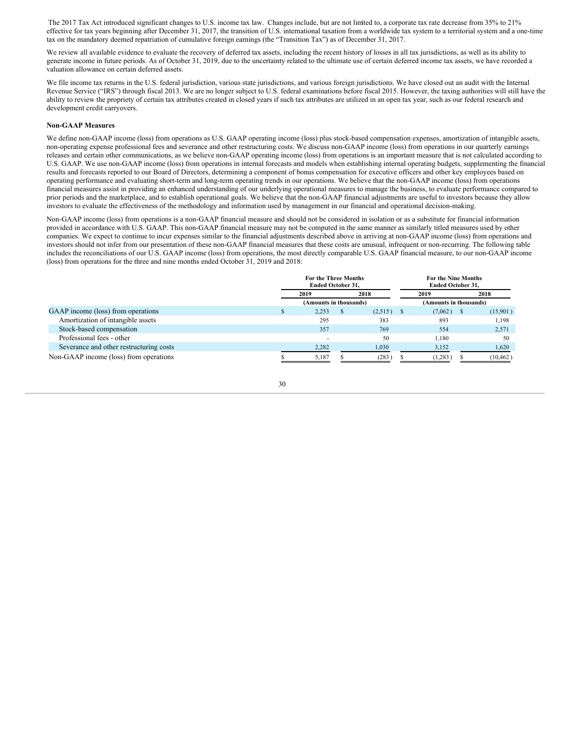The 2017 Tax Act introduced significant changes to U.S. income tax law. Changes include, but are not limited to, a corporate tax rate decrease from 35% to 21% effective for tax years beginning after December 31, 2017, the transition of U.S. international taxation from a worldwide tax system to a territorial system and a one-time tax on the mandatory deemed repatriation of cumulative foreign earnings (the "Transition Tax") as of December 31, 2017.

We review all available evidence to evaluate the recovery of deferred tax assets, including the recent history of losses in all tax jurisdictions, as well as its ability to generate income in future periods. As of October 31, 2019, due to the uncertainty related to the ultimate use of certain deferred income tax assets, we have recorded a valuation allowance on certain deferred assets.

We file income tax returns in the U.S. federal jurisdiction, various state jurisdictions, and various foreign jurisdictions. We have closed out an audit with the Internal Revenue Service ("IRS") through fiscal 2013. We are no longer subject to U.S. federal examinations before fiscal 2015. However, the taxing authorities will still have the ability to review the propriety of certain tax attributes created in closed years if such tax attributes are utilized in an open tax year, such as our federal research and development credit carryovers.

## **Non-GAAP Measures**

We define non-GAAP income (loss) from operations as U.S. GAAP operating income (loss) plus stock-based compensation expenses, amortization of intangible assets, non-operating expense professional fees and severance and other restructuring costs. We discuss non-GAAP income (loss) from operations in our quarterly earnings releases and certain other communications, as we believe non-GAAP operating income (loss) from operations is an important measure that is not calculated according to U.S. GAAP. We use non-GAAP income (loss) from operations in internal forecasts and models when establishing internal operating budgets, supplementing the financial results and forecasts reported to our Board of Directors, determining a component of bonus compensation for executive officers and other key employees based on operating performance and evaluating short-term and long-term operating trends in our operations. We believe that the non-GAAP income (loss) from operations financial measures assist in providing an enhanced understanding of our underlying operational measures to manage the business, to evaluate performance compared to prior periods and the marketplace, and to establish operational goals. We believe that the non-GAAP financial adjustments are useful to investors because they allow investors to evaluate the effectiveness of the methodology and information used by management in our financial and operational decision-making.

Non-GAAP income (loss) from operations is a non-GAAP financial measure and should not be considered in isolation or as a substitute for financial information provided in accordance with U.S. GAAP. This non-GAAP financial measure may not be computed in the same manner as similarly titled measures used by other companies. We expect to continue to incur expenses similar to the financial adjustments described above in arriving at non-GAAP income (loss) from operations and investors should not infer from our presentation of these non-GAAP financial measures that these costs are unusual, infrequent or non-recurring. The following table includes the reconciliations of our U.S. GAAP income (loss) from operations, the most directly comparable U.S. GAAP financial measure, to our non-GAAP income (loss) from operations for the three and nine months ended October 31, 2019 and 2018:

|                                         | For the Nine Months<br><b>For the Three Months</b><br><b>Ended October 31.</b><br><b>Ended October 31.</b> |                        |  |              |                        |   |           |
|-----------------------------------------|------------------------------------------------------------------------------------------------------------|------------------------|--|--------------|------------------------|---|-----------|
|                                         | 2019<br>2018<br>2018<br>2019                                                                               |                        |  |              |                        |   |           |
|                                         |                                                                                                            | (Amounts in thousands) |  |              | (Amounts in thousands) |   |           |
| GAAP income (loss) from operations      |                                                                                                            | 2.253                  |  | $(2,515)$ \$ | (7,062)                | S | (15,901)  |
| Amortization of intangible assets       |                                                                                                            | 295                    |  | 383          | 893                    |   | 1,198     |
| Stock-based compensation                |                                                                                                            | 357                    |  | 769          | 554                    |   | 2,571     |
| Professional fees - other               |                                                                                                            |                        |  | 50           | 1.180                  |   | 50        |
| Severance and other restructuring costs |                                                                                                            | 2,282                  |  | 1,030        | 3,152                  |   | 1,620     |
| Non-GAAP income (loss) from operations  |                                                                                                            | 5.187                  |  | (283)        | (1.283)                |   | (10, 462) |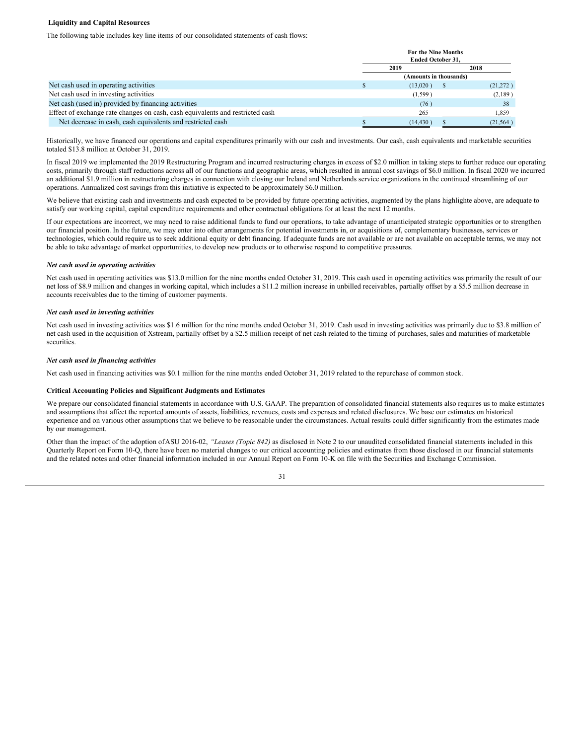#### **Liquidity and Capital Resources**

The following table includes key line items of our consolidated statements of cash flows:

|                                                                               | <b>For the Nine Months</b><br><b>Ended October 31.</b> |  |           |  |
|-------------------------------------------------------------------------------|--------------------------------------------------------|--|-----------|--|
|                                                                               | 2018<br>2019                                           |  |           |  |
|                                                                               | (Amounts in thousands)                                 |  |           |  |
| Net cash used in operating activities                                         | (13,020)                                               |  | (21,272)  |  |
| Net cash used in investing activities                                         | (1, 599)                                               |  | (2,189)   |  |
| Net cash (used in) provided by financing activities                           | (76)                                                   |  | 38        |  |
| Effect of exchange rate changes on cash, cash equivalents and restricted cash | 265                                                    |  | 1,859     |  |
| Net decrease in cash, cash equivalents and restricted cash                    | (14, 430)                                              |  | (21, 564) |  |

Historically, we have financed our operations and capital expenditures primarily with our cash and investments. Our cash, cash equivalents and marketable securities totaled \$13.8 million at October 31, 2019.

In fiscal 2019 we implemented the 2019 Restructuring Program and incurred restructuring charges in excess of \$2.0 million in taking steps to further reduce our operating costs, primarily through staff reductions across all of our functions and geographic areas, which resulted in annual cost savings of \$6.0 million. In fiscal 2020 we incurred an additional \$1.9 million in restructuring charges in connection with closing our Ireland and Netherlands service organizations in the continued streamlining of our operations. Annualized cost savings from this initiative is expected to be approximately \$6.0 million.

We believe that existing cash and investments and cash expected to be provided by future operating activities, augmented by the plans highlighte above, are adequate to satisfy our working capital, capital expenditure requirements and other contractual obligations for at least the next 12 months.

If our expectations are incorrect, we may need to raise additional funds to fund our operations, to take advantage of unanticipated strategic opportunities or to strengthen our financial position. In the future, we may enter into other arrangements for potential investments in, or acquisitions of, complementary businesses, services or technologies, which could require us to seek additional equity or debt financing. If adequate funds are not available or are not available on acceptable terms, we may not be able to take advantage of market opportunities, to develop new products or to otherwise respond to competitive pressures.

## *Net cash used in operating activities*

Net cash used in operating activities was \$13.0 million for the nine months ended October 31, 2019. This cash used in operating activities was primarily the result of our net loss of \$8.9 million and changes in working capital, which includes a \$11.2 million increase in unbilled receivables, partially offset by a \$5.5 million decrease in accounts receivables due to the timing of customer payments.

#### *Net cash used in investing activities*

Net cash used in investing activities was \$1.6 million for the nine months ended October 31, 2019. Cash used in investing activities was primarily due to \$3.8 million of net cash used in the acquisition of Xstream, partially offset by a \$2.5 million receipt of net cash related to the timing of purchases, sales and maturities of marketable securities.

#### *Net cash used in financing activities*

Net cash used in financing activities was \$0.1 million for the nine months ended October 31, 2019 related to the repurchase of common stock.

#### **Critical Accounting Policies and Significant Judgments and Estimates**

We prepare our consolidated financial statements in accordance with U.S. GAAP. The preparation of consolidated financial statements also requires us to make estimates and assumptions that affect the reported amounts of assets, liabilities, revenues, costs and expenses and related disclosures. We base our estimates on historical experience and on various other assumptions that we believe to be reasonable under the circumstances. Actual results could differ significantly from the estimates made by our management.

Other than the impact of the adoption ofASU 2016-02, *"Leases (Topic 842)* as disclosed in Note 2 to our unaudited consolidated financial statements included in this Quarterly Report on Form 10-Q, there have been no material changes to our critical accounting policies and estimates from those disclosed in our financial statements and the related notes and other financial information included in our Annual Report on Form 10-K on file with the Securities and Exchange Commission.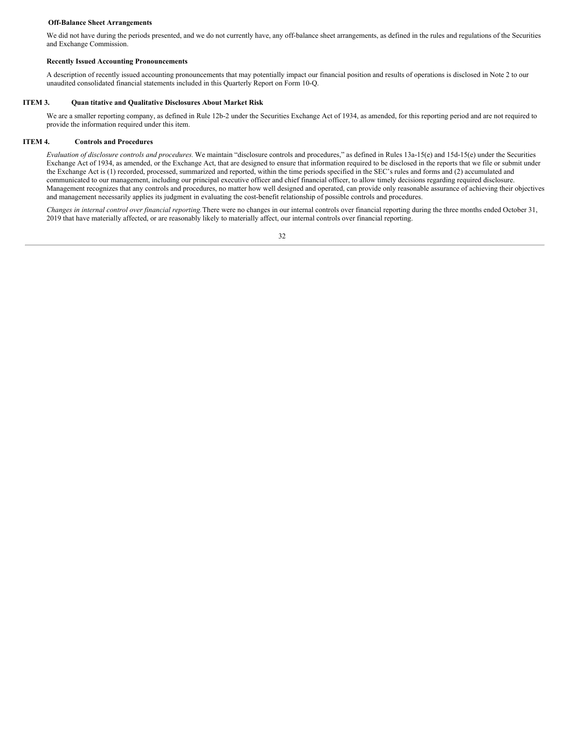#### **Off-Balance Sheet Arrangements**

We did not have during the periods presented, and we do not currently have, any off-balance sheet arrangements, as defined in the rules and regulations of the Securities and Exchange Commission.

### **Recently Issued Accounting Pronouncements**

A description of recently issued accounting pronouncements that may potentially impact our financial position and results of operations is disclosed in Note 2 to our unaudited consolidated financial statements included in this Quarterly Report on Form 10-Q.

## **ITEM 3. Quan titative and Qualitative Disclosures About Market Risk**

<span id="page-32-0"></span>We are a smaller reporting company, as defined in Rule 12b-2 under the Securities Exchange Act of 1934, as amended, for this reporting period and are not required to provide the information required under this item.

## **ITEM 4. Controls and Procedures**

<span id="page-32-1"></span>*Evaluation of disclosure controls and procedures.* We maintain "disclosure controls and procedures," as defined in Rules 13a‑15(e) and 15d‑15(e) under the Securities Exchange Act of 1934, as amended, or the Exchange Act, that are designed to ensure that information required to be disclosed in the reports that we file or submit under the Exchange Act is (1) recorded, processed, summarized and reported, within the time periods specified in the SEC's rules and forms and (2) accumulated and communicated to our management, including our principal executive officer and chief financial officer, to allow timely decisions regarding required disclosure. Management recognizes that any controls and procedures, no matter how well designed and operated, can provide only reasonable assurance of achieving their objectives and management necessarily applies its judgment in evaluating the cost-benefit relationship of possible controls and procedures.

*Changes in internal control over financial reporting.*There were no changes in our internal controls over financial reporting during the three months ended October 31, 2019 that have materially affected, or are reasonably likely to materially affect, our internal controls over financial reporting.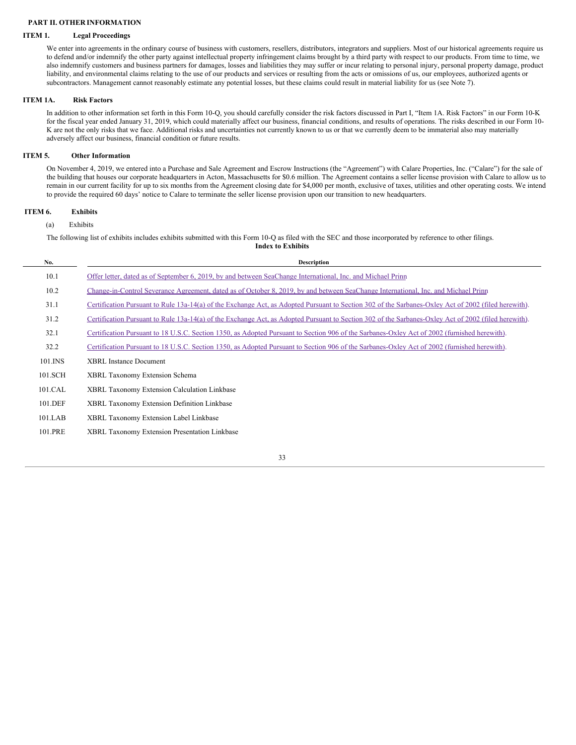## <span id="page-33-0"></span>**PART II. OTHER INFORMATION**

## **ITEM 1. Legal Proceedings**

<span id="page-33-1"></span>We enter into agreements in the ordinary course of business with customers, resellers, distributors, integrators and suppliers. Most of our historical agreements require us to defend and/or indemnify the other party against intellectual property infringement claims brought by a third party with respect to our products. From time to time, we also indemnify customers and business partners for damages, losses and liabilities they may suffer or incur relating to personal injury, personal property damage, product liability, and environmental claims relating to the use of our products and services or resulting from the acts or omissions of us, our employees, authorized agents or subcontractors. Management cannot reasonably estimate any potential losses, but these claims could result in material liability for us (see Note 7).

## **ITEM 1A. Risk Factors**

<span id="page-33-2"></span>In addition to other information set forth in this Form 10-Q, you should carefully consider the risk factors discussed in Part I, "Item 1A. Risk Factors" in our Form 10-K for the fiscal year ended January 31, 2019, which could materially affect our business, financial conditions, and results of operations. The risks described in our Form 10- K are not the only risks that we face. Additional risks and uncertainties not currently known to us or that we currently deem to be immaterial also may materially adversely affect our business, financial condition or future results.

## **ITEM 5. Other Information**

<span id="page-33-3"></span>On November 4, 2019, we entered into a Purchase and Sale Agreement and Escrow Instructions (the "Agreement") with Calare Properties, Inc. ("Calare") for the sale of the building that houses our corporate headquarters in Acton, Massachusetts for \$0.6 million. The Agreement contains a seller license provision with Calare to allow us to remain in our current facility for up to six months from the Agreement closing date for \$4,000 per month, exclusive of taxes, utilities and other operating costs. We intend to provide the required 60 days' notice to Calare to terminate the seller license provision upon our transition to new headquarters.

#### <span id="page-33-4"></span>**ITEM 6. Exhibits**

(a) Exhibits

The following list of exhibits includes exhibits submitted with this Form 10-Q as filed with the SEC and those incorporated by reference to other filings. **Index to Exhibits**

| No.     | <b>Description</b>                                                                                                                                   |
|---------|------------------------------------------------------------------------------------------------------------------------------------------------------|
| 10.1    | Offer letter, dated as of September 6, 2019, by and between SeaChange International, Inc. and Michael Prinn                                          |
| 10.2    | Change-in-Control Severance Agreement, dated as of October 8, 2019, by and between SeaChange International, Inc. and Michael Prinn                   |
| 31.1    | Certification Pursuant to Rule 13a-14(a) of the Exchange Act, as Adopted Pursuant to Section 302 of the Sarbanes-Oxley Act of 2002 (filed herewith). |
| 31.2    | Certification Pursuant to Rule 13a-14(a) of the Exchange Act, as Adopted Pursuant to Section 302 of the Sarbanes-Oxley Act of 2002 (filed herewith). |
| 32.1    | Certification Pursuant to 18 U.S.C. Section 1350, as Adopted Pursuant to Section 906 of the Sarbanes-Oxley Act of 2002 (furnished herewith).         |
| 32.2    | Certification Pursuant to 18 U.S.C. Section 1350, as Adopted Pursuant to Section 906 of the Sarbanes-Oxley Act of 2002 (furnished herewith).         |
| 101.INS | <b>XBRL Instance Document</b>                                                                                                                        |
| 101.SCH | XBRL Taxonomy Extension Schema                                                                                                                       |
| 101.CAL | <b>XBRL Taxonomy Extension Calculation Linkbase</b>                                                                                                  |
| 101.DEF | XBRL Taxonomy Extension Definition Linkbase                                                                                                          |
| 101.LAB | XBRL Taxonomy Extension Label Linkbase                                                                                                               |
| 101.PRE | XBRL Taxonomy Extension Presentation Linkbase                                                                                                        |
|         |                                                                                                                                                      |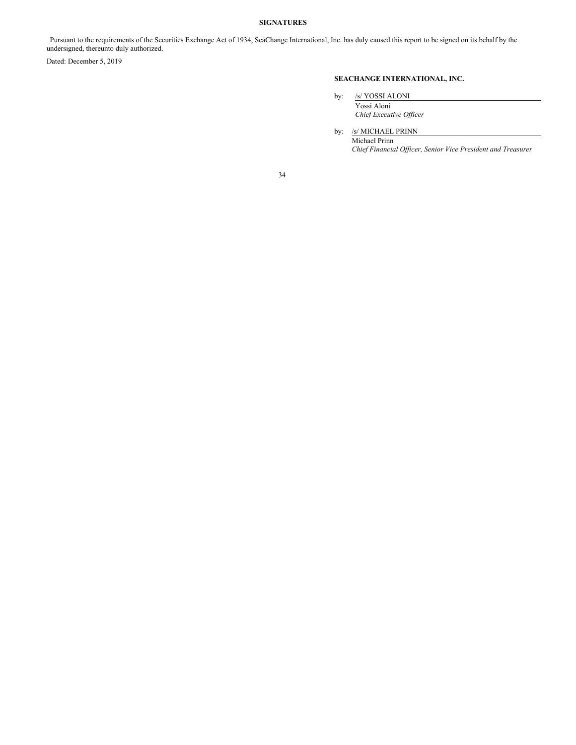## **SIGNATURES**

<span id="page-34-0"></span>Pursuant to the requirements of the Securities Exchange Act of 1934, SeaChange International, Inc. has duly caused this report to be signed on its behalf by the undersigned, thereunto duly authorized.

Dated: December 5, 2019

# **SEACHANGE INTERNATIONAL, INC.**

by: /s/ YOSSI ALONI

Yossi Aloni *Chief Executive Of icer*

by: /s/ MICHAEL PRINN

Michael Prinn *Chief Financial Of icer, Senior Vice President and Treasurer*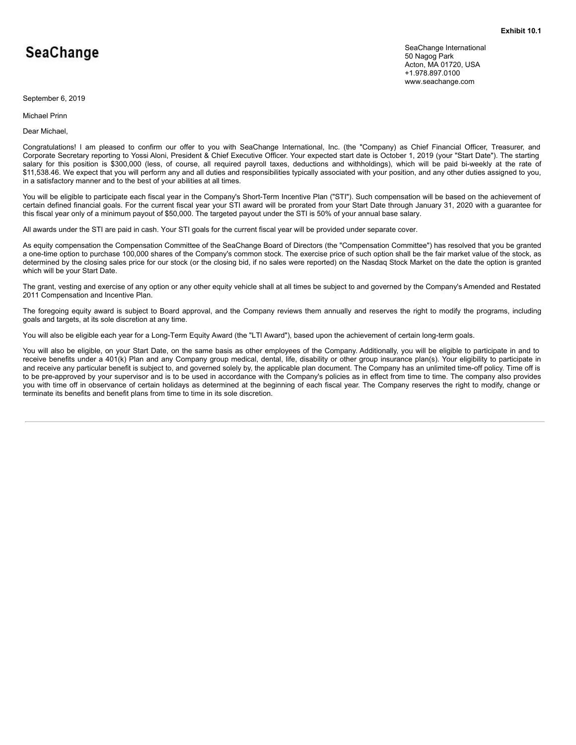# SeaChange

SeaChange International 50 Nagog Park Acton, MA 01720, USA +1.978.897.0100 www.seachange.com

September 6, 2019

#### Michael Prinn

Dear Michael,

Congratulations! I am pleased to confirm our offer to you with SeaChange International, Inc. (the "Company) as Chief Financial Officer, Treasurer, and Corporate Secretary reporting to Yossi Aloni, President & Chief Executive Officer. Your expected start date is October 1, 2019 (your "Start Date"). The starting salary for this position is \$300,000 (less, of course, all required payroll taxes, deductions and withholdings), which will be paid bi-weekly at the rate of \$11,538.46. We expect that you will perform any and all duties and responsibilities typically associated with your position, and any other duties assigned to you, in a satisfactory manner and to the best of your abilities at all times.

You will be eligible to participate each fiscal year in the Company's Short-Term Incentive Plan ("STI"). Such compensation will be based on the achievement of certain defined financial goals. For the current fiscal year your STI award will be prorated from your Start Date through January 31, 2020 with a guarantee for this fiscal year only of a minimum payout of \$50,000. The targeted payout under the STI is 50% of your annual base salary.

All awards under the STI are paid in cash. Your STI goals for the current fiscal year will be provided under separate cover.

As equity compensation the Compensation Committee of the SeaChange Board of Directors (the "Compensation Committee") has resolved that you be granted a one-time option to purchase 100,000 shares of the Company's common stock. The exercise price of such option shall be the fair market value of the stock, as determined by the closing sales price for our stock (or the closing bid, if no sales were reported) on the Nasdaq Stock Market on the date the option is granted which will be your Start Date.

The grant, vesting and exercise of any option or any other equity vehicle shall at all times be subject to and governed by the Company's Amended and Restated 2011 Compensation and Incentive Plan.

The foregoing equity award is subject to Board approval, and the Company reviews them annually and reserves the right to modify the programs, including goals and targets, at its sole discretion at any time.

You will also be eligible each year for a Long-Term Equity Award (the "LTl Award"), based upon the achievement of certain long-term goals.

You will also be eligible, on your Start Date, on the same basis as other employees of the Company. Additionally, you will be eligible to participate in and to receive benefits under a 401(k) Plan and any Company group medical, dental, life, disability or other group insurance plan(s). Your eligibility to participate in and receive any particular benefit is subject to, and governed solely by, the applicable plan document. The Company has an unlimited time-off policy. Time off is to be pre-approved by your supervisor and is to be used in accordance with the Company's policies as in effect from time to time. The company also provides you with time off in observance of certain holidays as determined at the beginning of each fiscal year. The Company reserves the right to modify, change or terminate its benefits and benefit plans from time to time in its sole discretion.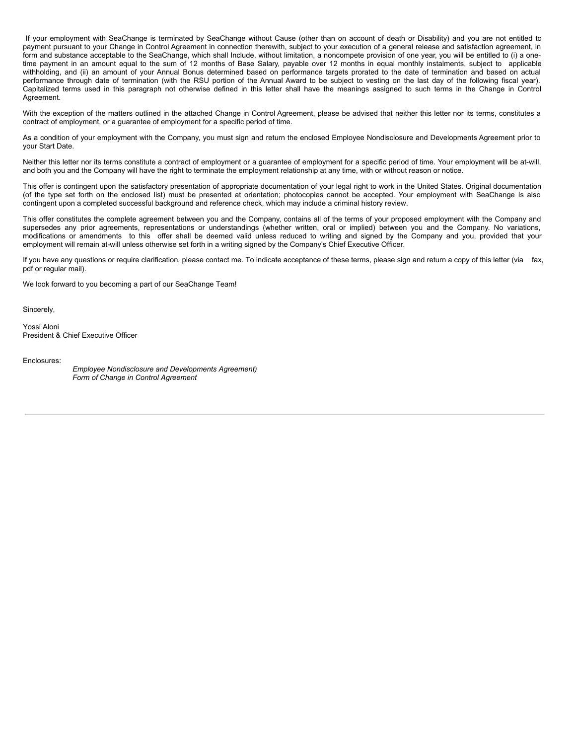If your employment with SeaChange is terminated by SeaChange without Cause (other than on account of death or Disability) and you are not entitled to payment pursuant to your Change in Control Agreement in connection therewith, subject to your execution of a general release and satisfaction agreement, in form and substance acceptable to the SeaChange, which shall Include, without limitation, a noncompete provision of one year, you will be entitled to (i) a onetime payment in an amount equal to the sum of 12 months of Base Salary, payable over 12 months in equal monthly instalments, subject to applicable withholding, and (ii) an amount of your Annual Bonus determined based on performance targets prorated to the date of termination and based on actual performance through date of termination (with the RSU portion of the Annual Award to be subject to vesting on the last day of the following fiscal year). Capitalized terms used in this paragraph not otherwise defined in this letter shall have the meanings assigned to such terms in the Change in Control Agreement.

With the exception of the matters outlined in the attached Change in Control Agreement, please be advised that neither this letter nor its terms, constitutes a contract of employment, or a guarantee of employment for a specific period of time.

As a condition of your employment with the Company, you must sign and return the enclosed Employee Nondisclosure and Developments Agreement prior to your Start Date.

Neither this letter nor its terms constitute a contract of employment or a guarantee of employment for a specific period of time. Your employment will be at-will, and both you and the Company will have the right to terminate the employment relationship at any time, with or without reason or notice.

This offer is contingent upon the satisfactory presentation of appropriate documentation of your legal right to work in the United States. Original documentation (of the type set forth on the enclosed list) must be presented at orientation; photocopies cannot be accepted. Your employment with SeaChange Is also contingent upon a completed successful background and reference check, which may include a criminal history review.

This offer constitutes the complete agreement between you and the Company, contains all of the terms of your proposed employment with the Company and supersedes any prior agreements, representations or understandings (whether written, oral or implied) between you and the Company. No variations, modifications or amendments to this offer shall be deemed valid unless reduced to writing and signed by the Company and you, provided that your employment will remain at-will unless otherwise set forth in a writing signed by the Company's Chief Executive Officer.

If you have any questions or require clarification, please contact me. To indicate acceptance of these terms, please sign and return a copy of this letter (via fax, pdf or regular mail).

We look forward to you becoming a part of our SeaChange Team!

Sincerely,

Yossi Aloni President & Chief Executive Officer

Enclosures:

*Employee Nondisclosure and Developments Agreement) Form of Change in Control Agreement*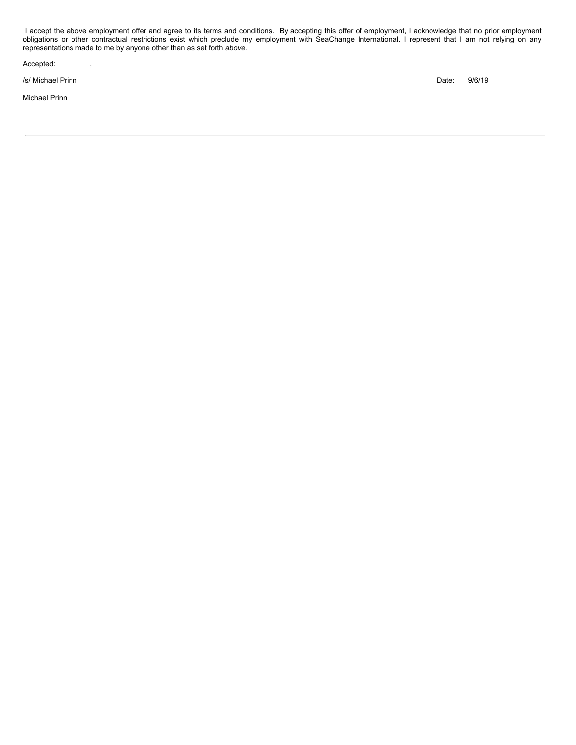I accept the above employment offer and agree to its terms and conditions. By accepting this offer of employment, I acknowledge that no prior employment obligations or other contractual restrictions exist which preclude my employment with SeaChange International. I represent that I am not relying on any representations made to me by anyone other than as set forth *above.*

Accepted: ,

/s/ Michael Prinn Date: 9/6/19

Michael Prinn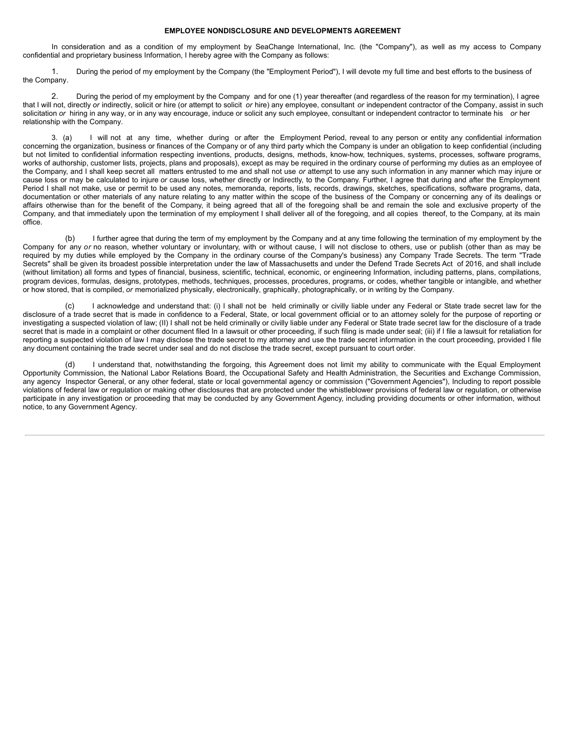## <span id="page-38-0"></span>**EMPLOYEE NONDISCLOSURE AND DEVELOPMENTS AGREEMENT**

In consideration and as a condition of my employment by SeaChange International, Inc. (the "Company"), as well as my access to Company confidential and proprietary business Information, I hereby agree with the Company as follows:

1. During the period of my employment by the Company (the "Employment Period"), I will devote my full time and best efforts to the business of the Company.

2. During the period of my employment by the Company and for one (1) year thereafter (and regardless of the reason for my termination), I agree that I will not, directly *or* indirectly, solicit or hire (or attempt to solicit *or* hire) any employee, consultant *or* independent contractor of the Company, assist in such solicitation *or* hiring in any way, or in any way encourage, induce or solicit any such employee, consultant or independent contractor to terminate his *or* her relationship with the Company.

3. (a) I will not at any time, whether during or after the Employment Period, reveal to any person or entity any confidential information concerning the organization, business or finances of the Company or of any third party which the Company is under an obligation to keep confidential (including but not limited to confidential information respecting inventions, products, designs, methods, know-how, techniques, systems, processes, software programs, works of authorship, customer lists, projects, plans and proposals), except as may be required in the ordinary course of performing my duties as an employee of the Company, and I shall keep secret all matters entrusted to me and shall not use *or* attempt to use any such information in any manner which may injure or cause loss or may be calculated to injure *or* cause loss, whether directly or Indirectly, to the Company. Further, I agree that during and after the Employment Period I shall not make, use or permit to be used any notes, memoranda, reports, lists, records, drawings, sketches, specifications, software programs, data, documentation or other materials of any nature relating to any matter within the scope of the business of the Company or concerning any of its dealings or affairs otherwise than for the benefit of the Company, it being agreed that all of the foregoing shall be and remain the sole and exclusive property of the Company, and that immediately upon the termination of my employment I shall deliver all of the foregoing, and all copies thereof, to the Company, at its main office.

(b) I further agree that during the term of my employment by the Company and at any time following the termination of my employment by the Company for any or no reason, whether voluntary or involuntary, with or without cause, I will not disclose to others, use or publish (other than as may be required by my duties while employed by the Company in the ordinary course of the Company's business) any Company Trade Secrets. The term "Trade Secrets" shall be given its broadest possible interpretation under the law of Massachusetts and under the Defend Trade Secrets Act of 2016, and shall include (without limitation) all forms and types of financial, business, scientific, technical, economic, or engineering Information, including patterns, plans, compilations, program devices, formulas, designs, prototypes, methods, techniques, processes, procedures, programs, or codes, whether tangible or intangible, and whether or how stored, that is compiled, *or* memorialized physically, electronically, graphically, photographically, or in writing by the Company.

(c) I acknowledge and understand that: (i) I shall not be held criminally or civilly liable under any Federal or State trade secret law for the disclosure of a trade secret that is made in confidence to a Federal, State, or local government official or to an attorney solely for the purpose of reporting or investigating a suspected violation of law; (II) I shall not be held criminally or civilly liable under any Federal or State trade secret law for the disclosure of a trade secret that is made in a complaint or other document filed In a lawsuit or other proceeding, if such filing is made under seal; (iii) if I file a lawsuit for retaliation for reporting a suspected violation of law I may disclose the trade secret to my attorney and use the trade secret information in the court proceeding, provided I file any document containing the trade secret under seal and do not disclose the trade secret, except pursuant to court order.

(d) I understand that, notwithstanding the forgoing, this Agreement does not limit my ability to communicate with the Equal Employment Opportunity Commission, the National Labor Relations Board, the Occupational Safety and Health Administration, the Securities and Exchange Commission, any agency Inspector General, or any other federal, state or local governmental agency or commission ("Government Agencies"), Including to report possible violations of federal law or regulation or making other disclosures that are protected under the whistleblower provisions of federal law or regulation, or otherwise participate in any investigation or proceeding that may be conducted by any Government Agency, including providing documents or other information, without notice, to any Government Agency.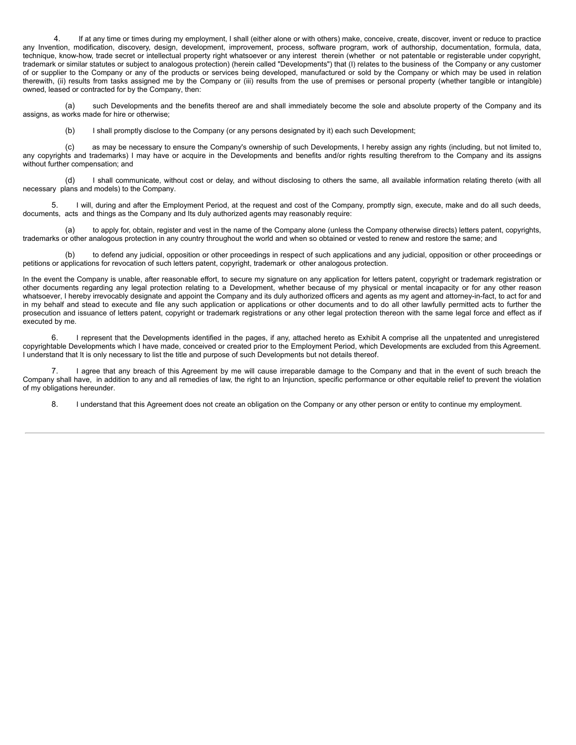4. If at any time or times during my employment, I shall (either alone or with others) make, conceive, create, discover, invent or reduce to practice any Invention, modification, discovery, design, development, improvement, process, software program, work of authorship, documentation, formula, data, technique, know-how, trade secret or intellectual property right whatsoever or any interest therein (whether or not patentable or registerable under copyright, trademark or similar statutes or subject to analogous protection) (herein called "Developments") that (I) relates to the business of the Company or any customer of or supplier to the Company or any of the products or services being developed, manufactured or sold by the Company or which may be used in relation therewith, (ii) results from tasks assigned me by the Company or (iii) results from the use of premises or personal property (whether tangible or intangible) owned, leased or contracted for by the Company, then:

(a) such Developments and the benefits thereof are and shall immediately become the sole and absolute property of the Company and its assigns, as works made for hire or otherwise;

(b) I shall promptly disclose to the Company (or any persons designated by it) each such Development;

(c) as may be necessary to ensure the Company's ownership of such Developments, I hereby assign any rights (including, but not limited to, any copyrights and trademarks) I may have or acquire in the Developments and benefits and/or rights resulting therefrom to the Company and its assigns without further compensation; and

(d) I shall communicate, without cost or delay, and without disclosing to others the same, all available information relating thereto (with all necessary plans and models) to the Company.

5. I will, during and after the Employment Period, at the request and cost of the Company, promptly sign, execute, make and do all such deeds, documents, acts and things as the Company and Its duly authorized agents may reasonably require:

(a) to apply for, obtain, register and vest in the name of the Company alone (unless the Company otherwise directs) letters patent, copyrights, trademarks or other analogous protection in any country throughout the world and when so obtained or vested to renew and restore the same; and

(b) to defend any judicial, opposition or other proceedings in respect of such applications and any judicial, opposition or other proceedings or petitions or applications for revocation of such letters patent, copyright, trademark or other analogous protection.

In the event the Company is unable, after reasonable effort, to secure my signature on any application for letters patent, copyright or trademark registration or other documents regarding any legal protection relating to a Development, whether because of my physical or mental incapacity or for any other reason whatsoever, I hereby irrevocably designate and appoint the Company and its duly authorized officers and agents as my agent and attorney-in-fact, to act for and in my behalf and stead to execute and file any such application or applications or other documents and to do all other lawfully permitted acts to further the prosecution and issuance of letters patent, copyright or trademark registrations or any other legal protection thereon with the same legal force and effect as if executed by me.

I represent that the Developments identified in the pages, if any, attached hereto as Exhibit A comprise all the unpatented and unregistered copyrightable Developments which I have made, conceived or created prior to the Employment Period, which Developments are excluded from this Agreement. I understand that It is only necessary to list the title and purpose of such Developments but not details thereof.

7. I agree that any breach of this Agreement by me will cause irreparable damage to the Company and that in the event of such breach the Company shall have, in addition to any and all remedies of law, the right to an Injunction, specific performance or other equitable relief to prevent the violation of my obligations hereunder.

8. I understand that this Agreement does not create an obligation on the Company or any other person or entity to continue my employment.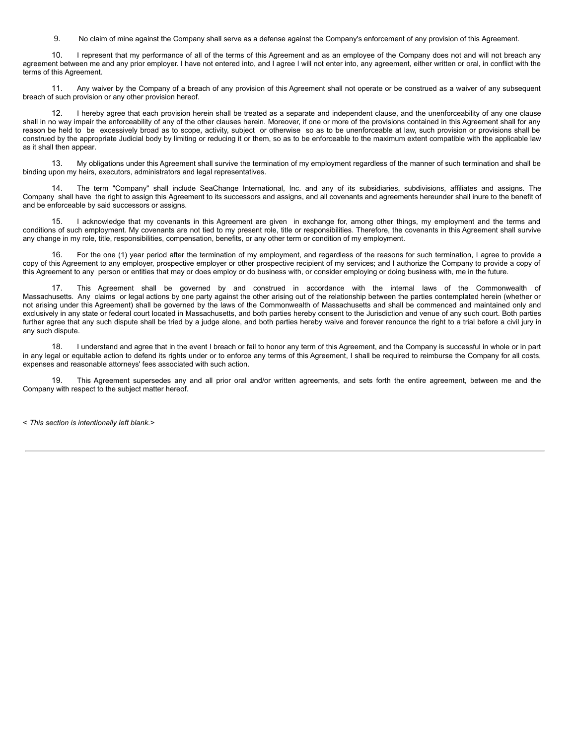9. No claim of mine against the Company shall serve as a defense against the Company's enforcement of any provision of this Agreement.

10. I represent that my performance of all of the terms of this Agreement and as an employee of the Company does not and will not breach any agreement between me and any prior employer. I have not entered into, and I agree I will not enter into, any agreement, either written or oral, in conflict with the terms of this Agreement.

11. Any waiver by the Company of a breach of any provision of this Agreement shall not operate or be construed as a waiver of any subsequent breach of such provision or any other provision hereof.

12. I hereby agree that each provision herein shall be treated as a separate and independent clause, and the unenforceability of any one clause shall in no way impair the enforceability of any of the other clauses herein. Moreover, if one or more of the provisions contained in this Agreement shall for any reason be held to be excessively broad as to scope, activity, subject or otherwise so as to be unenforceable at law, such provision or provisions shall be construed by the appropriate Judicial body by limiting or reducing it or them, so as to be enforceable to the maximum extent compatible with the applicable law as it shall then appear.

13. My obligations under this Agreement shall survive the termination of my employment regardless of the manner of such termination and shall be binding upon my heirs, executors, administrators and legal representatives.

The term "Company" shall include SeaChange International, Inc. and any of its subsidiaries, subdivisions, affiliates and assigns. The Company shall have the right to assign this Agreement to its successors and assigns, and all covenants and agreements hereunder shall inure to the benefit of and be enforceable by said successors or assigns.

I acknowledge that my covenants in this Agreement are given in exchange for, among other things, my employment and the terms and conditions of such employment. My covenants are not tied to my present role, title or responsibilities. Therefore, the covenants in this Agreement shall survive any change in my role, title, responsibilities, compensation, benefits, or any other term or condition of my employment.

16. For the one (1) year period after the termination of my employment, and regardless of the reasons for such termination, I agree to provide a copy of this Agreement to any employer, prospective employer or other prospective recipient of my services; and I authorize the Company to provide a copy of this Agreement to any person or entities that may or does employ or do business with, or consider employing or doing business with, me in the future.

This Agreement shall be governed by and construed in accordance with the internal laws of the Commonwealth of Massachusetts. Any claims or legal actions by one party against the other arising out of the relationship between the parties contemplated herein (whether or not arising under this Agreement) shall be governed by the laws of the Commonwealth of Massachusetts and shall be commenced and maintained only and exclusively in any state or federal court located in Massachusetts, and both parties hereby consent to the Jurisdiction and venue of any such court. Both parties further agree that any such dispute shall be tried by a judge alone, and both parties hereby waive and forever renounce the right to a trial before a civil jury in any such dispute.

18. I understand and agree that in the event I breach or fail to honor any term of this Agreement, and the Company is successful in whole or in part in any legal or equitable action to defend its rights under or to enforce any terms of this Agreement, I shall be required to reimburse the Company for all costs, expenses and reasonable attorneys' fees associated with such action.

19. This Agreement supersedes any and all prior oral and/or written agreements, and sets forth the entire agreement, between me and the Company with respect to the subject matter hereof.

< *This section is intentionally left blank.>*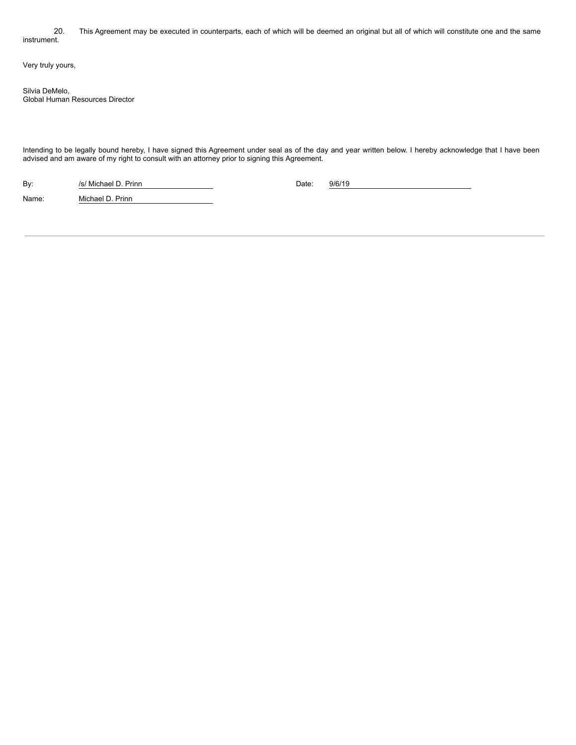20. This Agreement may be executed in counterparts, each of which will be deemed an original but all of which will constitute one and the same instrument.

Very truly yours,

Silvia DeMelo, Global Human Resources Director

Intending to be legally bound hereby, I have signed this Agreement under seal as of the day and year written below. I hereby acknowledge that I have been advised and am aware of my right to consult with an attorney prior to signing this Agreement.

| By:         | / Michael D. Prinn<br>/s/ | Date: | 9/6/19 |
|-------------|---------------------------|-------|--------|
| <b>Name</b> | Michael D. Prinn          |       |        |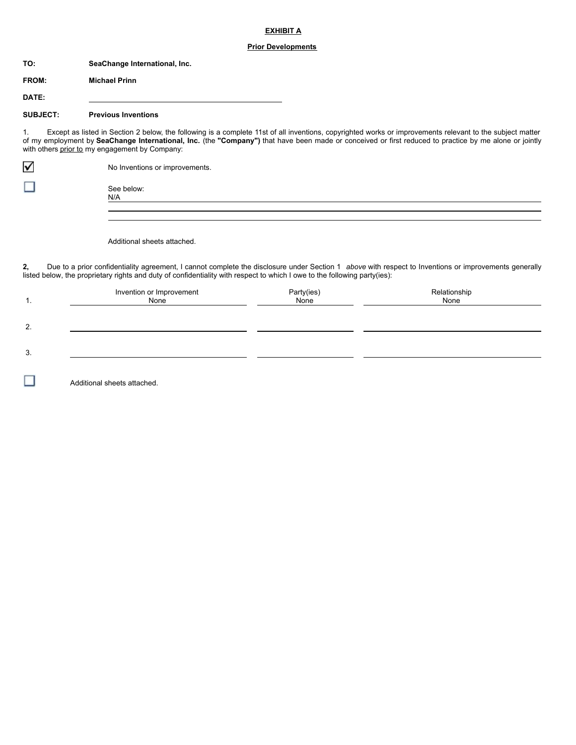# **EXHIBIT A**

## **Prior Developments**

| TO:             | SeaChange International, Inc.                                                      |
|-----------------|------------------------------------------------------------------------------------|
| FROM:           | <b>Michael Prinn</b>                                                               |
| DATE:           |                                                                                    |
| <b>SUBJECT:</b> | <b>Previous Inventions</b>                                                         |
| 1.              | Except as listed in Section 2 below, the following is a complete 11st of all inver |

1. Itions, copyrighted works or improvements relevant to the subject matter of my employment by **SeaChange International, Inc.** (the **"Company")** that have been made or conceived or first reduced to practice by me alone or jointly with others prior to my engagement by Company:

No Inventions or improvements.

See below: N/A

Additional sheets attached.

**2,** Due to a prior confidentiality agreement, I cannot complete the disclosure under Section 1 *above* with respect to Inventions or improvements generally listed below, the proprietary rights and duty of confidentiality with respect to which I owe to the following party(ies):

| 1. | Invention or Improvement<br>None | Party(ies)<br>None | Relationship<br>None |
|----|----------------------------------|--------------------|----------------------|
| 2. |                                  |                    |                      |
| 3. |                                  |                    |                      |
|    | Additional sheets attached.      |                    |                      |

Additional sheets attached.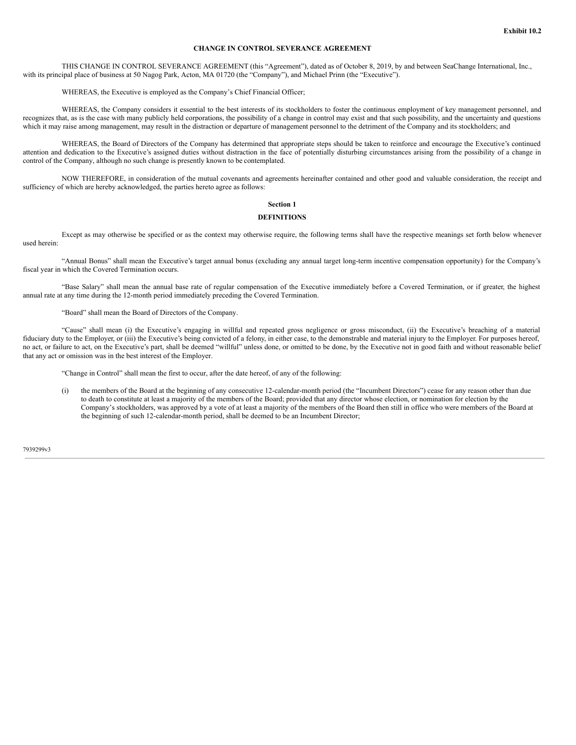## **CHANGE IN CONTROL SEVERANCE AGREEMENT**

THIS CHANGE IN CONTROL SEVERANCE AGREEMENT (this "Agreement"), dated as of October 8, 2019, by and between SeaChange International, Inc., with its principal place of business at 50 Nagog Park, Acton, MA 01720 (the "Company"), and Michael Prinn (the "Executive").

WHEREAS, the Executive is employed as the Company's Chief Financial Officer;

WHEREAS, the Company considers it essential to the best interests of its stockholders to foster the continuous employment of key management personnel, and recognizes that, as is the case with many publicly held corporations, the possibility of a change in control may exist and that such possibility, and the uncertainty and questions which it may raise among management, may result in the distraction or departure of management personnel to the detriment of the Company and its stockholders; and

WHEREAS, the Board of Directors of the Company has determined that appropriate steps should be taken to reinforce and encourage the Executive's continued attention and dedication to the Executive's assigned duties without distraction in the face of potentially disturbing circumstances arising from the possibility of a change in control of the Company, although no such change is presently known to be contemplated.

NOW THEREFORE, in consideration of the mutual covenants and agreements hereinafter contained and other good and valuable consideration, the receipt and sufficiency of which are hereby acknowledged, the parties hereto agree as follows:

## **Section 1**

## **DEFINITIONS**

Except as may otherwise be specified or as the context may otherwise require, the following terms shall have the respective meanings set forth below whenever used herein:

"Annual Bonus" shall mean the Executive's target annual bonus (excluding any annual target long-term incentive compensation opportunity) for the Company's fiscal year in which the Covered Termination occurs.

"Base Salary" shall mean the annual base rate of regular compensation of the Executive immediately before a Covered Termination, or if greater, the highest annual rate at any time during the 12-month period immediately preceding the Covered Termination.

"Board" shall mean the Board of Directors of the Company.

"Cause" shall mean (i) the Executive's engaging in willful and repeated gross negligence or gross misconduct, (ii) the Executive's breaching of a material fiduciary duty to the Employer, or (iii) the Executive's being convicted of a felony, in either case, to the demonstrable and material injury to the Employer. For purposes hereof, no act, or failure to act, on the Executive's part, shall be deemed "willful" unless done, or omitted to be done, by the Executive not in good faith and without reasonable belief that any act or omission was in the best interest of the Employer.

"Change in Control" shall mean the first to occur, after the date hereof, of any of the following:

(i) the members of the Board at the beginning of any consecutive 12-calendar-month period (the "Incumbent Directors") cease for any reason other than due to death to constitute at least a majority of the members of the Board; provided that any director whose election, or nomination for election by the Company's stockholders, was approved by a vote of at least a majority of the members of the Board then still in office who were members of the Board at the beginning of such 12-calendar-month period, shall be deemed to be an Incumbent Director;

7939299v3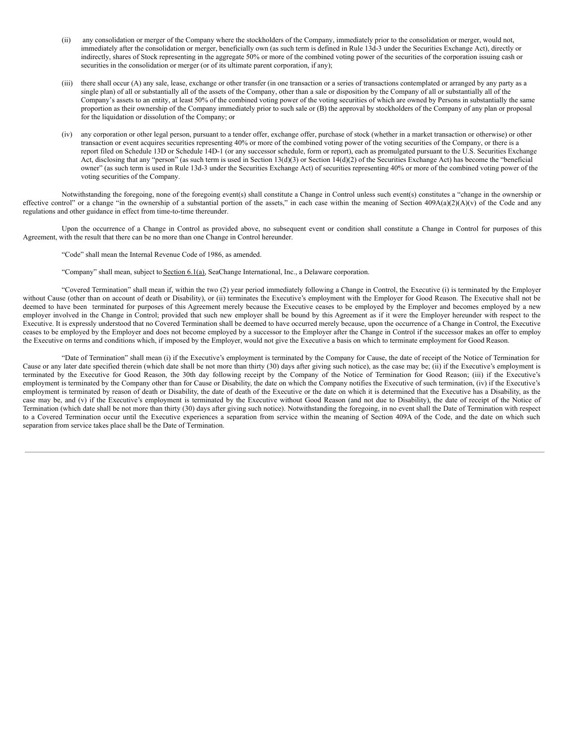- (ii) any consolidation or merger of the Company where the stockholders of the Company, immediately prior to the consolidation or merger, would not, immediately after the consolidation or merger, beneficially own (as such term is defined in Rule 13d-3 under the Securities Exchange Act), directly or indirectly, shares of Stock representing in the aggregate 50% or more of the combined voting power of the securities of the corporation issuing cash or securities in the consolidation or merger (or of its ultimate parent corporation, if any);
- (iii) there shall occur (A) any sale, lease, exchange or other transfer (in one transaction or a series of transactions contemplated or arranged by any party as a single plan) of all or substantially all of the assets of the Company, other than a sale or disposition by the Company of all or substantially all of the Company's assets to an entity, at least 50% of the combined voting power of the voting securities of which are owned by Persons in substantially the same proportion as their ownership of the Company immediately prior to such sale or (B) the approval by stockholders of the Company of any plan or proposal for the liquidation or dissolution of the Company; or
- (iv) any corporation or other legal person, pursuant to a tender offer, exchange offer, purchase of stock (whether in a market transaction or otherwise) or other transaction or event acquires securities representing 40% or more of the combined voting power of the voting securities of the Company, or there is a report filed on Schedule 13D or Schedule 14D-1 (or any successor schedule, form or report), each as promulgated pursuant to the U.S. Securities Exchange Act, disclosing that any "person" (as such term is used in Section 13(d)(3) or Section  $14(d)(2)$  of the Securities Exchange Act) has become the "beneficial owner" (as such term is used in Rule 13d-3 under the Securities Exchange Act) of securities representing 40% or more of the combined voting power of the voting securities of the Company.

Notwithstanding the foregoing, none of the foregoing event(s) shall constitute a Change in Control unless such event(s) constitutes a "change in the ownership or effective control" or a change "in the ownership of a substantial portion of the assets," in each case within the meaning of Section  $409A(a)(2)(A)(v)$  of the Code and any regulations and other guidance in effect from time-to-time thereunder.

Upon the occurrence of a Change in Control as provided above, no subsequent event or condition shall constitute a Change in Control for purposes of this Agreement, with the result that there can be no more than one Change in Control hereunder.

#### "Code" shall mean the Internal Revenue Code of 1986, as amended.

"Company" shall mean, subject to Section 6.1(a), SeaChange International, Inc., a Delaware corporation.

"Covered Termination" shall mean if, within the two (2) year period immediately following a Change in Control, the Executive (i) is terminated by the Employer without Cause (other than on account of death or Disability), or (ii) terminates the Executive's employment with the Employer for Good Reason. The Executive shall not be deemed to have been terminated for purposes of this Agreement merely because the Executive ceases to be employed by the Employer and becomes employed by a new employer involved in the Change in Control; provided that such new employer shall be bound by this Agreement as if it were the Employer hereunder with respect to the Executive. It is expressly understood that no Covered Termination shall be deemed to have occurred merely because, upon the occurrence of a Change in Control, the Executive ceases to be employed by the Employer and does not become employed by a successor to the Employer after the Change in Control if the successor makes an offer to employ the Executive on terms and conditions which, if imposed by the Employer, would not give the Executive a basis on which to terminate employment for Good Reason.

"Date of Termination" shall mean (i) if the Executive's employment is terminated by the Company for Cause, the date of receipt of the Notice of Termination for Cause or any later date specified therein (which date shall be not more than thirty (30) days after giving such notice), as the case may be; (ii) if the Executive's employment is terminated by the Executive for Good Reason, the 30th day following receipt by the Company of the Notice of Termination for Good Reason; (iii) if the Executive's employment is terminated by the Company other than for Cause or Disability, the date on which the Company notifies the Executive of such termination, (iv) if the Executive's employment is terminated by reason of death or Disability, the date of death of the Executive or the date on which it is determined that the Executive has a Disability, as the case may be, and (v) if the Executive's employment is terminated by the Executive without Good Reason (and not due to Disability), the date of receipt of the Notice of Termination (which date shall be not more than thirty (30) days after giving such notice). Notwithstanding the foregoing, in no event shall the Date of Termination with respect to a Covered Termination occur until the Executive experiences a separation from service within the meaning of Section 409A of the Code, and the date on which such separation from service takes place shall be the Date of Termination.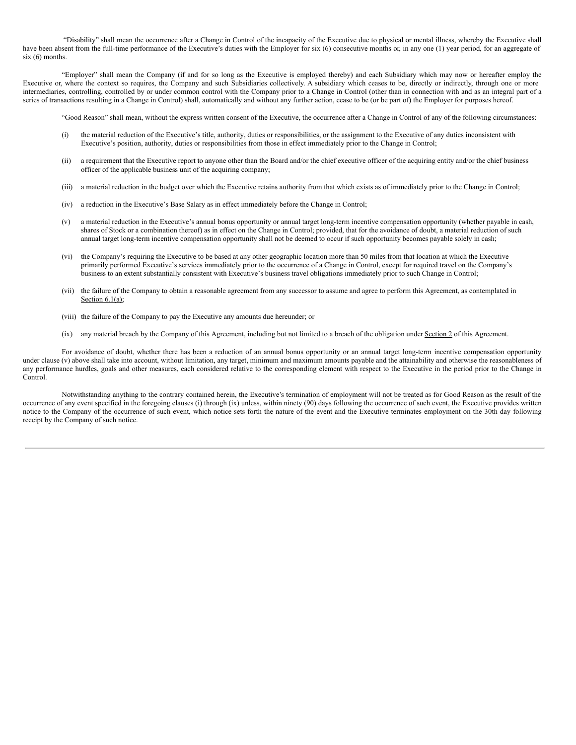"Disability" shall mean the occurrence after a Change in Control of the incapacity of the Executive due to physical or mental illness, whereby the Executive shall have been absent from the full-time performance of the Executive's duties with the Employer for six (6) consecutive months or, in any one (1) year period, for an aggregate of six (6) months.

"Employer" shall mean the Company (if and for so long as the Executive is employed thereby) and each Subsidiary which may now or hereafter employ the Executive or, where the context so requires, the Company and such Subsidiaries collectively. A subsidiary which ceases to be, directly or indirectly, through one or more intermediaries, controlling, controlled by or under common control with the Company prior to a Change in Control (other than in connection with and as an integral part of a series of transactions resulting in a Change in Control) shall, automatically and without any further action, cease to be (or be part of) the Employer for purposes hereof.

"Good Reason" shall mean, without the express written consent of the Executive, the occurrence after a Change in Control of any of the following circumstances:

- (i) the material reduction of the Executive's title, authority, duties or responsibilities, or the assignment to the Executive of any duties inconsistent with Executive's position, authority, duties or responsibilities from those in effect immediately prior to the Change in Control;
- (ii) a requirement that the Executive report to anyone other than the Board and/or the chief executive officer of the acquiring entity and/or the chief business officer of the applicable business unit of the acquiring company;
- (iii) a material reduction in the budget over which the Executive retains authority from that which exists as of immediately prior to the Change in Control;
- (iv) a reduction in the Executive's Base Salary as in effect immediately before the Change in Control;
- (v) a material reduction in the Executive's annual bonus opportunity or annual target long-term incentive compensation opportunity (whether payable in cash, shares of Stock or a combination thereof) as in effect on the Change in Control; provided, that for the avoidance of doubt, a material reduction of such annual target long-term incentive compensation opportunity shall not be deemed to occur if such opportunity becomes payable solely in cash;
- (vi) the Company's requiring the Executive to be based at any other geographic location more than 50 miles from that location at which the Executive primarily performed Executive's services immediately prior to the occurrence of a Change in Control, except for required travel on the Company's business to an extent substantially consistent with Executive's business travel obligations immediately prior to such Change in Control;
- (vii) the failure of the Company to obtain a reasonable agreement from any successor to assume and agree to perform this Agreement, as contemplated in Section  $6.1(a)$ ;
- (viii) the failure of the Company to pay the Executive any amounts due hereunder; or
- (ix) any material breach by the Company of this Agreement, including but not limited to a breach of the obligation under Section 2 of this Agreement.

For avoidance of doubt, whether there has been a reduction of an annual bonus opportunity or an annual target long-term incentive compensation opportunity under clause (v) above shall take into account, without limitation, any target, minimum and maximum amounts payable and the attainability and otherwise the reasonableness of any performance hurdles, goals and other measures, each considered relative to the corresponding element with respect to the Executive in the period prior to the Change in Control.

Notwithstanding anything to the contrary contained herein, the Executive's termination of employment will not be treated as for Good Reason as the result of the occurrence of any event specified in the foregoing clauses (i) through (ix) unless, within ninety (90) days following the occurrence of such event, the Executive provides written notice to the Company of the occurrence of such event, which notice sets forth the nature of the event and the Executive terminates employment on the 30th day following receipt by the Company of such notice.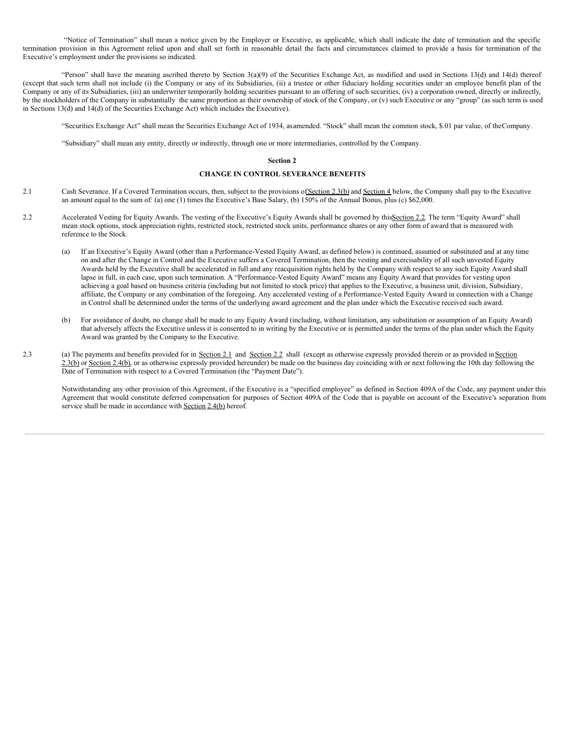"Notice of Termination" shall mean a notice given by the Employer or Executive, as applicable, which shall indicate the date of termination and the specific termination provision in this Agreement relied upon and shall set forth in reasonable detail the facts and circumstances claimed to provide a basis for termination of the Executive's employment under the provisions so indicated.

"Person" shall have the meaning ascribed thereto by Section  $3(a)(9)$  of the Securities Exchange Act, as modified and used in Sections 13(d) and 14(d) thereof (except that such term shall not include (i) the Company or any of its Subsidiaries, (ii) a trustee or other fiduciary holding securities under an employee benefit plan of the Company or any of its Subsidiaries, (iii) an underwriter temporarily holding securities pursuant to an offering of such securities, (iv) a corporation owned, directly or indirectly, by the stockholders of the Company in substantially the same proportion as their ownership of stock of the Company, or (v) such Executive or any "group" (as such term is used in Sections 13(d) and 14(d) of the Securities Exchange Act) which includes the Executive).

"Securities Exchange Act" shall mean the Securities Exchange Act of 1934, asamended. "Stock" shall mean the common stock, \$.01 par value, of theCompany.

"Subsidiary" shall mean any entity, directly or indirectly, through one or more intermediaries, controlled by the Company.

## **Section 2**

## **CHANGE IN CONTROL SEVERANCE BENEFITS**

- 2.1 Cash Severance. If a Covered Termination occurs, then, subject to the provisions of Section 2.3(b) and Section 4 below, the Company shall pay to the Executive an amount equal to the sum of: (a) one (1) times the Executive's Base Salary, (b) 150% of the Annual Bonus, plus (c) \$62,000.
- 2.2 Accelerated Vesting for Equity Awards. The vesting of the Executive's Equity Awards shall be governed by this**Section 2.2**. The term "Equity Award" shall mean stock options, stock appreciation rights, restricted stock, restricted stock units, performance shares or any other form of award that is measured with reference to the Stock.
	- (a) If an Executive's Equity Award (other than a Performance-Vested Equity Award, as defined below) is continued, assumed or substituted and at any time on and after the Change in Control and the Executive suffers a Covered Termination, then the vesting and exercisability of all such unvested Equity Awards held by the Executive shall be accelerated in full and any reacquisition rights held by the Company with respect to any such Equity Award shall lapse in full, in each case, upon such termination. A "Performance-Vested Equity Award" means any Equity Award that provides for vesting upon achieving a goal based on business criteria (including but not limited to stock price) that applies to the Executive, a business unit, division, Subsidiary, affiliate, the Company or any combination of the foregoing. Any accelerated vesting of a Performance-Vested Equity Award in connection with a Change in Control shall be determined under the terms of the underlying award agreement and the plan under which the Executive received such award.
	- (b) For avoidance of doubt, no change shall be made to any Equity Award (including, without limitation, any substitution or assumption of an Equity Award) that adversely affects the Executive unless it is consented to in writing by the Executive or is permitted under the terms of the plan under which the Equity Award was granted by the Company to the Executive.
- 2.3 (a) The payments and benefits provided for in Section 2.1 and Section 2.2 shall (except as otherwise expressly provided therein or as provided in Section 2.3(b) or Section 2.4(b), or as otherwise expressly provided hereunder) be made on the business day coinciding with or next following the 10th day following the Date of Termination with respect to a Covered Termination (the "Payment Date").

Notwithstanding any other provision of this Agreement, if the Executive is a "specified employee" as defined in Section 409A of the Code, any payment under this Agreement that would constitute deferred compensation for purposes of Section 409A of the Code that is payable on account of the Executive's separation from service shall be made in accordance with Section 2.4(b) hereof.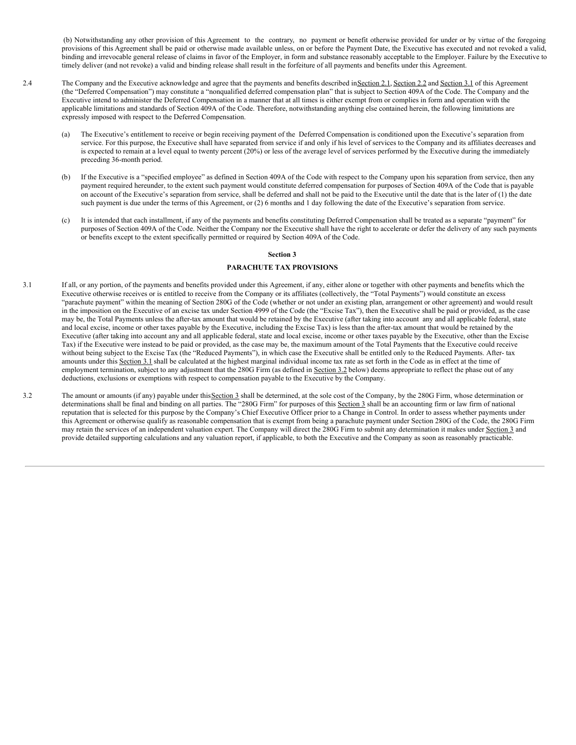<span id="page-47-0"></span>(b) Notwithstanding any other provision of this Agreement to the contrary, no payment or benefit otherwise provided for under or by virtue of the foregoing provisions of this Agreement shall be paid or otherwise made available unless, on or before the Payment Date, the Executive has executed and not revoked a valid, binding and irrevocable general release of claims in favor of the Employer, in form and substance reasonably acceptable to the Employer. Failure by the Executive to timely deliver (and not revoke) a valid and binding release shall result in the forfeiture of all payments and benefits under this Agreement.

- 2.4 The Company and the Executive acknowledge and agree that the payments and benefits described in Section 2.1, Section 2.2 and Section 3.1 of this Agreement (the "Deferred Compensation") may constitute a "nonqualified deferred compensation plan" that is subject to Section 409A of the Code. The Company and the Executive intend to administer the Deferred Compensation in a manner that at all times is either exempt from or complies in form and operation with the applicable limitations and standards of Section 409A of the Code. Therefore, notwithstanding anything else contained herein, the following limitations are expressly imposed with respect to the Deferred Compensation.
	- (a) The Executive's entitlement to receive or begin receiving payment of the Deferred Compensation is conditioned upon the Executive's separation from service. For this purpose, the Executive shall have separated from service if and only if his level of services to the Company and its affiliates decreases and is expected to remain at a level equal to twenty percent (20%) or less of the average level of services performed by the Executive during the immediately preceding 36-month period.
	- (b) If the Executive is a "specified employee" as defined in Section 409A of the Code with respect to the Company upon his separation from service, then any payment required hereunder, to the extent such payment would constitute deferred compensation for purposes of Section 409A of the Code that is payable on account of the Executive's separation from service, shall be deferred and shall not be paid to the Executive until the date that is the later of (1) the date such payment is due under the terms of this Agreement, or (2) 6 months and 1 day following the date of the Executive's separation from service.
	- (c) It is intended that each installment, if any of the payments and benefits constituting Deferred Compensation shall be treated as a separate "payment" for purposes of Section 409A of the Code. Neither the Company nor the Executive shall have the right to accelerate or defer the delivery of any such payments or benefits except to the extent specifically permitted or required by Section 409A of the Code.

## **Section 3**

## **PARACHUTE TAX PROVISIONS**

- 3.1 If all, or any portion, of the payments and benefits provided under this Agreement, if any, either alone or together with other payments and benefits which the Executive otherwise receives or is entitled to receive from the Company or its affiliates (collectively, the "Total Payments") would constitute an excess "parachute payment" within the meaning of Section 280G of the Code (whether or not under an existing plan, arrangement or other agreement) and would result in the imposition on the Executive of an excise tax under Section 4999 of the Code (the "Excise Tax"), then the Executive shall be paid or provided, as the case may be, the Total Payments unless the after-tax amount that would be retained by the Executive (after taking into account any and all applicable federal, state and local excise, income or other taxes payable by the Executive, including the Excise Tax) is less than the after-tax amount that would be retained by the Executive (after taking into account any and all applicable federal, state and local excise, income or other taxes payable by the Executive, other than the Excise Tax) if the Executive were instead to be paid or provided, as the case may be, the maximum amount of the Total Payments that the Executive could receive without being subject to the Excise Tax (the "Reduced Payments"), in which case the Executive shall be entitled only to the Reduced Payments. After- tax amounts under this Section 3.1 shall be calculated at the highest marginal individual income tax rate as set forth in the Code as in effect at the time of employment termination, subject to any adjustment that the 280G Firm (as defined in Section 3.2 below) deems appropriate to reflect the phase out of any deductions, exclusions or exemptions with respect to compensation payable to the Executive by the Company.
- 3.2 The amount or amounts (if any) payable under this Section 3 shall be determined, at the sole cost of the Company, by the 280G Firm, whose determination or determinations shall be final and binding on all parties. The "280G Firm" for purposes of this Section 3 shall be an accounting firm or law firm of national reputation that is selected for this purpose by the Company's Chief Executive Officer prior to a Change in Control. In order to assess whether payments under this Agreement or otherwise qualify as reasonable compensation that is exempt from being a parachute payment under Section 280G of the Code, the 280G Firm may retain the services of an independent valuation expert. The Company will direct the 280G Firm to submit any determination it makes under Section 3 and provide detailed supporting calculations and any valuation report, if applicable, to both the Executive and the Company as soon as reasonably practicable.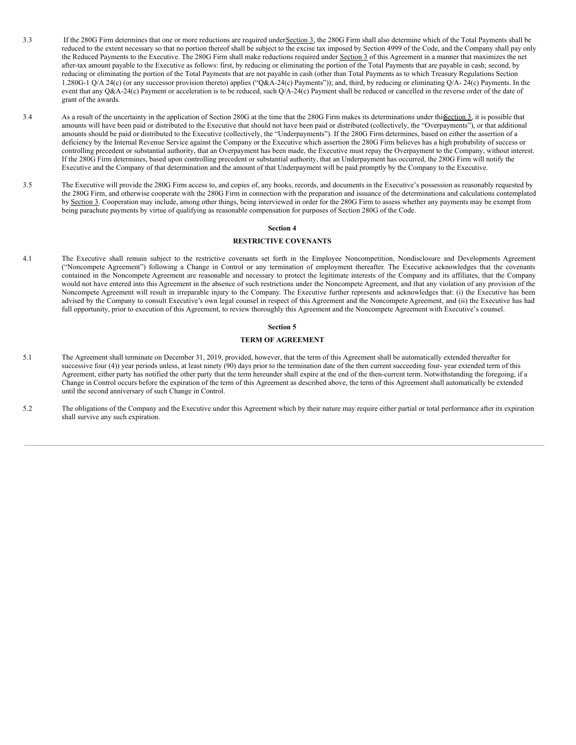- 3.3 If the 280G Firm determines that one or more reductions are required underSection 3, the 280G Firm shall also determine which of the Total Payments shall be reduced to the extent necessary so that no portion thereof shall be subject to the excise tax imposed by Section 4999 of the Code, and the Company shall pay only the Reduced Payments to the Executive. The 280G Firm shall make reductions required under Section 3 of this Agreement in a manner that maximizes the net after-tax amount payable to the Executive as follows: first, by reducing or eliminating the portion of the Total Payments that are payable in cash; second, by reducing or eliminating the portion of the Total Payments that are not payable in cash (other than Total Payments as to which Treasury Regulations Section 1.280G-1 Q/A 24(c) (or any successor provision thereto) applies ("Q&A-24(c) Payments")); and, third, by reducing or eliminating Q/A- 24(c) Payments. In the event that any O&A-24(c) Payment or acceleration is to be reduced, such O/A-24(c) Payment shall be reduced or cancelled in the reverse order of the date of grant of the awards.
- 3.4 As a result of the uncertainty in the application of Section 280G at the time that the 280G Firm makes its determinations under thisSection 3, it is possible that amounts will have been paid or distributed to the Executive that should not have been paid or distributed (collectively, the "Overpayments"), or that additional amounts should be paid or distributed to the Executive (collectively, the "Underpayments"). If the 280G Firm determines, based on either the assertion of a deficiency by the Internal Revenue Service against the Company or the Executive which assertion the 280G Firm believes has a high probability of success or controlling precedent or substantial authority, that an Overpayment has been made, the Executive must repay the Overpayment to the Company, without interest. If the 280G Firm determines, based upon controlling precedent or substantial authority, that an Underpayment has occurred, the 280G Firm will notify the Executive and the Company of that determination and the amount of that Underpayment will be paid promptly by the Company to the Executive.
- 3.5 The Executive will provide the 280G Firm access to, and copies of, any books, records, and documents in the Executive's possession as reasonably requested by the 280G Firm, and otherwise cooperate with the 280G Firm in connection with the preparation and issuance of the determinations and calculations contemplated by Section 3. Cooperation may include, among other things, being interviewed in order for the 280G Firm to assess whether any payments may be exempt from being parachute payments by virtue of qualifying as reasonable compensation for purposes of Section 280G of the Code.

## **Section 4**

## **RESTRICTIVE COVENANTS**

4.1 The Executive shall remain subject to the restrictive covenants set forth in the Employee Noncompetition, Nondisclosure and Developments Agreement ("Noncompete Agreement") following a Change in Control or any termination of employment thereafter. The Executive acknowledges that the covenants contained in the Noncompete Agreement are reasonable and necessary to protect the legitimate interests of the Company and its affiliates, that the Company would not have entered into this Agreement in the absence of such restrictions under the Noncompete Agreement, and that any violation of any provision of the Noncompete Agreement will result in irreparable injury to the Company. The Executive further represents and acknowledges that: (i) the Executive has been advised by the Company to consult Executive's own legal counsel in respect of this Agreement and the Noncompete Agreement, and (ii) the Executive has had full opportunity, prior to execution of this Agreement, to review thoroughly this Agreement and the Noncompete Agreement with Executive's counsel.

#### **Section 5**

#### **TERM OF AGREEMENT**

- 5.1 The Agreement shall terminate on December 31, 2019, provided, however, that the term of this Agreement shall be automatically extended thereafter for successive four (4)) year periods unless, at least ninety (90) days prior to the termination date of the then current succeeding four- year extended term of this Agreement, either party has notified the other party that the term hereunder shall expire at the end of the then-current term. Notwithstanding the foregoing, if a Change in Control occurs before the expiration of the term of this Agreement as described above, the term of this Agreement shall automatically be extended until the second anniversary of such Change in Control.
- 5.2 The obligations of the Company and the Executive under this Agreement which by their nature may require either partial or total performance after its expiration shall survive any such expiration.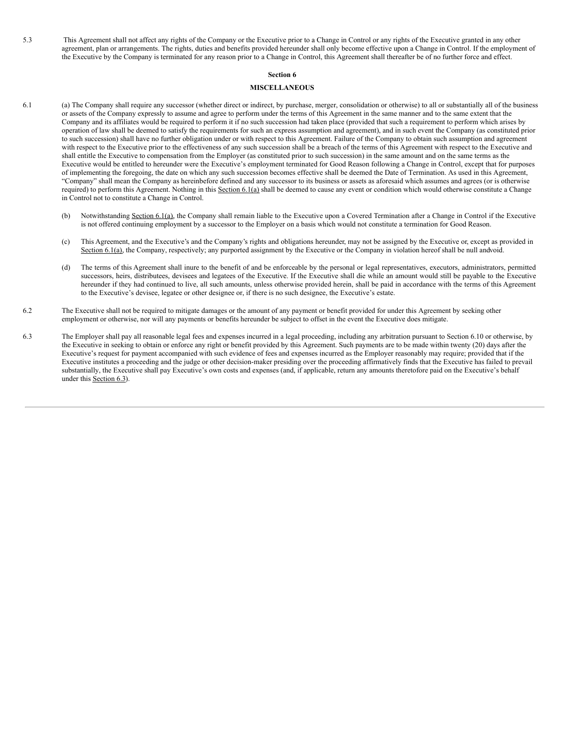5.3 This Agreement shall not affect any rights of the Company or the Executive prior to a Change in Control or any rights of the Executive granted in any other agreement, plan or arrangements. The rights, duties and benefits provided hereunder shall only become effective upon a Change in Control. If the employment of the Executive by the Company is terminated for any reason prior to a Change in Control, this Agreement shall thereafter be of no further force and effect.

## **Section 6**

## **MISCELLANEOUS**

- 6.1 (a) The Company shall require any successor (whether direct or indirect, by purchase, merger, consolidation or otherwise) to all or substantially all of the business or assets of the Company expressly to assume and agree to perform under the terms of this Agreement in the same manner and to the same extent that the Company and its affiliates would be required to perform it if no such succession had taken place (provided that such a requirement to perform which arises by operation of law shall be deemed to satisfy the requirements for such an express assumption and agreement), and in such event the Company (as constituted prior to such succession) shall have no further obligation under or with respect to this Agreement. Failure of the Company to obtain such assumption and agreement with respect to the Executive prior to the effectiveness of any such succession shall be a breach of the terms of this Agreement with respect to the Executive and shall entitle the Executive to compensation from the Employer (as constituted prior to such succession) in the same amount and on the same terms as the Executive would be entitled to hereunder were the Executive's employment terminated for Good Reason following a Change in Control, except that for purposes of implementing the foregoing, the date on which any such succession becomes effective shall be deemed the Date of Termination. As used in this Agreement, "Company" shall mean the Company as hereinbefore defined and any successor to its business or assets as aforesaid which assumes and agrees (or is otherwise required) to perform this Agreement. Nothing in this Section  $6.1(a)$  shall be deemed to cause any event or condition which would otherwise constitute a Change in Control not to constitute a Change in Control.
	- (b) Notwithstanding Section 6.1(a), the Company shall remain liable to the Executive upon a Covered Termination after a Change in Control if the Executive is not offered continuing employment by a successor to the Employer on a basis which would not constitute a termination for Good Reason.
	- (c) This Agreement, and the Executive's and the Company's rights and obligations hereunder, may not be assigned by the Executive or, except as provided in Section 6.1(a), the Company, respectively; any purported assignment by the Executive or the Company in violation hereof shall be null andvoid.
	- (d) The terms of this Agreement shall inure to the benefit of and be enforceable by the personal or legal representatives, executors, administrators, permitted successors, heirs, distributees, devisees and legatees of the Executive. If the Executive shall die while an amount would still be payable to the Executive hereunder if they had continued to live, all such amounts, unless otherwise provided herein, shall be paid in accordance with the terms of this Agreement to the Executive's devisee, legatee or other designee or, if there is no such designee, the Executive's estate.
- 6.2 The Executive shall not be required to mitigate damages or the amount of any payment or benefit provided for under this Agreement by seeking other employment or otherwise, nor will any payments or benefits hereunder be subject to offset in the event the Executive does mitigate.
- 6.3 The Employer shall pay all reasonable legal fees and expenses incurred in a legal proceeding, including any arbitration pursuant to Section 6.10 or otherwise, by the Executive in seeking to obtain or enforce any right or benefit provided by this Agreement. Such payments are to be made within twenty (20) days after the Executive's request for payment accompanied with such evidence of fees and expenses incurred as the Employer reasonably may require; provided that if the Executive institutes a proceeding and the judge or other decision-maker presiding over the proceeding affirmatively finds that the Executive has failed to prevail substantially, the Executive shall pay Executive's own costs and expenses (and, if applicable, return any amounts theretofore paid on the Executive's behalf under this Section 6.3).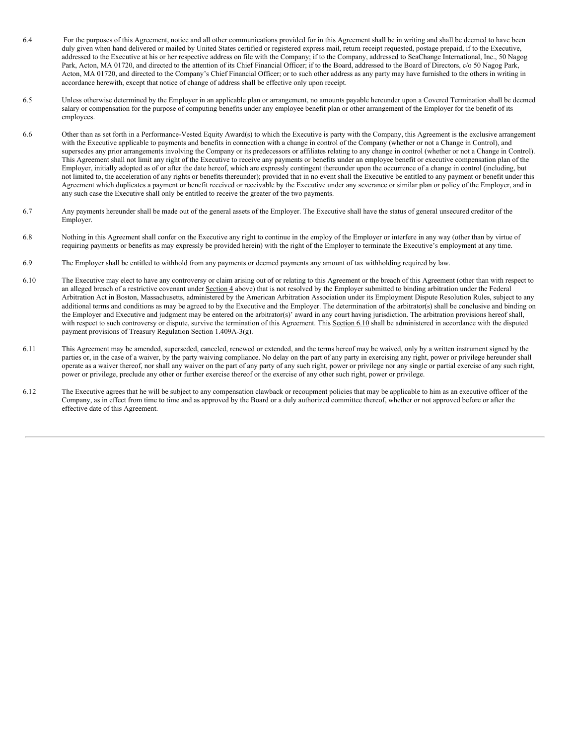- 6.4 For the purposes of this Agreement, notice and all other communications provided for in this Agreement shall be in writing and shall be deemed to have been duly given when hand delivered or mailed by United States certified or registered express mail, return receipt requested, postage prepaid, if to the Executive, addressed to the Executive at his or her respective address on file with the Company; if to the Company, addressed to SeaChange International, Inc., 50 Nagog Park, Acton, MA 01720, and directed to the attention of its Chief Financial Officer; if to the Board, addressed to the Board of Directors, c/o 50 Nagog Park, Acton, MA 01720, and directed to the Company's Chief Financial Officer; or to such other address as any party may have furnished to the others in writing in accordance herewith, except that notice of change of address shall be effective only upon receipt.
- 6.5 Unless otherwise determined by the Employer in an applicable plan or arrangement, no amounts payable hereunder upon a Covered Termination shall be deemed salary or compensation for the purpose of computing benefits under any employee benefit plan or other arrangement of the Employer for the benefit of its employees.
- 6.6 Other than as set forth in a Performance-Vested Equity Award(s) to which the Executive is party with the Company, this Agreement is the exclusive arrangement with the Executive applicable to payments and benefits in connection with a change in control of the Company (whether or not a Change in Control), and supersedes any prior arrangements involving the Company or its predecessors or affiliates relating to any change in control (whether or not a Change in Control). This Agreement shall not limit any right of the Executive to receive any payments or benefits under an employee benefit or executive compensation plan of the Employer, initially adopted as of or after the date hereof, which are expressly contingent thereunder upon the occurrence of a change in control (including, but not limited to, the acceleration of any rights or benefits thereunder); provided that in no event shall the Executive be entitled to any payment or benefit under this Agreement which duplicates a payment or benefit received or receivable by the Executive under any severance or similar plan or policy of the Employer, and in any such case the Executive shall only be entitled to receive the greater of the two payments.
- 6.7 Any payments hereunder shall be made out of the general assets of the Employer. The Executive shall have the status of general unsecured creditor of the Employer.
- 6.8 Nothing in this Agreement shall confer on the Executive any right to continue in the employ of the Employer or interfere in any way (other than by virtue of requiring payments or benefits as may expressly be provided herein) with the right of the Employer to terminate the Executive's employment at any time.
- 6.9 The Employer shall be entitled to withhold from any payments or deemed payments any amount of tax withholding required by law.
- 6.10 The Executive may elect to have any controversy or claim arising out of or relating to this Agreement or the breach of this Agreement (other than with respect to an alleged breach of a restrictive covenant under Section 4 above) that is not resolved by the Employer submitted to binding arbitration under the Federal Arbitration Act in Boston, Massachusetts, administered by the American Arbitration Association under its Employment Dispute Resolution Rules, subject to any additional terms and conditions as may be agreed to by the Executive and the Employer. The determination of the arbitrator(s) shall be conclusive and binding on the Employer and Executive and judgment may be entered on the arbitrator(s)' award in any court having jurisdiction. The arbitration provisions hereof shall, with respect to such controversy or dispute, survive the termination of this Agreement. This Section 6.10 shall be administered in accordance with the disputed payment provisions of Treasury Regulation Section 1.409A-3(g).
- 6.11 This Agreement may be amended, superseded, canceled, renewed or extended, and the terms hereof may be waived, only by a written instrument signed by the parties or, in the case of a waiver, by the party waiving compliance. No delay on the part of any party in exercising any right, power or privilege hereunder shall operate as a waiver thereof, nor shall any waiver on the part of any party of any such right, power or privilege nor any single or partial exercise of any such right, power or privilege, preclude any other or further exercise thereof or the exercise of any other such right, power or privilege.
- 6.12 The Executive agrees that he will be subject to any compensation clawback or recoupment policies that may be applicable to him as an executive officer of the Company, as in effect from time to time and as approved by the Board or a duly authorized committee thereof, whether or not approved before or after the effective date of this Agreement.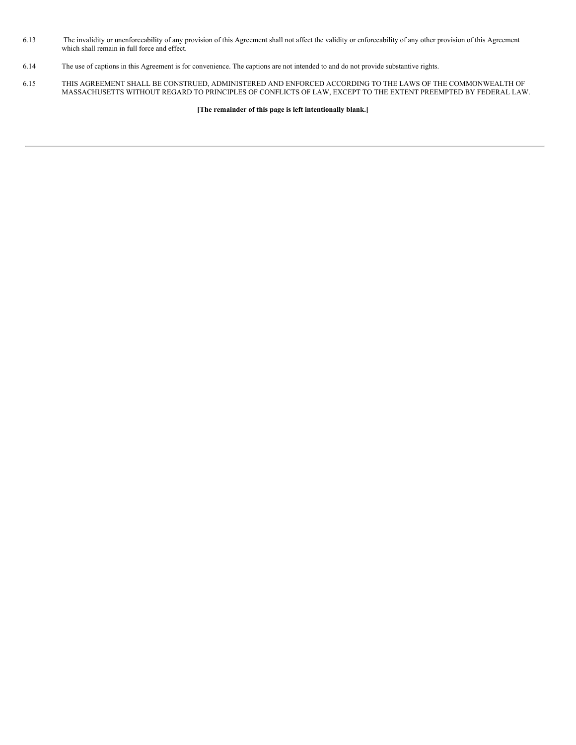- 6.13 The invalidity or unenforceability of any provision of this Agreement shall not affect the validity or enforceability of any other provision of this Agreement which shall remain in full force and effect.
- 6.14 The use of captions in this Agreement is for convenience. The captions are not intended to and do not provide substantive rights.
- 6.15 THIS AGREEMENT SHALL BE CONSTRUED, ADMINISTERED AND ENFORCED ACCORDING TO THE LAWS OF THE COMMONWEALTH OF MASSACHUSETTS WITHOUT REGARD TO PRINCIPLES OF CONFLICTS OF LAW, EXCEPT TO THE EXTENT PREEMPTED BY FEDERAL LAW.

**[The remainder of this page is left intentionally blank.]**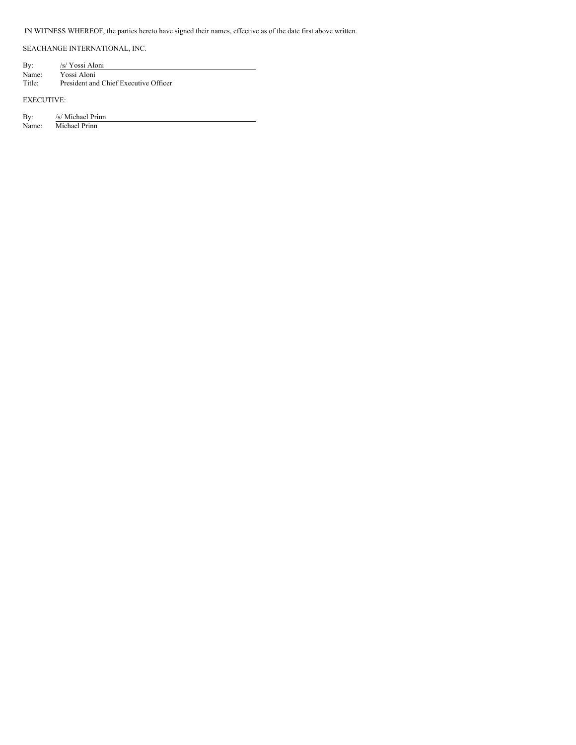IN WITNESS WHEREOF, the parties hereto have signed their names, effective as of the date first above written.

# SEACHANGE INTERNATIONAL, INC.

| By:    | /s/ Yossi Aloni                       |
|--------|---------------------------------------|
| Name:  | Yossi Aloni                           |
| Title: | President and Chief Executive Officer |

EXECUTIVE:

| By:   | /s/ Michael Prinn |
|-------|-------------------|
| Name: | Michael Prinn     |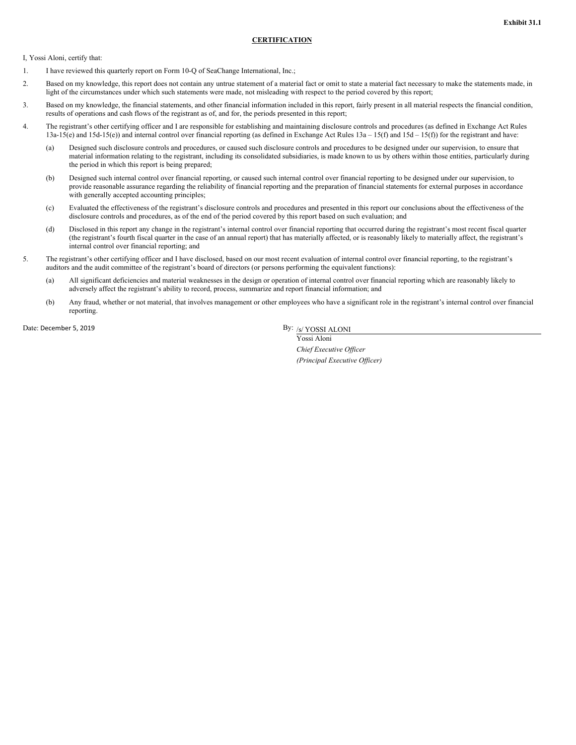## **CERTIFICATION**

<span id="page-53-0"></span>I, Yossi Aloni, certify that:

- 1. I have reviewed this quarterly report on Form 10-Q of SeaChange International, Inc.;
- 2. Based on my knowledge, this report does not contain any untrue statement of a material fact or omit to state a material fact necessary to make the statements made, in light of the circumstances under which such statements were made, not misleading with respect to the period covered by this report;
- 3. Based on my knowledge, the financial statements, and other financial information included in this report, fairly present in all material respects the financial condition, results of operations and cash flows of the registrant as of, and for, the periods presented in this report;
- 4. The registrant's other certifying officer and I are responsible for establishing and maintaining disclosure controls and procedures (as defined in Exchange Act Rules 13a-15(e) and 15d-15(e)) and internal control over financial reporting (as defined in Exchange Act Rules 13a – 15(f) and 15d – 15(f)) for the registrant and have:
	- (a) Designed such disclosure controls and procedures, or caused such disclosure controls and procedures to be designed under our supervision, to ensure that material information relating to the registrant, including its consolidated subsidiaries, is made known to us by others within those entities, particularly during the period in which this report is being prepared;
	- (b) Designed such internal control over financial reporting, or caused such internal control over financial reporting to be designed under our supervision, to provide reasonable assurance regarding the reliability of financial reporting and the preparation of financial statements for external purposes in accordance with generally accepted accounting principles;
	- (c) Evaluated the effectiveness of the registrant's disclosure controls and procedures and presented in this report our conclusions about the effectiveness of the disclosure controls and procedures, as of the end of the period covered by this report based on such evaluation; and
	- (d) Disclosed in this report any change in the registrant's internal control over financial reporting that occurred during the registrant's most recent fiscal quarter (the registrant's fourth fiscal quarter in the case of an annual report) that has materially affected, or is reasonably likely to materially affect, the registrant's internal control over financial reporting; and
- 5. The registrant's other certifying officer and I have disclosed, based on our most recent evaluation of internal control over financial reporting, to the registrant's auditors and the audit committee of the registrant's board of directors (or persons performing the equivalent functions):
	- (a) All significant deficiencies and material weaknesses in the design or operation of internal control over financial reporting which are reasonably likely to adversely affect the registrant's ability to record, process, summarize and report financial information; and
	- (b) Any fraud, whether or not material, that involves management or other employees who have a significant role in the registrant's internal control over financial reporting.

Date: December 5, 2019

By:  $\frac{1}{s}$  YOSSI ALONI

Yossi Aloni *Chief Executive Of icer (Principal Executive Of icer)*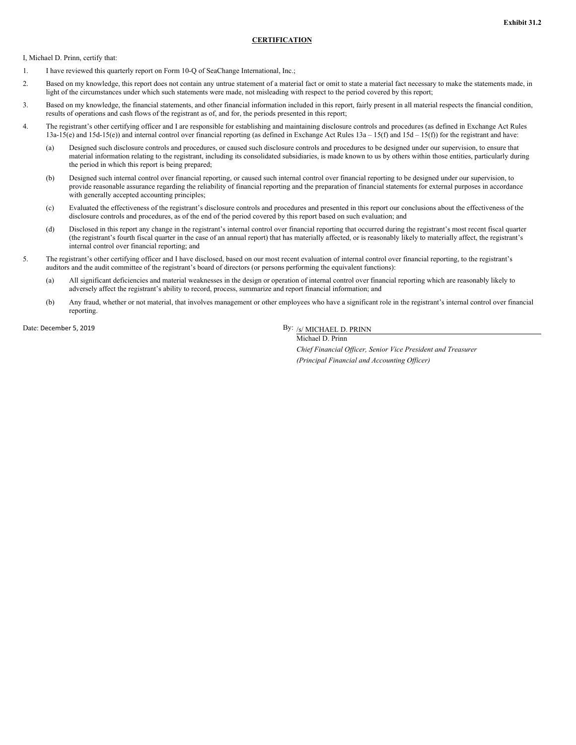## **CERTIFICATION**

<span id="page-54-0"></span>I, Michael D. Prinn, certify that:

- 1. I have reviewed this quarterly report on Form 10-Q of SeaChange International, Inc.;
- 2. Based on my knowledge, this report does not contain any untrue statement of a material fact or omit to state a material fact necessary to make the statements made, in light of the circumstances under which such statements were made, not misleading with respect to the period covered by this report;
- 3. Based on my knowledge, the financial statements, and other financial information included in this report, fairly present in all material respects the financial condition, results of operations and cash flows of the registrant as of, and for, the periods presented in this report;
- 4. The registrant's other certifying officer and I are responsible for establishing and maintaining disclosure controls and procedures (as defined in Exchange Act Rules 13a-15(e) and 15d-15(e)) and internal control over financial reporting (as defined in Exchange Act Rules 13a – 15(f) and 15d – 15(f)) for the registrant and have:
	- (a) Designed such disclosure controls and procedures, or caused such disclosure controls and procedures to be designed under our supervision, to ensure that material information relating to the registrant, including its consolidated subsidiaries, is made known to us by others within those entities, particularly during the period in which this report is being prepared;
	- (b) Designed such internal control over financial reporting, or caused such internal control over financial reporting to be designed under our supervision, to provide reasonable assurance regarding the reliability of financial reporting and the preparation of financial statements for external purposes in accordance with generally accepted accounting principles;
	- (c) Evaluated the effectiveness of the registrant's disclosure controls and procedures and presented in this report our conclusions about the effectiveness of the disclosure controls and procedures, as of the end of the period covered by this report based on such evaluation; and
	- (d) Disclosed in this report any change in the registrant's internal control over financial reporting that occurred during the registrant's most recent fiscal quarter (the registrant's fourth fiscal quarter in the case of an annual report) that has materially affected, or is reasonably likely to materially affect, the registrant's internal control over financial reporting; and
- 5. The registrant's other certifying officer and I have disclosed, based on our most recent evaluation of internal control over financial reporting, to the registrant's auditors and the audit committee of the registrant's board of directors (or persons performing the equivalent functions):
	- (a) All significant deficiencies and material weaknesses in the design or operation of internal control over financial reporting which are reasonably likely to adversely affect the registrant's ability to record, process, summarize and report financial information; and
	- (b) Any fraud, whether or not material, that involves management or other employees who have a significant role in the registrant's internal control over financial reporting.

Date: December 5, 2019

By: /s/ MICHAEL D. PRINN Michael D. Prinn

> *Chief Financial Of icer, Senior Vice President and Treasurer (Principal Financial and Accounting Of icer)*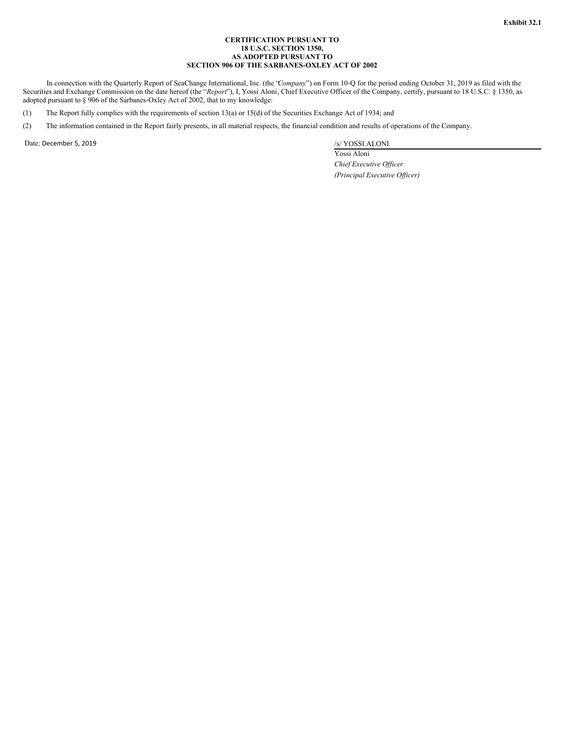## **CERTIFICATION PURSUANT TO 18 U.S.C. SECTION 1350, AS ADOPTED PURSUANT TO SECTION 906 OF THE SARBANES-OXLEY ACT OF 2002**

<span id="page-55-0"></span>In connection with the Quarterly Report of SeaChange International, Inc. (the "*Company*") on Form 10-Q for the period ending October 31, 2019 as filed with the Securities and Exchange Commission on the date hereof (the "*Report*"), I, Yossi Aloni, Chief Executive Officer of the Company, certify, pursuant to 18 U.S.C. § 1350, as adopted pursuant to § 906 of the Sarbanes-Oxley Act of 2002, that to my knowledge:

(1) The Report fully complies with the requirements of section 13(a) or 15(d) of the Securities Exchange Act of 1934; and

(2) The information contained in the Report fairly presents, in all material respects, the financial condition and results of operations of the Company.

Date: December 5, 2019 /s/ YOSSI ALONI

Yossi Aloni *Chief Executive Of icer (Principal Executive Of icer)*